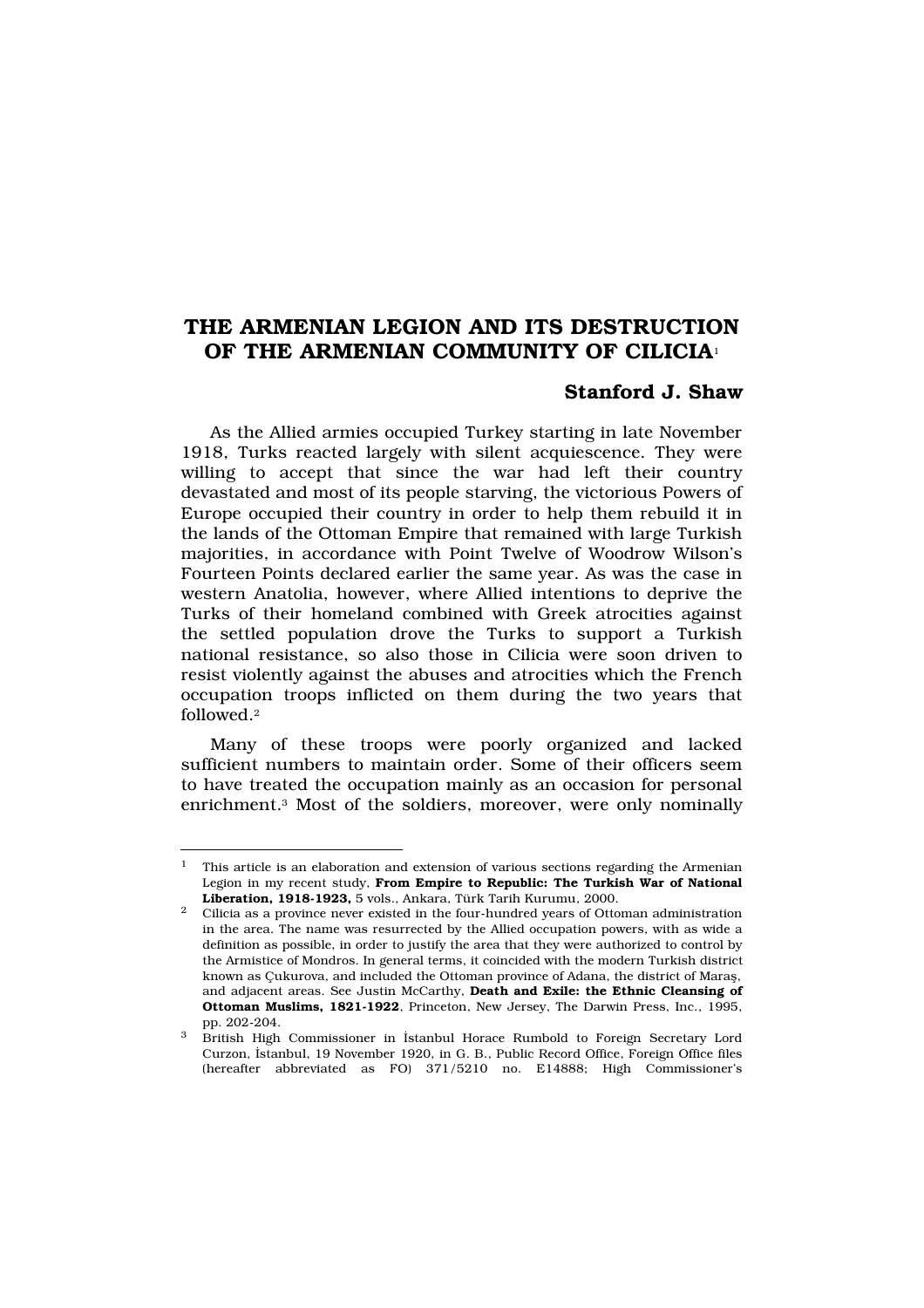# THE ARMENIAN LEGION AND ITS DESTRUCTION OF THE ARMENIAN COMMUNITY OF CILICIA<sup>1</sup>

# Stanford J. Shaw

As the Allied armies occupied Turkey starting in late November 1918, Turks reacted largely with silent acquiescence. They were willing to accept that since the war had left their country devastated and most of its people starving, the victorious Powers of Europe occupied their country in order to help them rebuild it in the lands of the Ottoman Empire that remained with large Turkish majorities, in accordance with Point Twelve of Woodrow Wilson's Fourteen Points declared earlier the same year. As was the case in western Anatolia, however, where Allied intentions to deprive the Turks of their homeland combined with Greek atrocities against the settled population drove the Turks to support a Turkish national resistance, so also those in Cilicia were soon driven to resist violently against the abuses and atrocities which the French occupation troops inflicted on them during the two years that followed.<sup>2</sup>

Many of these troops were poorly organized and lacked sufficient numbers to maintain order. Some of their officers seem to have treated the occupation mainly as an occasion for personal enrichment.<sup>3</sup> Most of the soldiers, moreover, were only nominally

 $^{\rm 1}$  This article is an elaboration and extension of various sections regarding the Armenian Legion in my recent study, From Empire to Republic: The Turkish War of National Liberation, 1918-1923, 5 vols., Ankara, Türk Tarih Kurumu, 2000.

<sup>&</sup>lt;sup>2</sup> Cilicia as a province never existed in the four-hundred years of Ottoman administration in the area. The name was resurrected by the Allied occupation powers, with as wide a definition as possible, in order to justify the area that they were authorized to control by the Armistice of Mondros. In general terms, it coincided with the modern Turkish district known as Çukurova, and included the Ottoman province of Adana, the district of Marafl, and adjacent areas. See Justin McCarthy, Death and Exile: the Ethnic Cleansing of Ottoman Muslims, 1821-1922, Princeton, New Jersey, The Darwin Press, Inc., 1995, pp. 202-204.

<sup>3</sup> British High Commissioner in ‹stanbul Horace Rumbold to Foreign Secretary Lord Curzon, ‹stanbul, 19 November 1920, in G. B., Public Record Office, Foreign Office files (hereafter abbreviated as FO) 371/5210 no. E14888; High Commissioner's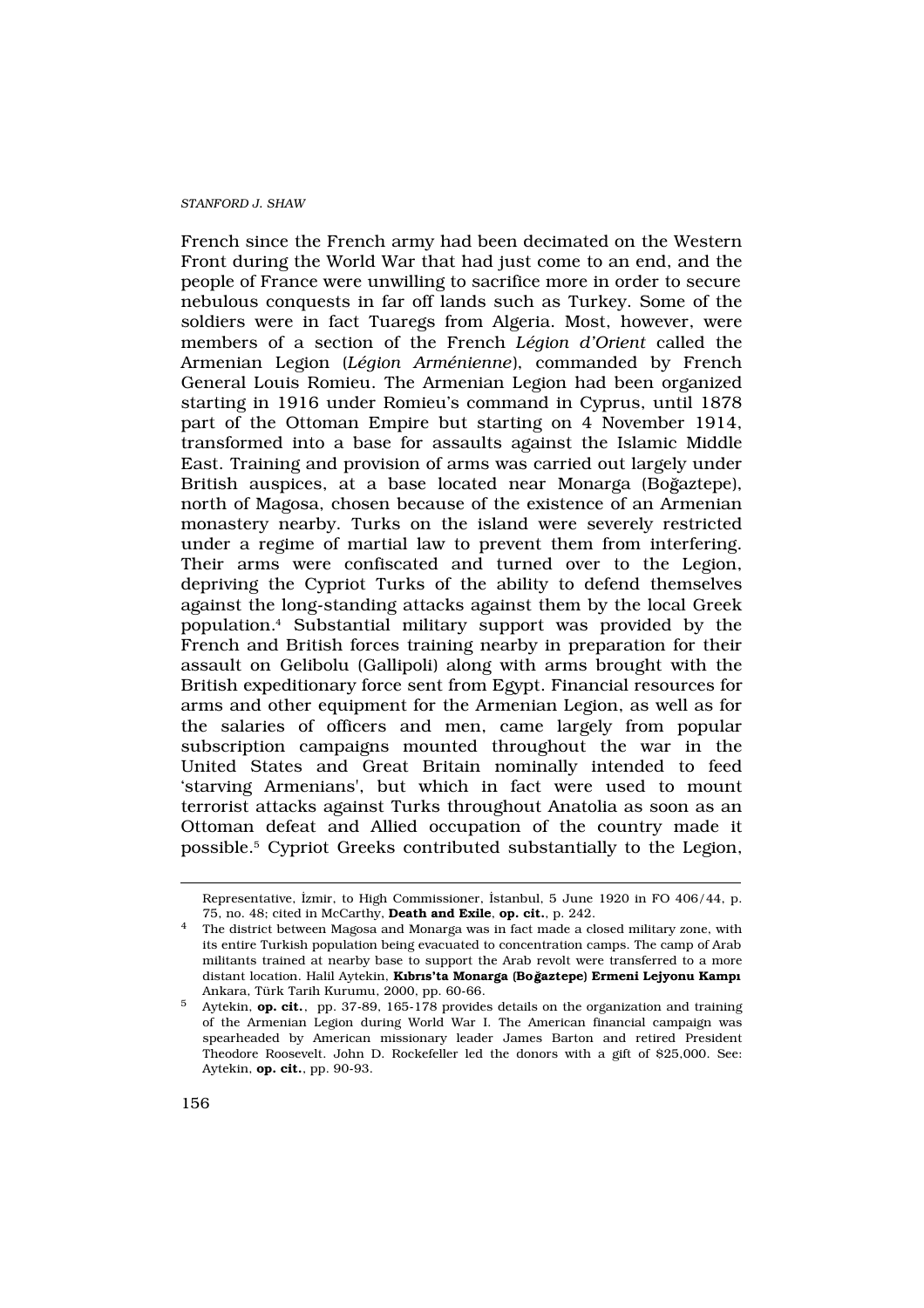French since the French army had been decimated on the Western Front during the World War that had just come to an end, and the people of France were unwilling to sacrifice more in order to secure nebulous conquests in far off lands such as Turkey. Some of the soldiers were in fact Tuaregs from Algeria. Most, however, were members of a section of the French Légion d'Orient called the Armenian Legion (Légion Arménienne), commanded by French General Louis Romieu. The Armenian Legion had been organized starting in 1916 under Romieu's command in Cyprus, until 1878 part of the Ottoman Empire but starting on 4 November 1914, transformed into a base for assaults against the Islamic Middle East. Training and provision of arms was carried out largely under British auspices, at a base located near Monarga (Bogaztepe), north of Magosa, chosen because of the existence of an Armenian monastery nearby. Turks on the island were severely restricted under a regime of martial law to prevent them from interfering. Their arms were confiscated and turned over to the Legion, depriving the Cypriot Turks of the ability to defend themselves against the long-standing attacks against them by the local Greek population.<sup>4</sup> Substantial military support was provided by the French and British forces training nearby in preparation for their assault on Gelibolu (Gallipoli) along with arms brought with the British expeditionary force sent from Egypt. Financial resources for arms and other equipment for the Armenian Legion, as well as for the salaries of officers and men, came largely from popular subscription campaigns mounted throughout the war in the United States and Great Britain nominally intended to feed 'starving Armenians', but which in fact were used to mount terrorist attacks against Turks throughout Anatolia as soon as an Ottoman defeat and Allied occupation of the country made it possible.<sup>5</sup> Cypriot Greeks contributed substantially to the Legion,

Representative, ‹zmir, to High Commissioner, ‹stanbul, 5 June 1920 in FO 406/44, p. 75, no. 48; cited in McCarthy, Death and Exile, op. cit., p. 242.

<sup>4</sup> The district between Magosa and Monarga was in fact made a closed military zone, with its entire Turkish population being evacuated to concentration camps. The camp of Arab militants trained at nearby base to support the Arab revolt were transferred to a more distant location. Halil Aytekin, K br s'ta Monarga (Boğaztepe) Ermeni Lejyonu Kamp Ankara, Türk Tarih Kurumu, 2000, pp. 60-66.

<sup>5</sup> Aytekin, op. cit., pp. 37-89, 165-178 provides details on the organization and training of the Armenian Legion during World War I. The American financial campaign was spearheaded by American missionary leader James Barton and retired President Theodore Roosevelt. John D. Rockefeller led the donors with a gift of \$25,000. See: Aytekin, op. cit., pp. 90-93.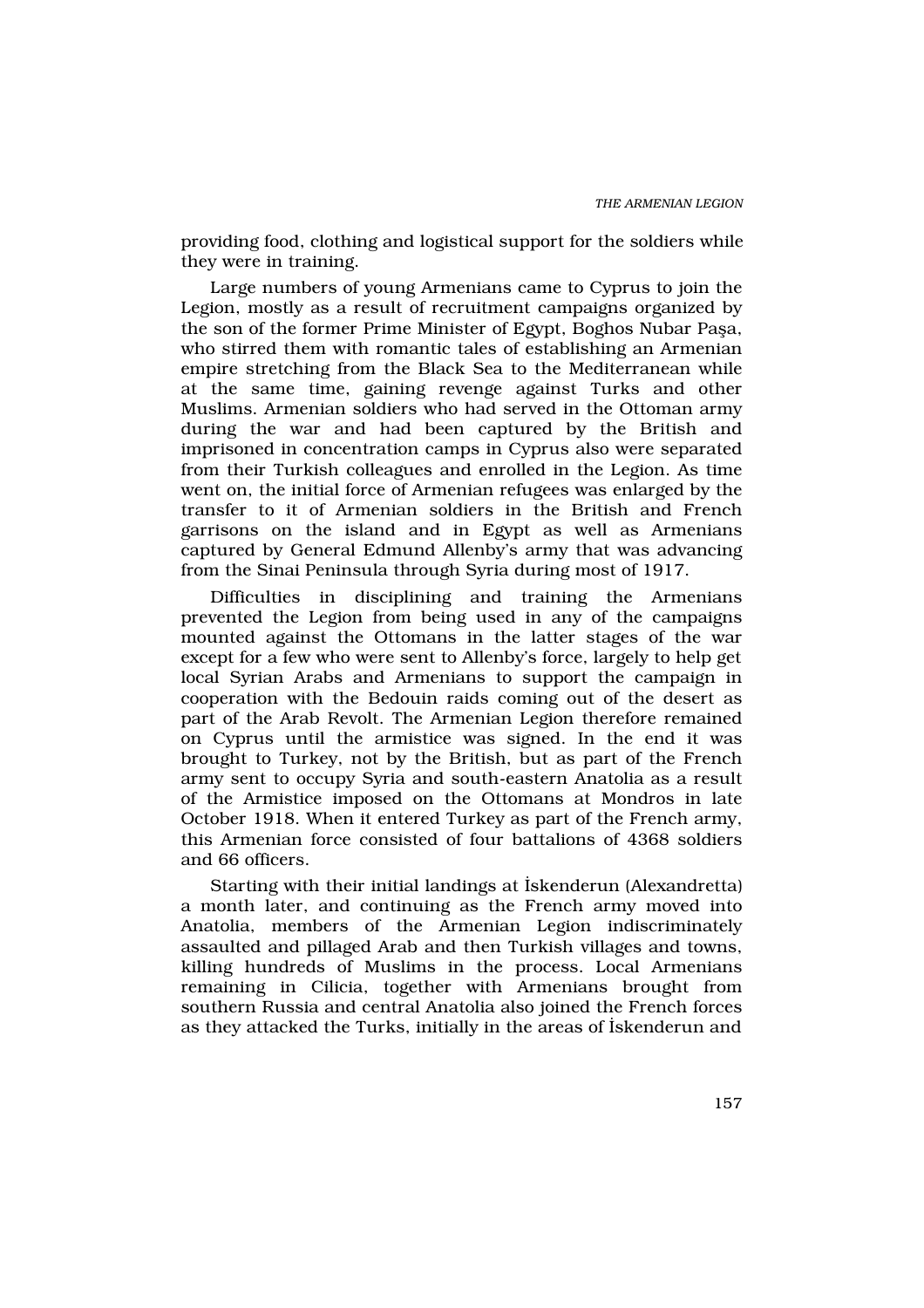providing food, clothing and logistical support for the soldiers while they were in training.

Large numbers of young Armenians came to Cyprus to join the Legion, mostly as a result of recruitment campaigns organized by the son of the former Prime Minister of Egypt, Boghos Nubar Pafla, who stirred them with romantic tales of establishing an Armenian empire stretching from the Black Sea to the Mediterranean while at the same time, gaining revenge against Turks and other Muslims. Armenian soldiers who had served in the Ottoman army during the war and had been captured by the British and imprisoned in concentration camps in Cyprus also were separated from their Turkish colleagues and enrolled in the Legion. As time went on, the initial force of Armenian refugees was enlarged by the transfer to it of Armenian soldiers in the British and French garrisons on the island and in Egypt as well as Armenians captured by General Edmund Allenby's army that was advancing from the Sinai Peninsula through Syria during most of 1917.

Difficulties in disciplining and training the Armenians prevented the Legion from being used in any of the campaigns mounted against the Ottomans in the latter stages of the war except for a few who were sent to Allenby's force, largely to help get local Syrian Arabs and Armenians to support the campaign in cooperation with the Bedouin raids coming out of the desert as part of the Arab Revolt. The Armenian Legion therefore remained on Cyprus until the armistice was signed. In the end it was brought to Turkey, not by the British, but as part of the French army sent to occupy Syria and south-eastern Anatolia as a result of the Armistice imposed on the Ottomans at Mondros in late October 1918. When it entered Turkey as part of the French army, this Armenian force consisted of four battalions of 4368 soldiers and 66 officers.

Starting with their initial landings at ‹skenderun (Alexandretta) a month later, and continuing as the French army moved into Anatolia, members of the Armenian Legion indiscriminately assaulted and pillaged Arab and then Turkish villages and towns, killing hundreds of Muslims in the process. Local Armenians remaining in Cilicia, together with Armenians brought from southern Russia and central Anatolia also joined the French forces as they attacked the Turks, initially in the areas of ‹skenderun and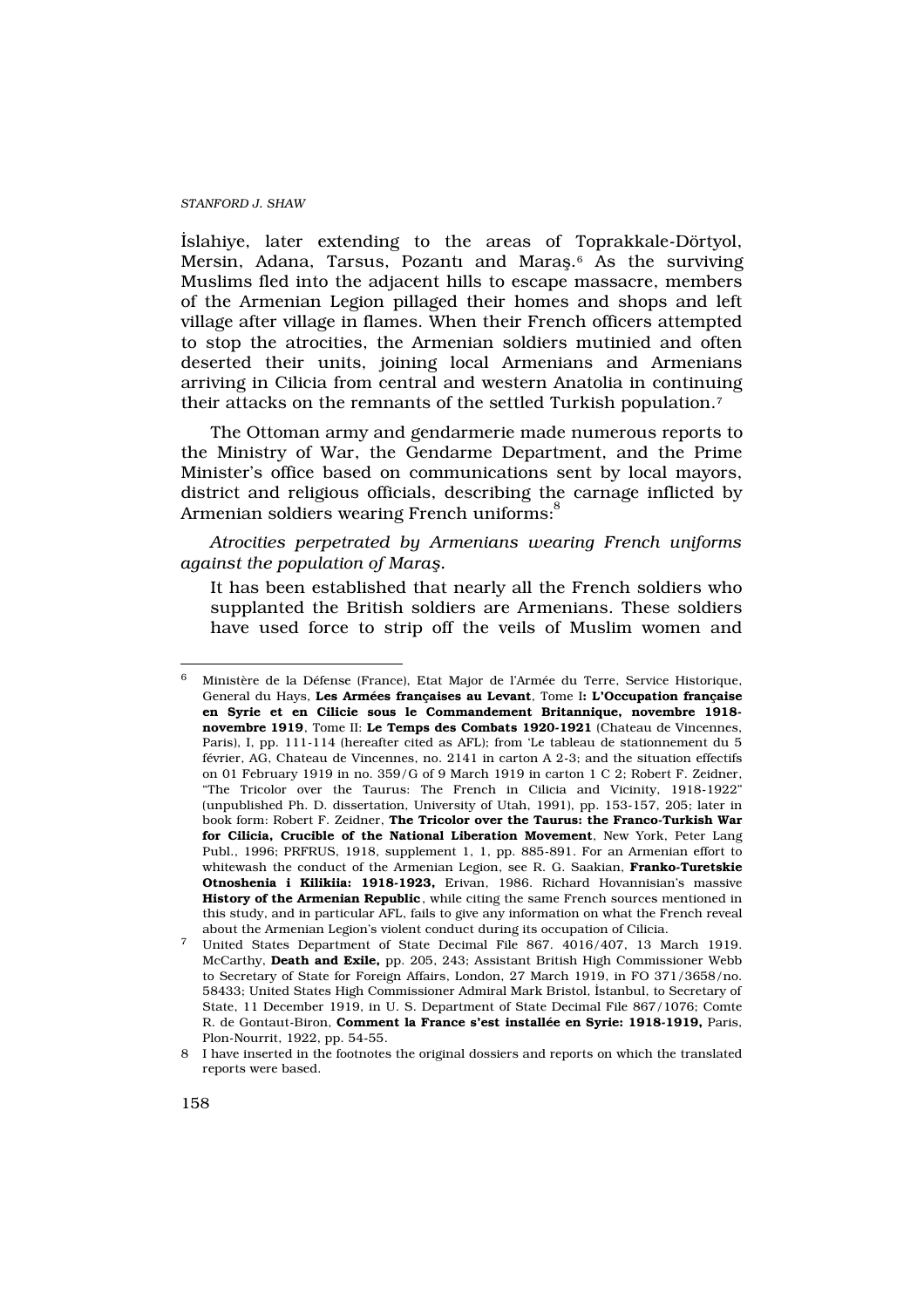‹slahiye, later extending to the areas of Toprakkale-Dörtyol, Mersin, Adana, Tarsus, Pozan $\mathrm{t\,}$  and Marafl. $^{\mathrm{6}}$  As the surviving Muslims fled into the adjacent hills to escape massacre, members of the Armenian Legion pillaged their homes and shops and left village after village in flames. When their French officers attempted to stop the atrocities, the Armenian soldiers mutinied and often deserted their units, joining local Armenians and Armenians arriving in Cilicia from central and western Anatolia in continuing their attacks on the remnants of the settled Turkish population.<sup>7</sup>

The Ottoman army and gendarmerie made numerous reports to the Ministry of War, the Gendarme Department, and the Prime Minister's office based on communications sent by local mayors, district and religious officials, describing the carnage inflicted by Armenian soldiers wearing French uniforms:<sup>8</sup>

Atrocities perpetrated by Armenians wearing French uniforms against the population of Mara.

It has been established that nearly all the French soldiers who supplanted the British soldiers are Armenians. These soldiers have used force to strip off the veils of Muslim women and

<sup>6</sup> Ministère de la Défense (France), Etat Major de l'Armée du Terre, Service Historique, General du Hays, Les Armées françaises au Levant, Tome I: L'Occupation française en Syrie et en Cilicie sous le Commandement Britannique, novembre 1918 novembre 1919, Tome II: Le Temps des Combats 1920-1921 (Chateau de Vincennes, Paris), I, pp. 111-114 (hereafter cited as AFL); from 'Le tableau de stationnement du 5 février, AG, Chateau de Vincennes, no. 2141 in carton A 2-3; and the situation effectifs on 01 February 1919 in no. 359/G of 9 March 1919 in carton 1 C 2; Robert F. Zeidner, "The Tricolor over the Taurus: The French in Cilicia and Vicinity, 1918-1922" (unpublished Ph. D. dissertation, University of Utah, 1991), pp. 153-157, 205; later in book form: Robert F. Zeidner, The Tricolor over the Taurus: the Franco-Turkish War for Cilicia, Crucible of the National Liberation Movement, New York, Peter Lang Publ., 1996; PRFRUS, 1918, supplement 1, 1, pp. 885-891. For an Armenian effort to whitewash the conduct of the Armenian Legion, see R. G. Saakian, Franko-Turetskie Otnoshenia i Kilikiia: 1918-1923, Erivan, 1986. Richard Hovannisian's massive History of the Armenian Republic, while citing the same French sources mentioned in this study, and in particular AFL, fails to give any information on what the French reveal about the Armenian Legion's violent conduct during its occupation of Cilicia.

<sup>7</sup> United States Department of State Decimal File 867. 4016/407, 13 March 1919. McCarthy, Death and Exile, pp. 205, 243; Assistant British High Commissioner Webb to Secretary of State for Foreign Affairs, London, 27 March 1919, in FO 371/3658/no. 58433; United States High Commissioner Admiral Mark Bristol, ‹stanbul, to Secretary of State, 11 December 1919, in U. S. Department of State Decimal File 867/1076; Comte R. de Gontaut-Biron, Comment la France s'est installée en Syrie: 1918-1919, Paris, Plon-Nourrit, 1922, pp. 54-55.

<sup>8</sup> I have inserted in the footnotes the original dossiers and reports on which the translated reports were based.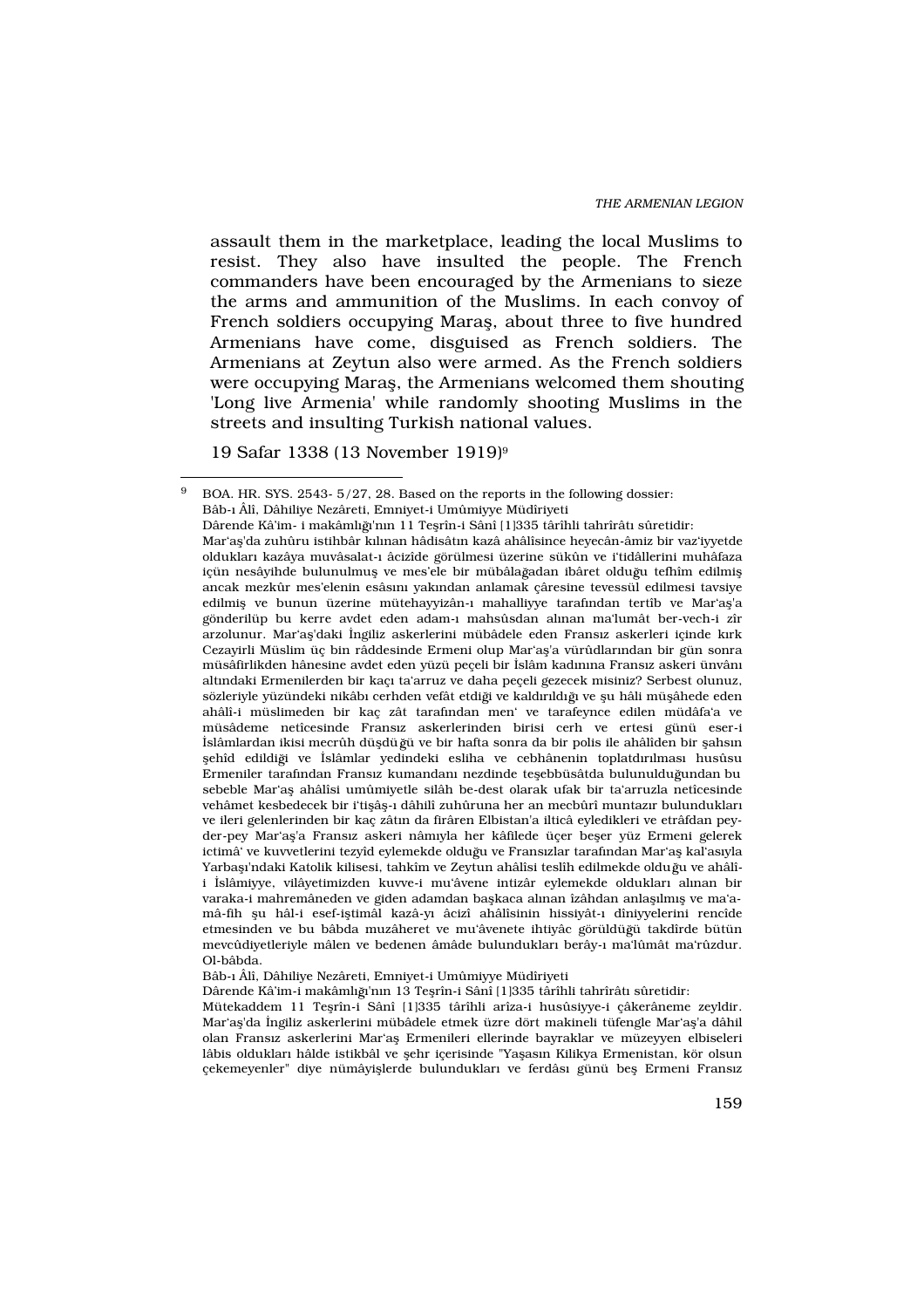assault them in the marketplace, leading the local Muslims to resist. They also have insulted the people. The French commanders have been encouraged by the Armenians to sieze the arms and ammunition of the Muslims. In each convoy of French soldiers occupying Marafl, about three to five hundred Armenians have come, disguised as French soldiers. The Armenians at Zeytun also were armed. As the French soldiers were occupying Marafl, the Armenians welcomed them shouting 'Long live Armenia' while randomly shooting Muslims in the streets and insulting Turkish national values.

19 Safar 1338 (13 November 1919)<sup>9</sup>

 $9$  BOA. HR. SYS. 2543- 5/27, 28. Based on the reports in the following dossier: Bâb-› Âlî, Dâhiliye Nezâreti, Emniyet-i Umûmiyye Müdîriyeti Dârende Kâ'im- i makâml<sup>®</sup>'n<sup></sup>n 11 Teflrîn-i Sânî [1]335 târîhli tahrîrât sûretidir: Mar'afl'da zuhûru istihbâr k›l·nan hâdisât·n kazâ ahâlîsince heyecân-âmiz bir vaz'iyyetde olduklar› kazâya muvâsalat-› âcizîde görülmesi üzerine sükûn ve i'tidâllerini muhâfaza içün nesâyihde bulunulmufl ve mes'ele bir mübâlağadan ibâret olduğu tefhîm edilmifl ancak mezkûr mes'elenin esâs›n› yak›ndan anlamak çâresine tevessül edilmesi tavsiye edilmifl ve bunun üzerine mütehayyizân-> mahalliyye tarafından tertîb ve Mar'afl'a gönderilüp bu kerre avdet eden adam-> mahsûsdan al-nan ma'lumât ber-vech-i zîr arzolunur. Mar'afl'daki ‹ngiliz askerlerini mübâdele eden Frans›z askerleri içinde kyrk Cezayirli Müslim üç bin râddesinde Ermeni olup Mar'afl'a vürûdlar›ndan bir gün sonra müsâfirlikden hânesine avdet eden yüzü peçeli bir ‹slâm kad›n›na Frans›z askeri ünvân› alt›ndaki Ermenilerden bir kaç› ta'arruz ve daha peçeli gezecek misiniz? Serbest olunuz, sözleriyle yüzündeki nikâb› cerhden vefât etdiği ve kaldırıldığı ve flu hâli müflâhede eden ahâlî-i müslimeden bir kac zât tarafından men' ve tarafeynce edilen müdâfa'a ve müsâdeme netîcesinde Frans›z askerlerinden birisi cerh ve ertesi günü eser-i «slâmlardan ikisi mecrûh düfldüğü ve bir hafta sonra da bir polis ile ahâlîden bir flahs»n flehîd edildiği ve «slâmlar yedindeki esliha ve cebhânenin toplatd<sup>3</sup>r>lmas» husûsu Ermeniler tarafından Fransız kumandan nezdinde teflebbüsâtda bulunulduğundan bu sebeble Mar'afl ahâlîsi umûmiyetle silâh be-dest olarak ufak bir ta'arruzla netîcesinde vehâmet kesbedecek bir i'tiflâfl-› dâhilî zuhûruna her an mecbûrî muntaz<sub>'</sub>r bulunduklar› ve ileri gelenlerinden bir kaç zâth da firâren Elbistan'a ilticâ eyledikleri ve etrâfdan peyder-pey Mar'afl'a Frans›z askeri nâm›yla her kâfilede üçer befler yüz Ermeni gelerek ictimâ' ve kuvvetlerini tezyîd eylemekde olduğu ve Frans>zlar tarafından Mar'afl kal'as>yla Yarbafl<sup>'</sup>ndaki Katolik kilisesi, tahkîm ve Zeytun ahâlîsi teslîh edilmekde olduğu ve ahâlîi ‹slâmiyye, vilâyetimizden kuvve-i mu'âvene intizâr eylemekde olduklar› al›nan bir varaka-i mahremâneden ve giden adamdan baflkaca al·nan îzâhdan anlafllm›fl ve ma'amâ-fih flu hâl-i esef-ifltimâl kazâ-y› âcizî ahâlîsinin hissiyât-› dîniyyelerini rencîde etmesinden ve bu bâbda muzâheret ve mu'âvenete ihtiyâc görüldüğü takdîrde bütün mevcûdiyetleriyle mâlen ve bedenen âmâde bulunduklar› berây-› ma'lûmât ma'rûzdur. Ol-bâbda.

Bâb-› Âlî, Dâhiliye Nezâreti, Emniyet-i Umûmiyye Müdîriyeti

Dârende Kâ'im-i makâml› $\Sigma$ 'n›n 13 Teflrîn-i Sânî [1]335 târîhli tahrîrât› sûretidir:

Mütekaddem 11 Teflrîn-i Sânî [1]335 târîhli arîza-i husûsiyye-i çâkerâneme zeyldir. Mar'afl'da ‹ngiliz askerlerini mübâdele etmek üzre dört makineli tüfengle Mar'afl'a dâhil olan Frans›z askerlerini Mar'afl Ermenileri ellerinde bayraklar ve müzeyyen elbiseleri lâbis olduklar› hâlde istikbâl ve flehr içerisinde "Yaflas›n Kilikya Ermenistan, kör olsun çekemeyenler" diye nümâyifllerde bulunduklar› ve ferdâs› günü befl Ermeni Frans›z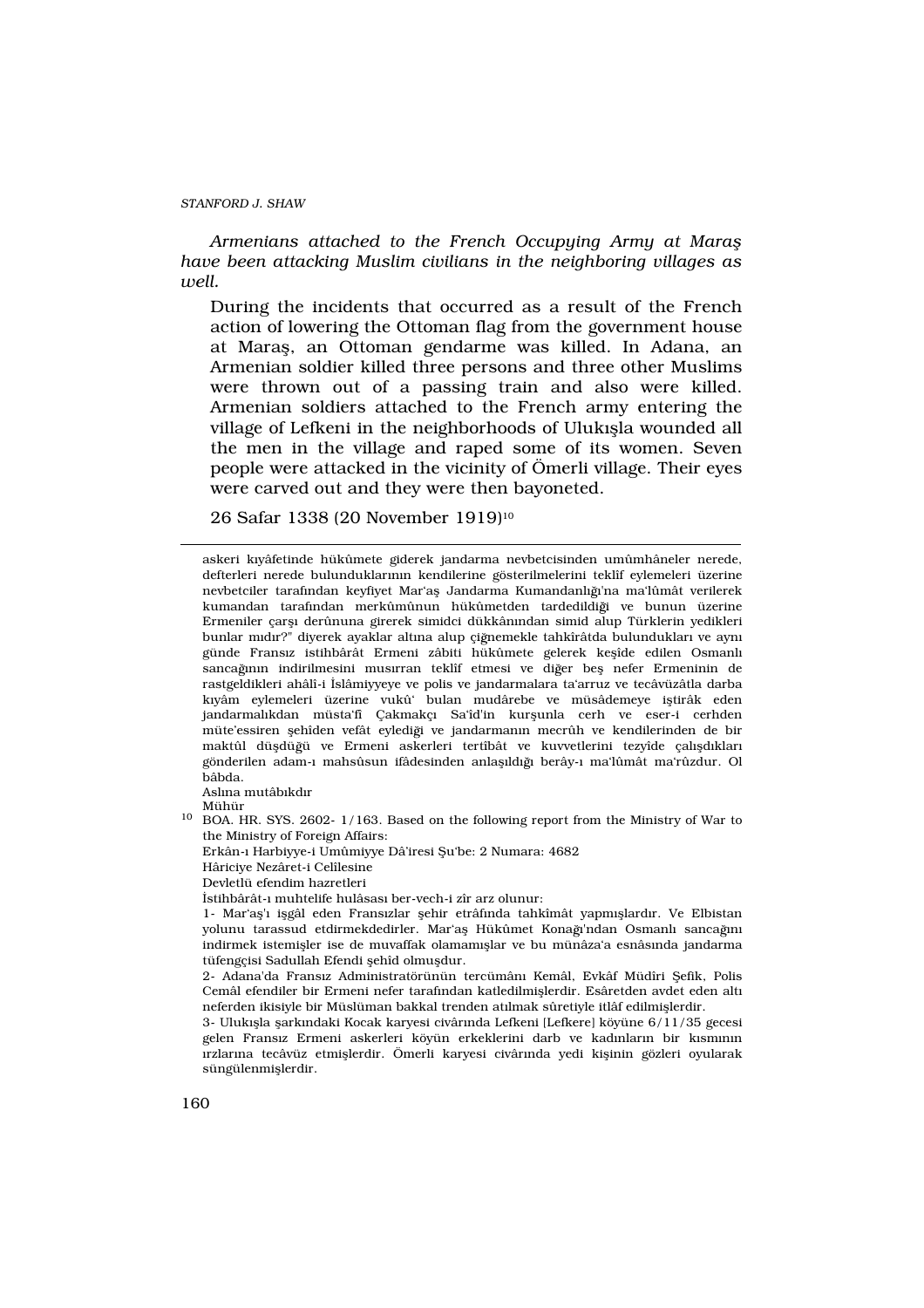Armenians attached to the French Occupying Army at Mara have been attacking Muslim civilians in the neighboring villages as well.

During the incidents that occurred as a result of the French action of lowering the Ottoman flag from the government house at Marafl, an Ottoman gendarme was killed. In Adana, an Armenian soldier killed three persons and three other Muslims were thrown out of a passing train and also were killed. Armenian soldiers attached to the French army entering the village of Lefkeni in the neighborhoods of Uluk›flla wounded all the men in the village and raped some of its women. Seven people were attacked in the vicinity of Ömerli village. Their eyes were carved out and they were then bayoneted.

26 Safar 1338 (20 November 1919)<sup>10</sup>

askeri k›yâfetinde hükûmete giderek jandarma nevbetcisinden umûmhâneler nerede, defterleri nerede bulunduklarının kendilerine gösterilmelerini teklîf eylemeleri üzerine nevbetciler taraf›ndan keyfiyet Mar'afl Jandarma Kumandanl› ›'na ma'lûmât verilerek kumandan tarafından merkûmûnun hükûmetden tardedildiği ve bunun üzerine Ermeniler çarfl› derûnuna girerek simidci dükkân›ndan simid alup Türklerin yedikleri bunlar m·d›r?" diyerek ayaklar altına alup çiğnemekle tahkîrâtda bulunduklar› ve ayn› günde Frans›z istihbârât Ermeni zâbiti hükûmete gelerek keflîde edilen Osmanl› sancağının indirilmesini musvrran teklîf etmesi ve diğer befl nefer Ermeninin de rastgeldikleri ahâlî-i ‹slâmiyyeye ve polis ve jandarmalara ta'arruz ve tecâvüzâtla darba k›yâm eylemeleri üzerine vukû' bulan mudârebe ve müsâdemeye ifltirâk eden jandarmal›kdan müsta'fî Çakmakç› Sa'îd'in kurflunla cerh ve eser-i cerhden müte'essiren flehîden vefât eylediği ve jandarmanan mecrûh ve kendilerinden de bir maktûl düfldüğü ve Ermeni askerleri tertîbât ve kuvvetlerini tezyîde çal›fld›klar› gönderilen adam-› mahsûsun ifâdesinden anlaflld $\check{\phi}$  berây-› ma'lûmât ma'rûzdur. Ol bâbda.

Asl›na mutâb›kd›r Mühür

<sup>10</sup> BOA. HR. SYS. 2602- 1/163. Based on the following report from the Ministry of War to the Ministry of Foreign Affairs:

Erkân-› Harbiyye-i Umûmiyye Dâ'iresi fiu'be: 2 Numara: 4682

Hâriciye Nezâret-i Celîlesine

Devletlü efendim hazretleri

‹stihbârât-› muhtelife hulâsas› ber-vech-i zîr arz olunur:

1- Mar'afl'› iflgâl eden Frans›zlar flehir etrâf›nda tahkîmât yapm›fllard›r. Ve Elbistan volunu tarassud etdirmekdedirler. Mar'afl Hükûmet Konağ'ından Osmanly sancağın indirmek istemifller ise de muvaffak olamam›fllar ve bu münâza'a esnâs›nda jandarma tüfengçisi Sadullah Efendi flehîd olmufldur.

2- Adana'da Frans›z Administratörünün tercümân› Kemâl, Evkâf Müdîri fiefik, Polis Cemâl efendiler bir Ermeni nefer tarafından katledilmifllerdir. Esâretden avdet eden alt neferden ikisiyle bir Müslüman bakkal trenden atlmak sûretiyle itlâf edilmifllerdir.

3- Uluk›flla flark›ndaki Kocak karyesi civâr›nda Lefkeni [Lefkere] köyüne 6/11/35 gecesi gelen Frans>z Ermeni askerleri köyün erkeklerini darb ve kad>nlar>n bir k>sm>n>n ›rzlar›na tecâvüz etmifllerdir. Ömerli karyesi civâr›nda yedi kiflinin gözleri oyularak süngülenmifllerdir.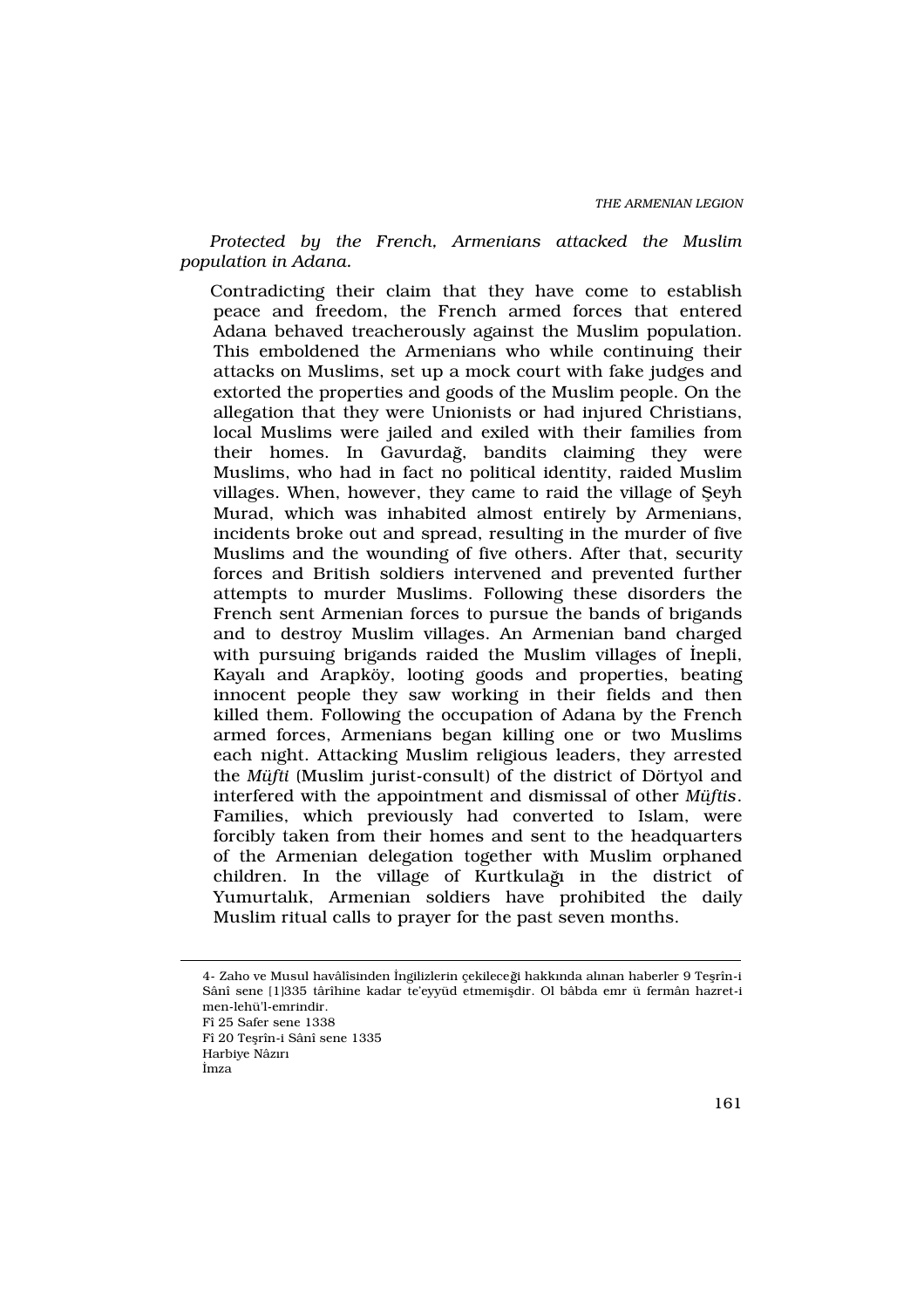Protected by the French, Armenians attacked the Muslim population in Adana.

Contradicting their claim that they have come to establish peace and freedom, the French armed forces that entered Adana behaved treacherously against the Muslim population. This emboldened the Armenians who while continuing their attacks on Muslims, set up a mock court with fake judges and extorted the properties and goods of the Muslim people. On the allegation that they were Unionists or had injured Christians, local Muslims were jailed and exiled with their families from their homes. In Gavurdağ, bandits claiming they were Muslims, who had in fact no political identity, raided Muslim villages. When, however, they came to raid the village of fieyh Murad, which was inhabited almost entirely by Armenians, incidents broke out and spread, resulting in the murder of five Muslims and the wounding of five others. After that, security forces and British soldiers intervened and prevented further attempts to murder Muslims. Following these disorders the French sent Armenian forces to pursue the bands of brigands and to destroy Muslim villages. An Armenian band charged with pursuing brigands raided the Muslim villages of ‹nepli, Kayal› and Arapköy, looting goods and properties, beating innocent people they saw working in their fields and then killed them. Following the occupation of Adana by the French armed forces, Armenians began killing one or two Muslims each night. Attacking Muslim religious leaders, they arrested the Müfti (Muslim jurist-consult) of the district of Dörtyol and interfered with the appointment and dismissal of other Müftis. Families, which previously had converted to Islam, were forcibly taken from their homes and sent to the headquarters of the Armenian delegation together with Muslim orphaned children. In the village of Kurtkulağ in the district of Yumurtal<sub>k</sub>, Armenian soldiers have prohibited the daily Muslim ritual calls to prayer for the past seven months.

<sup>4-</sup> Zaho ve Musul havâlîsinden ‹ngilizlerin çekileceği hakk›nda al›nan haberler 9 Teflrîn-i Sânî sene [1]335 târîhine kadar te'eyyüd etmemifldir. Ol bâbda emr ü fermân hazret-i men-lehü'l-emrindir. Fî 25 Safer sene 1338 Fî 20 Teflrîn-i Sânî sene 1335 Harbiye Nâz›r›

<sup>‹</sup>mza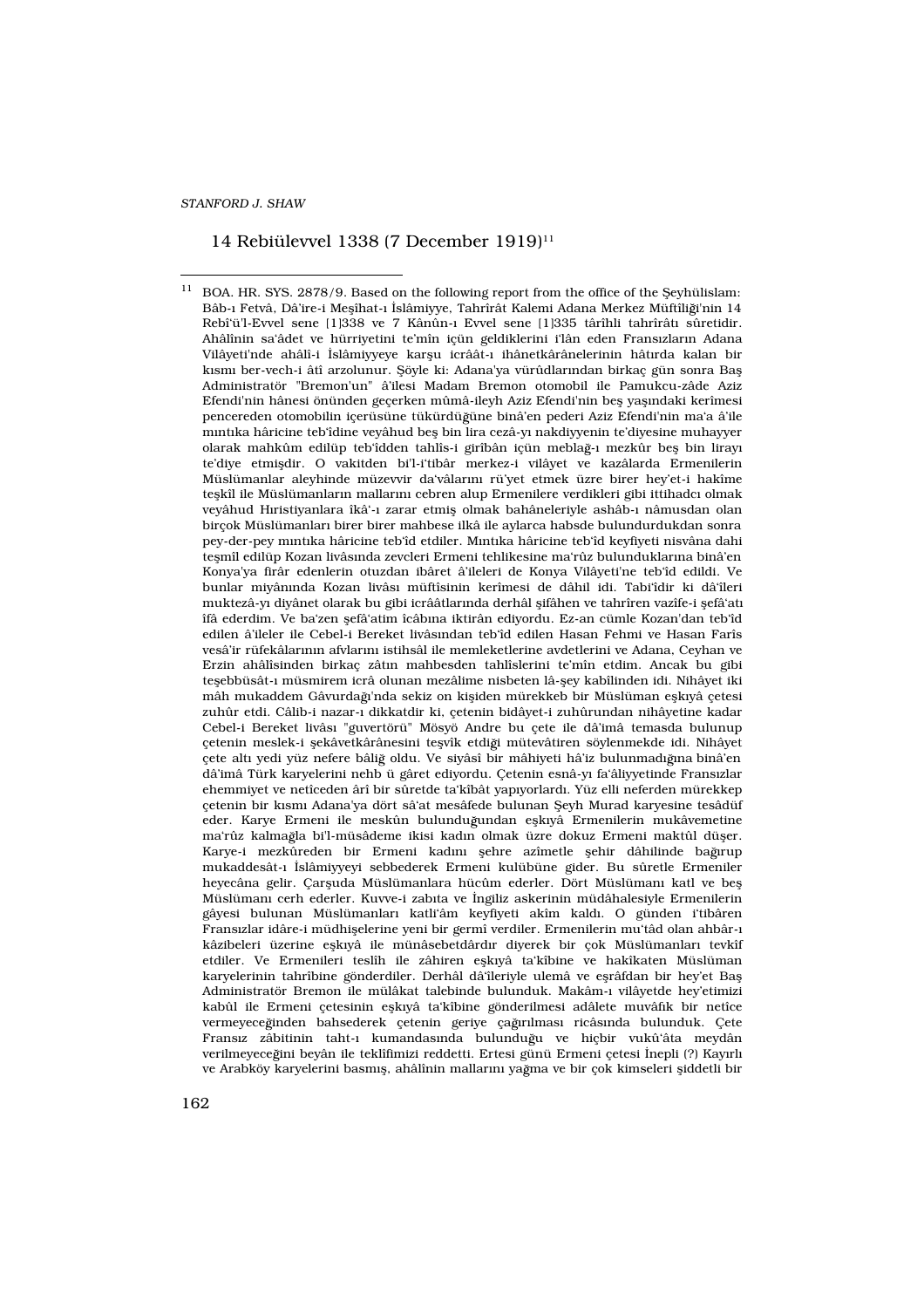### 14 Rebiülevvel 1338 (7 December 1919)<sup>11</sup>

<sup>11</sup> BOA. HR. SYS. 2878/9. Based on the following report from the office of the fieyhülislam: Bâb-› Fetvâ, Dâ'ire-i Meflîhat-› ‹slâmiyye, Tahrîrât Kalemi Adana Merkez Müftîliği'nin 14 Rebî'ü'l-Evvel sene [1]338 ve 7 Kânûn-› Evvel sene [1]335 târîhli tahrîrât› sûretidir. Ahâlînin sa'âdet ve hürriyetini te'mîn içün geldiklerini i'lân eden Frans›zlar›n Adana Vilâyeti'nde ahâlî-i ‹slâmiyyeye karflu icrâât-› ihânetkârânelerinin hât>rda kalan bir k›sm› ber-vech-i âtî arzolunur. fiöyle ki: Adana'ya vürûdlar›ndan birkaç gün sonra Bafl Administratör "Bremon'un" â'ilesi Madam Bremon otomobil ile Pamukcu-zâde Aziz Efendi'nin hânesi önünden geçerken mûmâ-ileyh Aziz Efendi'nin befl yaflındaki kerîmesi pencereden otomobilin içerüsüne tükürdü üne binâ'en pederi Aziz Efendi'nin ma'a â'ile m›nt›ka hâricine teb'îdine veyâhud befl bin lira cezâ-y› nakdiyyenin te'diyesine muhayyer olarak mahkûm edilüp teb'îdden tahlîs-i girîbân içün meblağ-> mezkûr befl bin liray> te'diye etmifldir. O vakitden bi'l-i'tibâr merkez-i vilâyet ve kazâlarda Ermenilerin Müslümanlar aleyhinde müzevvir da'vâlar›n› rü'yet etmek üzre birer hey'et-i hakîme teflkîl ile Müslümanlar›n mallar›n› cebren alup Ermenilere verdikleri gibi ittihadc› olmak veyâhud H›ristiyanlara îkâ'-› zarar etmifl olmak bahâneleriyle ashâb-› nâmusdan olan birçok Müslümanlar› birer birer mahbese ilkâ ile aylarca habsde bulundurdukdan sonra pey-der-pey m›nt›ka hâricine teb'îd etdiler. M›nt›ka hâricine teb'îd keyfiyeti nisvâna dahi teflmîl edilüp Kozan livâs›nda zevcleri Ermeni tehlikesine ma'rûz bulunduklar›na binâ'en Konya'ya firâr edenlerin otuzdan ibâret â'ileleri de Konya Vilâyeti'ne teb'îd edildi. Ve bunlar miyân›nda Kozan livâs› müftîsinin kerîmesi de dâhil idi. Tabi'îdir ki dâ'îleri muktezâ-y› diyânet olarak bu gibi icrââtlar›nda derhâl flifâhen ve tahrîren vazîfe-i flefâ'at› îfâ ederdim. Ve ba'zen flefâ'atim îcâb›na iktirân ediyordu. Ez-an cümle Kozan'dan teb'îd edilen â'ileler ile Cebel-i Bereket livâs›ndan teb'îd edilen Hasan Fehmi ve Hasan Farîs vesâ'ir rüfekâlar›n›n afvlar›n› istihsâl ile memleketlerine avdetlerini ve Adana, Ceyhan ve Erzin ahâlîsinden birkaç zât›n mahbesden tahlîslerini te'mîn etdim. Ancak bu gibi teflebbüsât-› müsmirem icrâ olunan mezâlime nisbeten lâ-fley kabîlinden idi. Nihâyet iki mâh mukaddem Gâvurdağ'nda sekiz on kifliden mürekkeb bir Müslüman eflkoyâ çetesi zuhûr etdi. Câlib-i nazar-› dikkatdir ki, çetenin bidâyet-i zuhûrundan nihâyetine kadar Cebel-i Bereket livâs› "guvertörü" Mösyö Andre bu çete ile dâ'imâ temasda bulunup çetenin meslek-i flekâvetkârânesini teflvîk etdiği mütevâtiren söylenmekde idi. Nihâyet çete alt yedi yüz nefere bâliğ oldu. Ve siyâsî bir mâhiyeti hâ'iz bulunmad ğna binâ'en dâ'imâ Türk karyelerini nehb ü gâret ediyordu. Çetenin esnâ-y› fa'âliyyetinde Frans›zlar ehemmiyet ve netîceden ârî bir sûretde ta'kîbât yap›yorlard›. Yüz elli neferden mürekkep çetenin bir k›sm› Adana'ya dört sâ'at mesâfede bulunan fieyh Murad karyesine tesâdüf eder. Karye Ermeni ile meskûn bulunduğundan eflkoyâ Ermenilerin mukâvemetine ma'rûz kalmağla bi'l-müsâdeme ikisi kadın olmak üzre dokuz Ermeni maktûl düfler. Karye-i mezkûreden bir Ermeni kadan flehre azîmetle flehir dâhilinde bağırup mukaddesât-› ‹slâmiyyeyi sebbederek Ermeni kulübüne gider. Bu sûretle Ermeniler heyecâna gelir. Çarfluda Müslümanlara hücûm ederler. Dört Müslüman› katl ve befl Müslüman› cerh ederler. Kuvve-i zab›ta ve ‹ngiliz askerinin müdâhalesiyle Ermenilerin gâyesi bulunan Müslümanlar› katli'âm keyfiyeti akîm kald›. O günden i'tibâren Frans›zlar idâre-i müdhiflelerine yeni bir germî verdiler. Ermenilerin mu'tâd olan ahbâr-› kâzibeleri üzerine eflk›yâ ile münâsebetdârd›r diyerek bir çok Müslümanlar› tevkîf etdiler. Ve Ermenileri teslîh ile zâhiren eflk›yâ ta'kîbine ve hakîkaten Müslüman karyelerinin tahrîbine gönderdiler. Derhâl dâ'îleriyle ulemâ ve eflrâfdan bir hey'et Bafl Administratör Bremon ile mülâkat talebinde bulunduk. Makâm-› vilâyetde hey'etimizi kabûl ile Ermeni çetesinin eflkoyâ ta'kîbine gönderilmesi adâlete muvâfok bir netîce vermeyeceğinden bahsederek çetenin geriye çağırılmas ricâsında bulunduk. Çete Frans>z zâbitinin taht-> kumandas>nda bulunduğu ve hicbir vukûtâta meydân verilmeyeceğini beyân ile teklîfimizi reddetti. Ertesi günü Ermeni çetesi ‹nepli (?) Kay›rl› ve Arabköy karyelerini basm<sup>f</sup>l, ahâlînin mallar<sub>ı</sub>n, yağma ve bir çok kimseleri fliddetli bir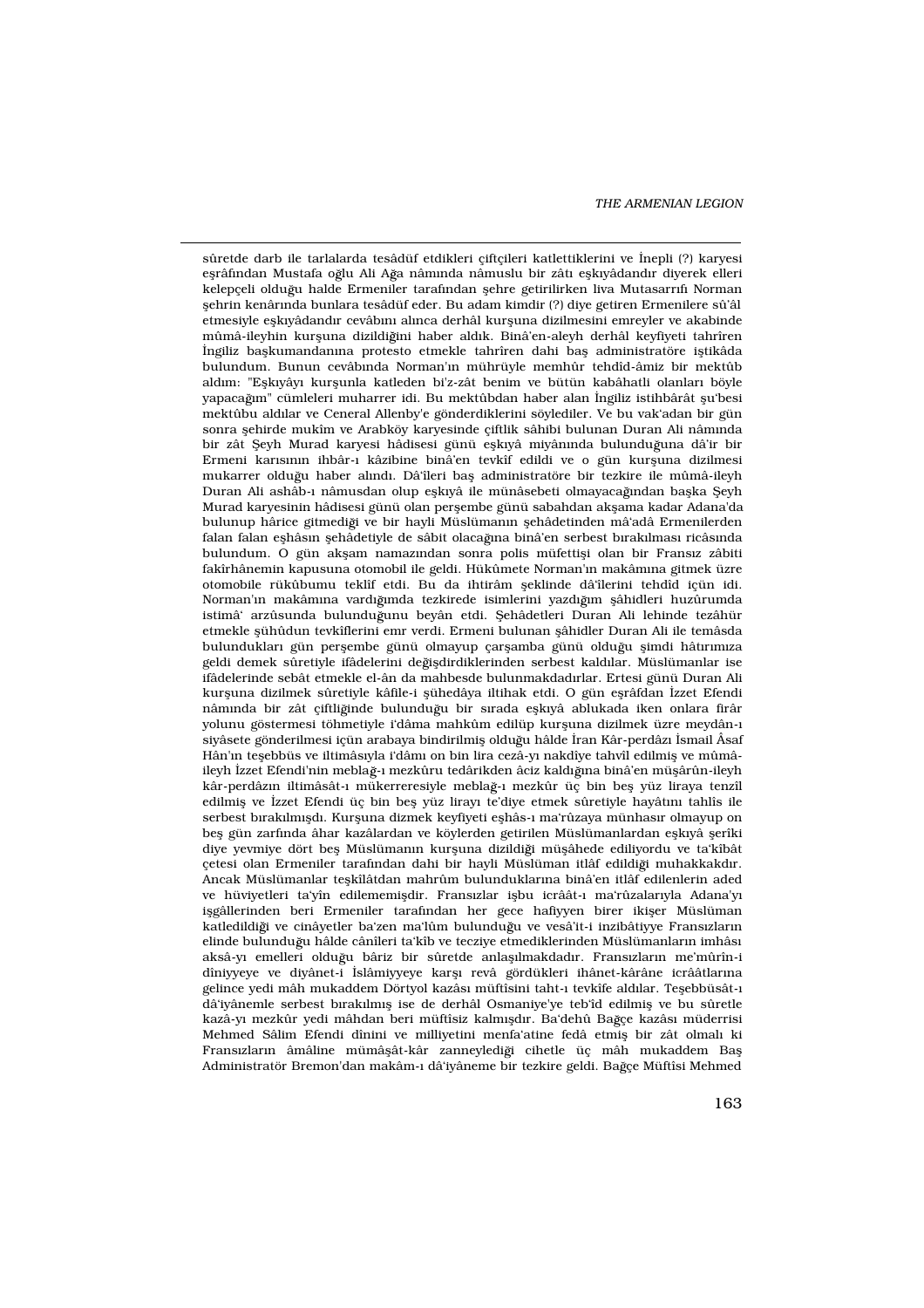THE ARMENIAN LEGION

sûretde darb ile tarlalarda tesâdüf etdikleri çiftçileri katlettiklerini ve ‹nepli (?) karyesi eflrâf<sub>ndan</sub> Mustafa oğlu Ali Ağa nâm**onda nâmuslu bir zât** eflkoyâdandor diyerek elleri kelepçeli olduğu halde Ermeniler tarafından flehre getirilirken liva Mutasarrıfı Norman flehrin kenâr›nda bunlara tesâdüf eder. Bu adam kimdir (?) diye getiren Ermenilere sû'âl etmesiyle eflk›yâdand›r cevâb›n› al›nca derhâl kurfluna dizilmesini emreyler ve akabinde mûmâ-ileyhin kurfluna dizildiğini haber ald<sup>k</sup>. Binâ'en-aleyh derhâl keyfiyeti tahrîren ‹ngiliz baflkumandan›na protesto etmekle tahrîren dahi bafl administratöre ifltikâda bulundum. Bunun cevâb›nda Norman'›n mührüyle memhûr tehdîd-âmiz bir mektûb ald›m: "Eflk›yây› kurflunla katleden bi'z-zât benim ve bütün kabâhatli olanlar› böyle yapaca »m" cümleleri muharrer idi. Bu mektûbdan haber alan ‹ngiliz istihbârât flu'besi mektûbu ald›lar ve Ceneral Allenby'e gönderdiklerini söylediler. Ve bu vak'adan bir gün sonra flehirde mukîm ve Arabköy karyesinde çiftlik sâhibi bulunan Duran Ali nâm›nda bir zât fieyh Murad karyesi hâdisesi günü eflkoyâ miyânonda bulunduğuna dâ'ir bir Ermeni kar›s›n›n ihbâr-› kâzibine binâ'en tevkîf edildi ve o gün kurfluna dizilmesi mukarrer olduğu haber al·nd<sup>.</sup>. Dâ'îleri bafl administratöre bir tezkire ile mûmâ-ileyh Duran Ali ashâb-› nâmusdan olup eflkvâ ile münâsebeti olmayaca yndan baflka fieyh Murad karyesinin hâdisesi günü olan perflembe günü sabahdan akflama kadar Adana'da bulunup hârice gitmediği ve bir hayli Müslüman<sub>'</sub>n flehâdetinden mâ'adâ Ermenilerden falan falan eflhâs»n flehâdetiyle de sâbit olaca »na binâ'en serbest byrak›lmas› ricâs›nda bulundum. O gün akflam namaz›ndan sonra polis müfettifli olan bir Frans›z zâbiti fakîrhânemin kapusuna otomobil ile geldi. Hükûmete Norman'›n makâm›na gitmek üzre otomobile rükûbumu teklîf etdi. Bu da ihtirâm fleklinde dâ'îlerini tehdîd içün idi. Norman'ın makâmına vardığında tezkirede isimlerini yazdığın flâhidleri huzûrumda istimâ' arzûsunda bulunduğunu beyân etdi. fiehâdetleri Duran Ali lehinde tezâhür etmekle flühûdun tevkîflerini emr verdi. Ermeni bulunan flâhidler Duran Ali ile temâsda bulunduklar› gün perflembe günü olmayup çarflamba günü olduğu flimdi hâtırımaza geldi demek sûretiyle ifâdelerini değifldirdiklerinden serbest kald<sup>lar</sup>. Müslümanlar ise ifâdelerinde sebât etmekle el-ân da mahbesde bulunmakdad›rlar. Ertesi günü Duran Ali kurfluna dizilmek sûretiyle kâfile-i flühedâya iltihak etdi. O gün eflrâfdan ‹zzet Efendi nâm<sub>'</sub>nda bir zât çiftliğinde bulunduğu bir sırada eflkıyâ ablukada iken onlara firâr yolunu göstermesi töhmetiyle i'dâma mahkûm edilüp kurfluna dizilmek üzre meydân-› siyâsete gönderilmesi içün arabaya bindirilmifl olduğu hâlde ‹ran Kâr-perdâz› ‹smail Âsaf Hân'›n teflebbüs ve iltimâs›yla i'dâm› on bin lira cezâ-y› nakdîye tahvîl edilmifl ve mûmâileyh <zzet Efendi'nin meblağ-› mezkûru tedârikden âciz kald>ğ>na binâ'en müflârûn-ileyh kâr-perdâz<sub>'</sub>n iltimâsât-› mükerreresiyle meblağ-› mezkûr üç bin befl yüz liraya tenzîl edilmifl ve «zzet Efendi üç bin befl yüz liray› te'diye etmek sûretiyle hayât<sub>n</sub> tahlîs ile serbest b·rak›lm›fld›. Kurfluna dizmek keyfiyeti eflhâs-› ma'rûzaya münhas›r olmayup on befl gün zarf›nda âhar kazâlardan ve köylerden getirilen Müslümanlardan eflk›yâ flerîki diye yevmiye dört befl Müslüman›n kurfluna dizildiği müflâhede ediliyordu ve ta'kîbât cetesi olan Ermeniler tarafından dahi bir hayli Müslüman itlâf edildiği muhakkakdar. Ancak Müslümanlar teflkîlâtdan mahrûm bulunduklar›na binâ'en itlâf edilenlerin aded ve hüviyetleri ta'yîn edilememifldir. Frans›zlar iflbu icrâât-› ma'rûzalar›yla Adana'y› iflgâllerinden beri Ermeniler taraf›ndan her gece hafiyyen birer ikifler Müslüman katledildiği ve cinâyetler ba'zen ma'lûm bulunduğu ve vesâ'it-i inzibâtiyye Frans>zlar>n elinde bulunduğu hâlde cânîleri ta'kîb ve tecziye etmediklerinden Müslümanlar<sub>'</sub>n imhâs» aksâ-y emelleri olduğu bâriz bir sûretde anlafllmakdadar. Fransazlaran me'mûrîn-i dîniyyeye ve diyânet-i ‹slâmiyyeye karfl› revâ gördükleri ihânet-kârâne icrââtlar›na gelince yedi mâh mukaddem Dörtyol kazâs› müftîsini taht-› tevkîfe ald›lar. Teflebbüsât-› dâ'iyânemle serbest b›rak›lm›fl ise de derhâl Osmaniye'ye teb'îd edilmifl ve bu sûretle kazâ-y mezkûr yedi mâhdan beri müftîsiz kalm›fld›r. Ba'dehû Bağçe kazâs› müderrisi Mehmed Sâlim Efendi dînini ve milliyetini menfa'atine fedâ etmifl bir zât olmal› ki Frans>zlar>n âmâline mümâflât-kâr zanneylediği cihetle üç mâh mukaddem Bafl Administratör Bremon'dan makâm-> dâ'iyâneme bir tezkire geldi. Bağçe Müftîsi Mehmed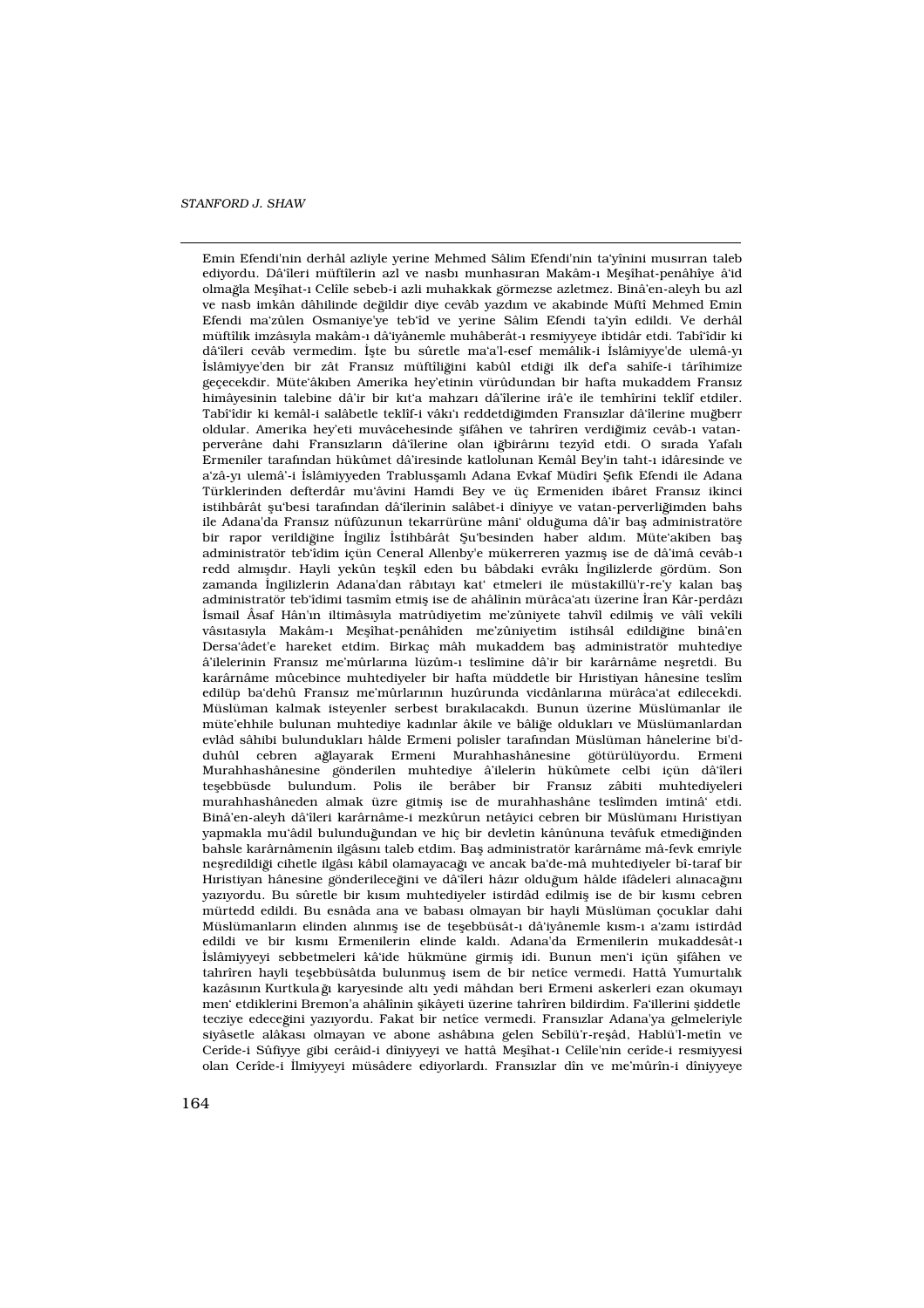Emin Efendi'nin derhâl azliyle yerine Mehmed Sâlim Efendi'nin ta'yînini mus›rran taleb ediyordu. Dâ'îleri müftîlerin azl ve nasb> munhas>ran Makâm-> Meflîhat-penâhîye â'id olma la Meflîhat-› Celîle sebeb-i azli muhakkak görmezse azletmez. Binâ'en-aleyh bu azl ve nasb imkân dâhilinde değildir diye cevâb yazd>m ve akabinde Müftî Mehmed Emin Efendi ma'zûlen Osmaniye'ye teb'îd ve yerine Sâlim Efendi ta'yîn edildi. Ve derhâl müftîlik imzâs›yla makâm-› dâ'iyânemle muhâberât-› resmiyyeye ibtidâr etdi. Tabî'îdir ki dâ'îleri cevâb vermedim. ‹flte bu sûretle ma'a'l-esef memâlik-i ‹slâmiyye'de ulemâ-y› «slâmiyye'den bir zât Frans»z müftîliğini kabûl etdiği ilk defa sahîfe-i târîhimize geçecekdir. Müte'âk›ben Amerika hey'etinin vürûdundan bir hafta mukaddem Frans›z himâyesinin talebine dâ'ir bir k›t'a mahzar› dâ'îlerine irâ'e ile temhîrini teklîf etdiler. Tabî'îdir ki kemâl-i salâbetle teklîf-i vâk<sup>+</sup>> reddetdiğimden Frans>zlar dâ'îlerine muğberr oldular. Amerika hey'eti muvâcehesinde flifâhen ve tahrîren verdiğimiz cevâb-> vatanperverâne dahi Frans›zlar›n dâ'îlerine olan iğbirâr›n› tezyîd etdi. O s›rada Yafal› Ermeniler taraf›ndan hükûmet dâ'iresinde katlolunan Kemâl Bey'in taht-› idâresinde ve a'zâ-y› ulemâ'-i ‹slâmiyyeden Trablusflaml› Adana Evkaf Müdîri fiefik Efendi ile Adana Türklerinden defterdâr mu'âvini Hamdi Bey ve üç Ermeniden ibâret Frans›z ikinci istihbârât flu'besi tarafından dâ'îlerinin salâbet-i dîniyye ve vatan-perverliğimden bahs ile Adana'da Frans>z nüfûzunun tekarrürüne mâni' olduğuma dâ'ir bafl administratöre bir rapor verildiğine ‹ngiliz ‹stihbârât fiu'besinden haber ald·m. Müte'akiben bafl administratör teb'îdim içün Ceneral Allenby'e mükerreren yazm›fl ise de dâ'imâ cevâb-› redd alm›fld›r. Hayli yekûn teflkîl eden bu bâbdaki evrâk› ‹ngilizlerde gördüm. Son zamanda ‹ngilizlerin Adana'dan râb›tay› kat' etmeleri ile müstakillü'r-re'y kalan bafl administratör teb'îdimi tasmîm etmifl ise de ahâlînin mürâca'at üzerine ‹ran Kâr-perdâz› ‹smail Âsaf Hân'›n iltimâs›yla matrûdiyetim me'zûniyete tahvîl edilmifl ve vâlî vekîli vâs·tas·yla Makâm-› Meffîhat-penâhîden me'zûniyetim istihsâl edildiğine binâ'en Dersa'âdet'e hareket etdim. Birkaç mâh mukaddem bafl administratör muhtediye â'ilelerinin Frans›z me'mûrlar›na lüzûm-› teslîmine dâ'ir bir karârnâme neflretdi. Bu karârnâme mûcebince muhtediyeler bir hafta müddetle bir Hyristiyan hânesine teslîm edilüp ba'dehû Frans›z me'mûrlar›n›n huzûrunda vicdânlar›na mürâca'at edilecekdi. Müslüman kalmak isteyenler serbest b›rak›lacakd›. Bunun üzerine Müslümanlar ile müte'ehhile bulunan muhtediye kad>nlar âkile ve bâliğe olduklar> ve Müslümanlardan evlâd sâhibi bulunduklar› hâlde Ermeni polisler taraf›ndan Müslüman hânelerine bi'dduhûl cebren ağlayarak Ermeni Murahhashânesine götürülüyordu. Ermeni Murahhashânesine gönderilen muhtediye â'ilelerin hükûmete celbi içün dâ'îleri teflebbüsde bulundum. Polis ile berâber bir Frans›z zâbiti muhtediyeleri murahhashâneden almak üzre gitmifl ise de murahhashâne teslîmden imtinâ' etdi. Binâ'en-aleyh dâ'îleri karârnâme-i mezkûrun netâyici cebren bir Müslüman Hyristiyan yapmakla mu'âdil bulunduğundan ve hiç bir devletin kânûnuna tevâfuk etmediğinden bahsle karârnâmenin ilgâs›n› taleb etdim. Bafl administratör karârnâme mâ-fevk emriyle neflredildiği cihetle ilgâs› kâbil olamayacağ› ve ancak ba'de-mâ muhtediyeler bî-taraf bir H›ristiyan hânesine gönderileceğini ve dâ'îleri hâz›r olduğum hâlde ifâdeleri al›nacağ›n› yaz·yordu. Bu sûretle bir k·s·m muhtediyeler istirdâd edilmifl ise de bir k·sm› cebren mürtedd edildi. Bu esnâda ana ve babas› olmayan bir hayli Müslüman çocuklar dahi Müslümanlar<sub>ı</sub>n elinden al<sub>ı</sub>nmı<sup>f</sup>l ise de teflebbüsât-> dâ'iyânemle kısm-> a'zam> istirdâd edildi ve bir k›sm› Ermenilerin elinde kald›. Adana'da Ermenilerin mukaddesât-› ‹slâmiyyeyi sebbetmeleri kâ'ide hükmüne girmifl idi. Bunun men'i içün flifâhen ve tahrîren hayli teflebbüsâtda bulunmufl isem de bir netîce vermedi. Hattâ Yumurtal›k kazâs›n›n Kurtkula » karyesinde alt yedi mâhdan beri Ermeni askerleri ezan okumay› men' etdiklerini Bremon'a ahâlînin flikâyeti üzerine tahrîren bildirdim. Fa'illerini fliddetle tecziye edece ini yaz›yordu. Fakat bir netîce vermedi. Frans›zlar Adana'ya gelmeleriyle siyâsetle alâkas› olmayan ve abone ashâb›na gelen Sebîlü'r-reflâd, Hablü'l-metîn ve Cerîde-i Sûfiyye gibi cerâid-i dîniyyeyi ve hattâ Meflîhat-› Celîle'nin cerîde-i resmiyyesi olan Cerîde-i ‹lmiyyeyi müsâdere ediyorlard›. Frans›zlar dîn ve me'mûrîn-i dîniyyeye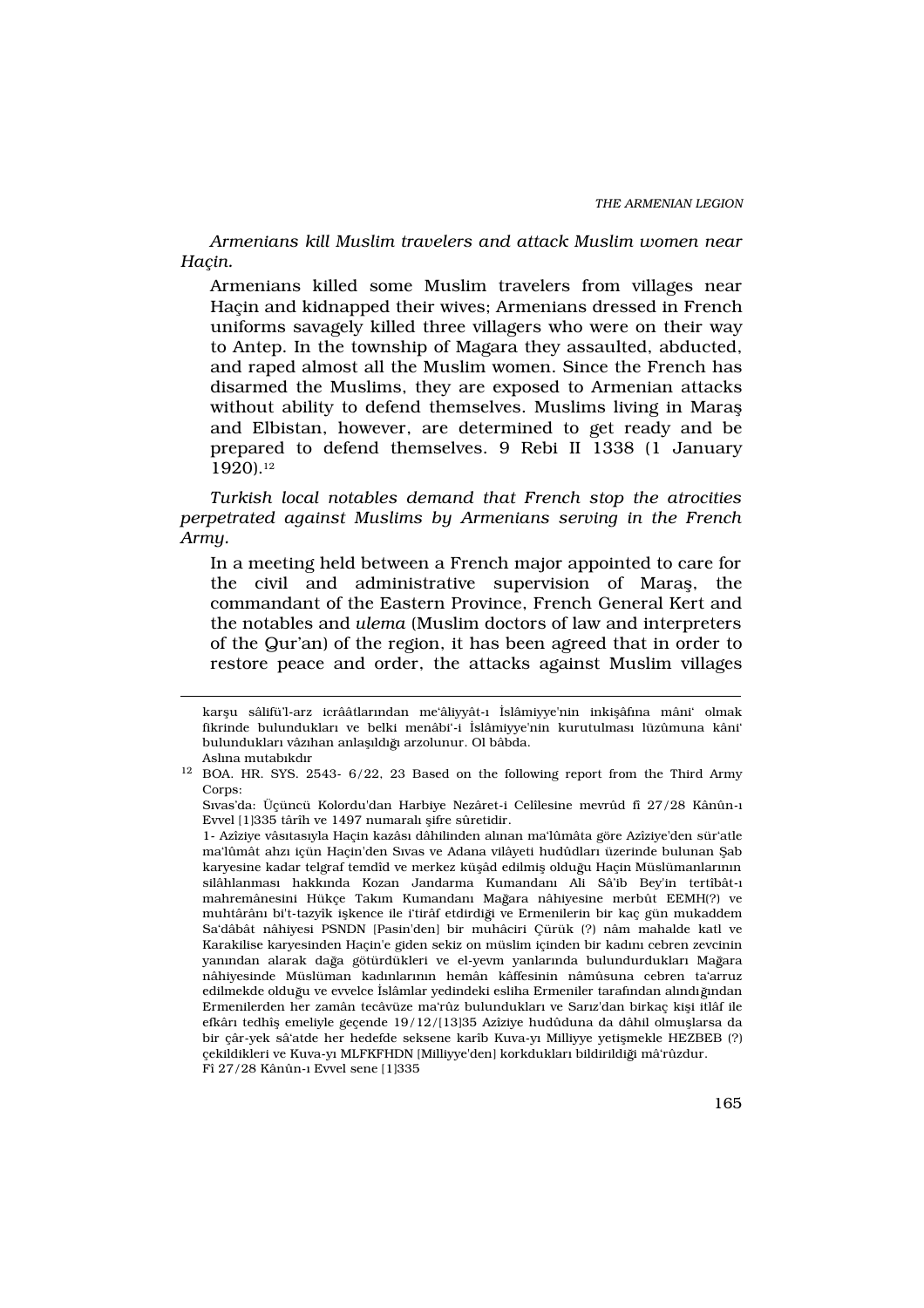Armenians kill Muslim travelers and attack Muslim women near Haçin.

Armenians killed some Muslim travelers from villages near Haçin and kidnapped their wives; Armenians dressed in French uniforms savagely killed three villagers who were on their way to Antep. In the township of Magara they assaulted, abducted, and raped almost all the Muslim women. Since the French has disarmed the Muslims, they are exposed to Armenian attacks without ability to defend themselves. Muslims living in Marafl and Elbistan, however, are determined to get ready and be prepared to defend themselves. 9 Rebi II 1338 (1 January 1920).<sup>12</sup>

Turkish local notables demand that French stop the atrocities perpetrated against Muslims by Armenians serving in the French Army.

In a meeting held between a French major appointed to care for the civil and administrative supervision of Marafl, the commandant of the Eastern Province, French General Kert and the notables and ulema (Muslim doctors of law and interpreters of the Qur'an) of the region, it has been agreed that in order to restore peace and order, the attacks against Muslim villages

karflu sâlifü'l-arz icrââtlar›ndan me'âliyyât-› ‹slâmiyye'nin inkiflâf›na mâni' olmak fikrinde bulunduklar› ve belki menâbi'-i ‹slâmiyye'nin kurutulmas› lüzûmuna kâni' bulunduklar› vâz›han anlafldoğ arzolunur. Ol bâbda. Asl›na mutab›kd›r

<sup>&</sup>lt;sup>12</sup> BOA. HR. SYS. 2543- 6/22, 23 Based on the following report from the Third Army Corps:

S›vas'da: Üçüncü Kolordu'dan Harbiye Nezâret-i Celîlesine mevrûd fî 27/28 Kânûn-› Evvel [1]335 târîh ve 1497 numaral› flifre sûretidir.

<sup>1-</sup> Azîziye vâs›tas›yla Haçin kazâs› dâhilinden al›nan ma'lûmâta göre Azîziye'den sür'atle ma'lûmât ahz› içün Haçin'den S›vas ve Adana vilâyeti hudûdlar› üzerinde bulunan fiab karyesine kadar telgraf temdîd ve merkez küflâd edilmifl olduğu Haçin Müslümanlarının silâhlanmas› hakk›nda Kozan Jandarma Kumandan› Ali Sâ'ib Bey'in tertîbât-› mahremânesini Hükçe Takım Kumandan<sup>,</sup> Mağara nâhiyesine merbût EEMH(?) ve muhtârân› bi't-tazyîk iflkence ile i'tirâf etdirdiği ve Ermenilerin bir kaç gün mukaddem Sa'dâbât nâhiyesi PSNDN [Pasin'den] bir muhâciri Çürük (?) nâm mahalde katl ve Karakilise karyesinden Hacin'e giden sekiz on müslim içinden bir kad $m$  cebren zevcinin yan»ndan alarak dağa götürdükleri ve el-yevm yanlar»nda bulundurduklar» Mağara nâhiyesinde Müslüman kad›nlar›n›n hemân kâffesinin nâmûsuna cebren ta'arruz edilmekde olduğu ve evvelce ‹slâmlar yedindeki esliha Ermeniler tarafından alındığından Ermenilerden her zamân tecâvüze ma'rûz bulunduklar› ve Sar›z'dan birkaç kifli itlâf ile efkâr› tedhîfl emeliyle geçende 19/12/[13]35 Azîziye hudûduna da dâhil olmufllarsa da bir çâr-yek sâ'atde her hedefde seksene karîb Kuva-y› Milliyye yetiflmekle HEZBEB (?) çekildikleri ve Kuva-y› MLFKFHDN [Milliyye'den] korkduklar› bildirildiği mâ'rûzdur. Fî 27/28 Kânûn-› Evvel sene [1]335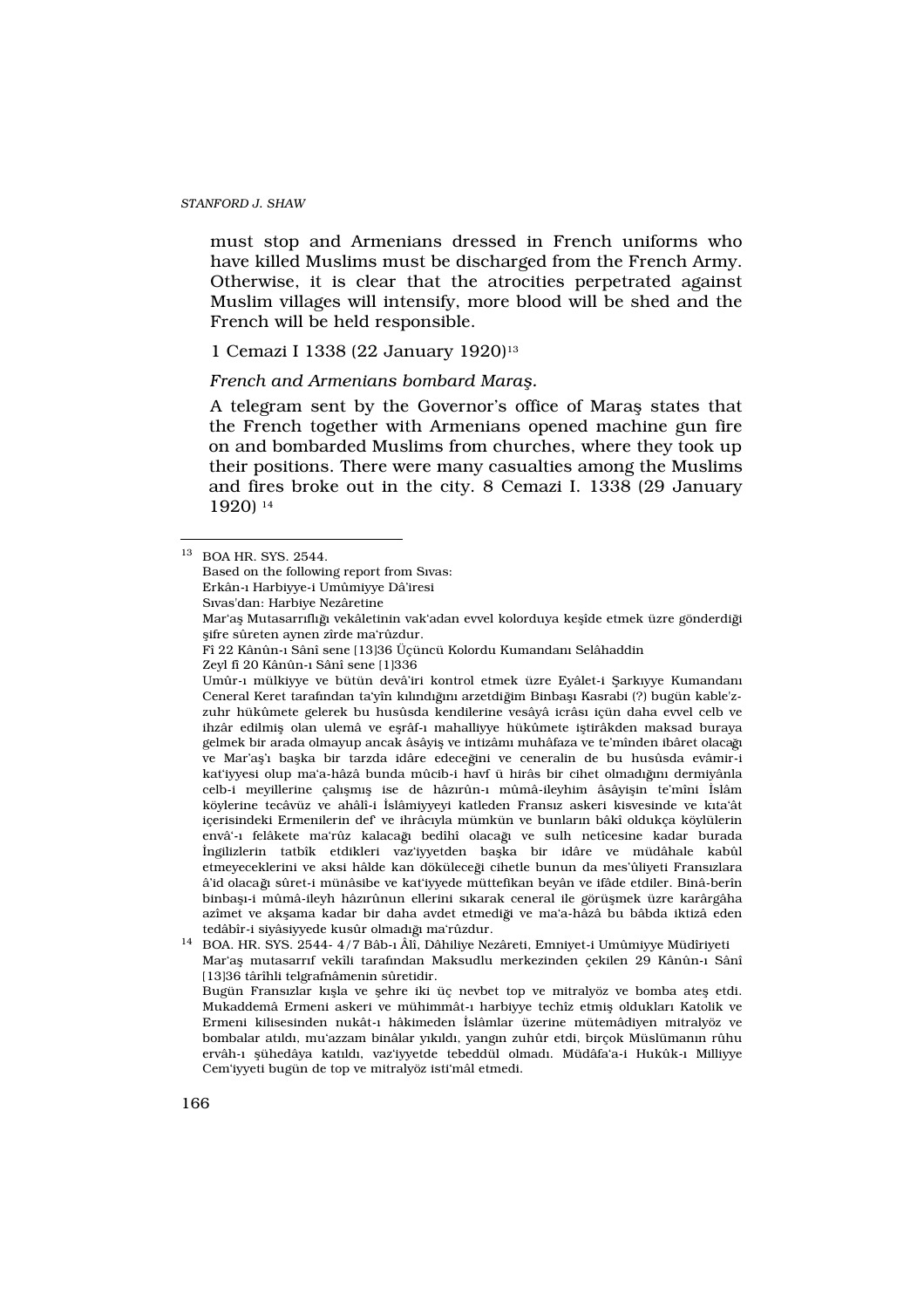must stop and Armenians dressed in French uniforms who have killed Muslims must be discharged from the French Army. Otherwise, it is clear that the atrocities perpetrated against Muslim villages will intensify, more blood will be shed and the French will be held responsible.

# 1 Cemazi I 1338 (22 January 1920)<sup>13</sup>

French and Armenians bombard Mara.

A telegram sent by the Governor's office of Marafl states that the French together with Armenians opened machine gun fire on and bombarded Muslims from churches, where they took up their positions. There were many casualties among the Muslims and fires broke out in the city. 8 Cemazi I. 1338 (29 January 1920) <sup>14</sup>

Fî 22 Kânûn-› Sânî sene [13]36 Üçüncü Kolordu Kumandan› Selâhaddin

Umûr-> mülkiyye ve bütün devâ'iri kontrol etmek üzre Eyâlet-i fiark vye Kumandan Ceneral Keret tarafından ta'yîn kılındığın arzetdiğim Binbaflı Kasrabi (?) bugün kable'zzuhr hükûmete gelerek bu husûsda kendilerine vesâyâ icrâs› içün daha evvel celb ve ihzâr edilmifl olan ulemâ ve eflrâf-› mahalliyye hükûmete ifltirâkden maksad buraya gelmek bir arada olmayup ancak âsâyifl ve intizâm› muhâfaza ve te'mînden ibâret olacağ ve Mar'afl'> baflka bir tarzda idâre edeceğini ve ceneralin de bu husûsda evâmir-i kat'iyyesi olup ma'a-hâzâ bunda mûcib-i havf ü hirâs bir cihet olmadığın dermiyânla celb-i meyillerine çal›flm›fl ise de hâz›rûn-› mûmâ-ileyhim âsâyiflin te'mîni ‹slâm köylerine tecâvüz ve ahâlî-i «slâmiyyeyi katleden Frans»z askeri kisvesinde ve k>ta'ât içerisindeki Ermenilerin def' ve ihrâc›yla mümkün ve bunlar›n bâkî oldukça köylülerin envâ'-> felâkete ma'rûz kalacağ> bedîhî olacağ> ve sulh netîcesine kadar burada ‹ngilizlerin tatbîk etdikleri vaz'iyyetden baflka bir idâre ve müdâhale kabûl etmeyeceklerini ve aksi hâlde kan döküleceği cihetle bunun da mes'ûliyeti Frans>zlara â'id olacağ sûret-i münâsibe ve kat'iyyede müttefikan beyân ve ifâde etdiler. Binâ-berîn binbafl›-i mûmâ-ileyh hâz›rûnun ellerini s›karak ceneral ile görüflmek üzre karârgâha azîmet ve akflama kadar bir daha avdet etmediği ve ma'a-hâzâ bu bâbda iktizâ eden tedâbîr-i siyâsiyyede kusûr olmad<sup>y</sup> ma'rûzdur.

<sup>14</sup> BOA. HR. SYS. 2544- 4/7 Bâb-› Âlî, Dâhiliye Nezâreti, Emniyet-i Umûmiyye Müdîriyeti Mar'afl mutasarr›f vekîli tarafından Maksudlu merkezinden çekilen 29 Kânûn-> Sânî [13]36 târîhli telgrafnâmenin sûretidir.

Bugün Frans›zlar k›flla ve flehre iki üç nevbet top ve mitralyöz ve bomba atefl etdi. Mukaddemâ Ermeni askeri ve mühimmât-› harbiyye techîz etmifl olduklar› Katolik ve Ermeni kilisesinden nukât-› hâkimeden ‹slâmlar üzerine mütemâdiyen mitralyöz ve bombalar at<sup>l</sup>d<sub></sub>, mu'azzam binâlar y<sub>k</sub>ld, yang<sub>'</sub>n zuhûr etdi, birçok Müslüman<sub>'</sub>n rûhu ervâh-› flühedâya kat·ld›, vaz'iyyetde tebeddül olmad›. Müdâfa'a-i Hukûk-› Milliyye Cem'iyyeti bugün de top ve mitralyöz isti'mâl etmedi.

<sup>13</sup> BOA HR. SYS. 2544.

Based on the following report from S›vas:

Erkân-› Harbiyye-i Umûmiyye Dâ'iresi

S›vas'dan: Harbiye Nezâretine

Mar'afl Mutasarr›fl›  $\check{p}$  vekâletinin vak'adan evvel kolorduya keflîde etmek üzre gönderdiği flifre sûreten aynen zîrde ma'rûzdur.

Zeyl fî 20 Kânûn-› Sânî sene [1]336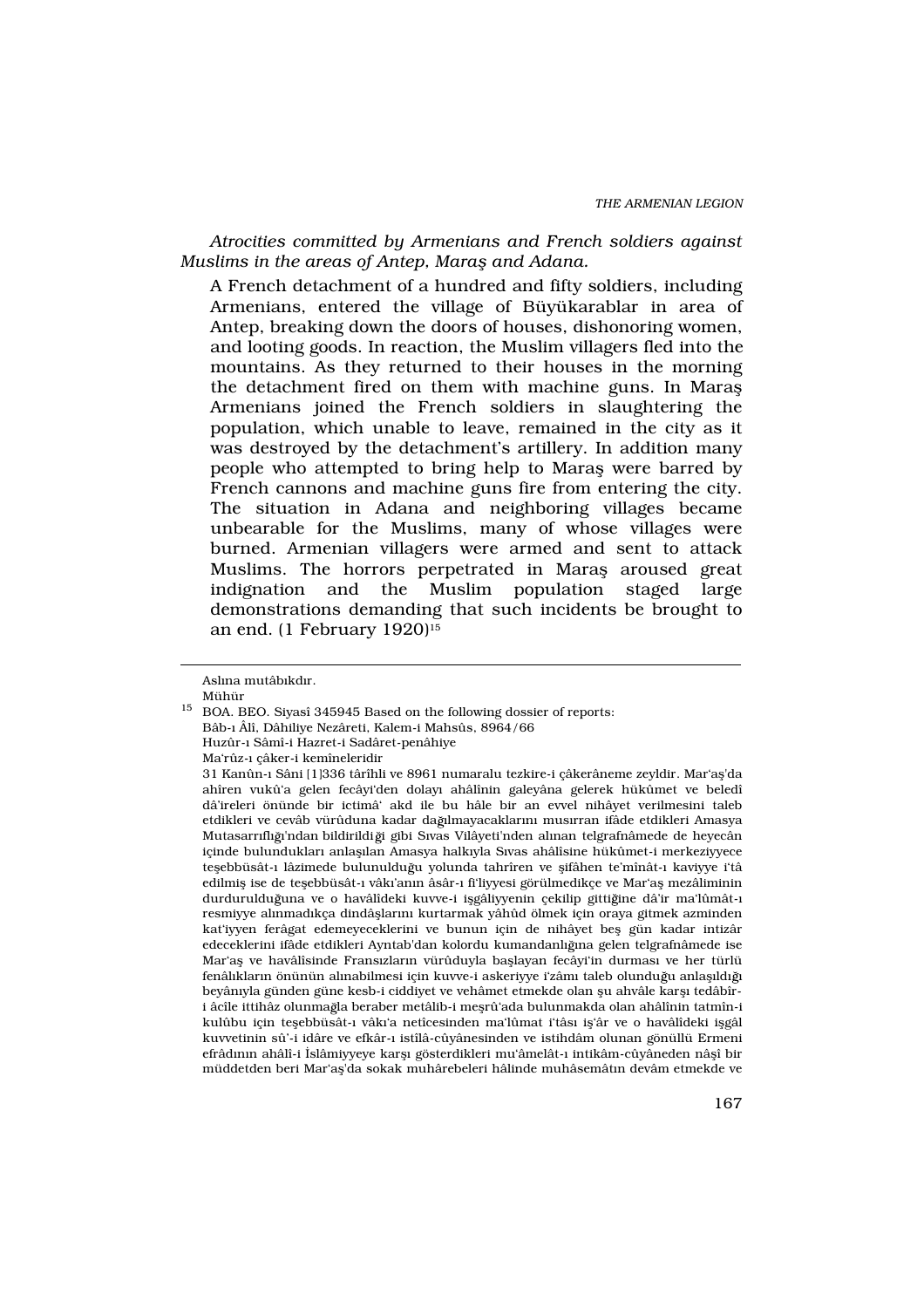Atrocities committed by Armenians and French soldiers against Muslims in the areas of Antep, Mara and Adana.

A French detachment of a hundred and fifty soldiers, including Armenians, entered the village of Büyükarablar in area of Antep, breaking down the doors of houses, dishonoring women, and looting goods. In reaction, the Muslim villagers fled into the mountains. As they returned to their houses in the morning the detachment fired on them with machine guns. In Marafl Armenians joined the French soldiers in slaughtering the population, which unable to leave, remained in the city as it was destroyed by the detachment's artillery. In addition many people who attempted to bring help to Marafl were barred by French cannons and machine guns fire from entering the city. The situation in Adana and neighboring villages became unbearable for the Muslims, many of whose villages were burned. Armenian villagers were armed and sent to attack Muslims. The horrors perpetrated in Marafl aroused great indignation and the Muslim population staged large demonstrations demanding that such incidents be brought to an end.  $(1$  February  $1920$ <sup>15</sup>

Asl›na mutâb›kd›r. Mühür

<sup>15</sup> BOA. BEO. Siyasî 345945 Based on the following dossier of reports: Bâb-› Âlî, Dâhiliye Nezâreti, Kalem-i Mahsûs, 8964/66 Huzûr-› Sâmî-i Hazret-i Sadâret-penâhiye Ma'rûz-› çâker-i kemîneleridir

<sup>31</sup> Kanûn-› Sâni [1]336 târîhli ve 8961 numaralu tezkire-i çâkerâneme zeyldir. Mar'afl'da ahîren vukû'a gelen fecâyi'den dolay› ahâlînin galeyâna gelerek hükûmet ve beledî dâ'ireleri önünde bir ictimâ' akd ile bu hâle bir an evvel nihâyet verilmesini taleb etdikleri ve cevâb vürûduna kadar dağlmayacaklarını musırran ifâde etdikleri Amasya Mutasarr›fl› »'ndan bildirildi ği gibi S›vas Vilâyeti'nden alınan telgrafnâmede de heyecân içinde bulunduklar› anlafl›lan Amasya halk›yla S›vas ahâlîsine hükûmet-i merkeziyyece teflebbüsât-> lâzimede bulunulduğu yolunda tahrîren ve flifâhen te'mînât-> kaviyye i'tâ edilmifl ise de teflebbüsât-› vâk›'an›n âsâr-› fi'liyyesi görülmedikçe ve Mar'afl mezâliminin durdurulduğuna ve o havâlîdeki kuvve-i iflgâliyyenin çekilip gittiğine dâ'ir ma'lûmât-> resmiyye al›nmad›kça dindâfllar›n› kurtarmak yâhûd ölmek için oraya gitmek azminden kat'iyyen ferâgat edemeyeceklerini ve bunun için de nihâyet befl gün kadar intizâr edeceklerini ifâde etdikleri Ayntab'dan kolordu kumandanl $\check{\phi}$ na gelen telgrafnâmede ise Mar'afl ve havâlîsinde Frans›zlar›n vürûduyla bafllayan fecâyi'in durmas› ve her türlü fenâl›klar›n önünün al›nabilmesi için kuvve-i askeriyye i'zâm› taleb olunduğu anlaflld·ğ› beyân yla günden güne kesb-i ciddiyet ve vehâmet etmekde olan flu ahvâle karfl tedâbîri âcîle ittihâz olunmağla beraber metâlib-i meflrû'ada bulunmakda olan ahâlînin tatmîn-i kulûbu için teflebbüsât-› vâk›'a netîcesinden ma'lûmat i'tâs› ifl'âr ve o havâlîdeki iflgâl kuvvetinin sû'-i idâre ve efkâr-› istîlâ-cûyânesinden ve istihdâm olunan gönüllü Ermeni efrâd<sub>'</sub>nı ahâlî-i ‹slâmiyyeye karfl<sub>'</sub> gösterdikleri mu'âmelât-› intikâm-cûyâneden nâflî bir müddetden beri Mar'afl'da sokak muhârebeleri hâlinde muhâsemât n devâm etmekde ve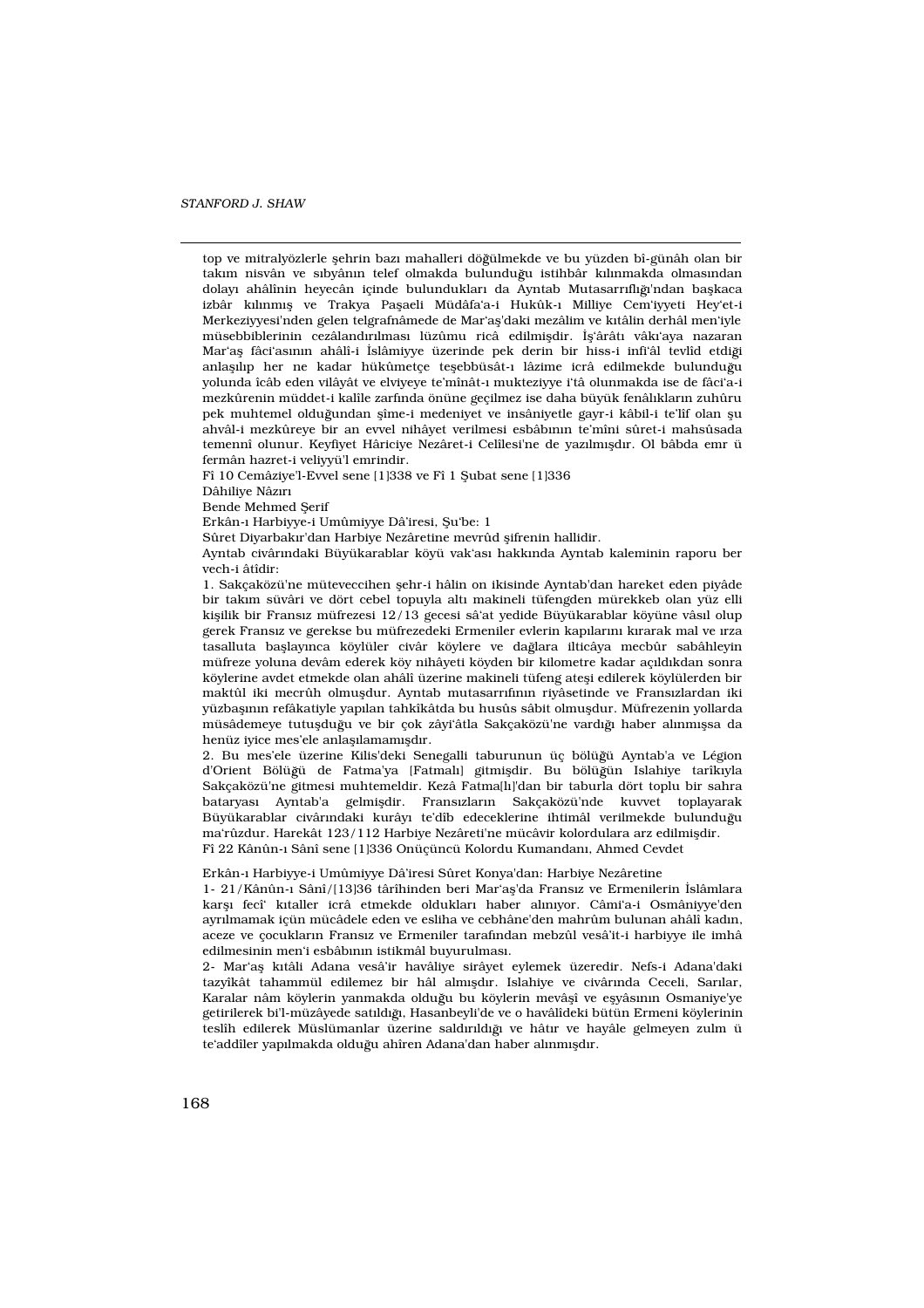top ve mitralyözlerle flehrin baz› mahalleri dö ülmekde ve bu yüzden bî-günâh olan bir takım nisvân ve s>byân>n telef olmakda bulunduğu istihbâr k>l>nmakda olmas>ndan dolay› ahâlînin heyecân içinde bulunduklar› da Ayntab Mutasarr›fl› ›'ndan baflkaca izbâr k›l›nm›fl ve Trakya Paflaeli Müdâfa'a-i Hukûk-› Milliye Cem'iyyeti Hey'et-i Merkeziyyesi'nden gelen telgrafnâmede de Mar'afl'daki mezâlim ve katâlin derhâl men'ivle müsebbiblerinin cezâland›r›lmas› lüzûmu ricâ edilmifldir. ‹fl'ârât› vâk›'aya nazaran Mar'afl fâci'as<sub>'</sub>nın ahâlî-i ‹slâmiyye üzerinde pek derin bir hiss-i infi'âl tevlîd etdiği anlafl<sup>b</sup>p her ne kadar hükûmetçe teflebbüsât-> lâzime icrâ edilmekde bulunduğu yolunda îcâb eden vilâyât ve elviyeye te'mînât-› mukteziyye i'tâ olunmakda ise de fâci'a-i mezkûrenin müddet-i kalîle zarf›nda önüne geçilmez ise daha büyük fenâl›klar›n zuhûru pek muhtemel olduğundan flîme-i medeniyet ve insâniyetle gayr-i kâbil-i te'lîf olan flu ahvâl-i mezkûreye bir an evvel nihâyet verilmesi esbâb›n›n te'mîni sûret-i mahsûsada temennî olunur. Keyfiyet Hâriciye Nezâret-i Celîlesi'ne de yaz›lm›fld›r. Ol bâbda emr ü fermân hazret-i veliyyü'l emrindir.

Fî 10 Cemâziye'l-Evvel sene [1]338 ve Fî 1 fiubat sene [1]336

Dâhiliye Nâz›r›

Bende Mehmed fierif

Erkân-› Harbiyye-i Umûmiyye Dâ'iresi, fiu'be: 1

Sûret Diyarbak›r'dan Harbiye Nezâretine mevrûd flifrenin hallidir.

Ayntab civâr›ndaki Büyükarablar köyü vak'as› hakk›nda Ayntab kaleminin raporu ber vech-i âtîdir:

1. Sakçaközü'ne müteveccihen flehr-i hâlin on ikisinde Ayntab'dan hareket eden piyâde bir takım süvâri ve dört cebel topuyla altı makineli tüfengden mürekkeb olan yüz elli kiflilik bir Frans›z müfrezesi 12/13 gecesi sâ'at yedide Büyükarablar köyüne vâs›l olup gerek Frans›z ve gerekse bu müfrezedeki Ermeniler evlerin kap›lar›n› k›rarak mal ve ›rza tasalluta bafllaynca köylüler civâr köylere ve dağlara ilticâya mecbûr sabâhleyin müfreze yoluna devâm ederek köy nihâyeti köyden bir kilometre kadar aç›ld›kdan sonra köylerine avdet etmekde olan ahâlî üzerine makineli tüfeng atefli edilerek köylülerden bir maktûl iki mecrûh olmufldur. Ayntab mutasarr›f›n›n riyâsetinde ve Frans›zlardan iki yüzbafl›n›n refâkatiyle yap›lan tahkîkâtda bu husûs sâbit olmufldur. Müfrezenin yollarda müsâdemeye tutuflduğu ve bir çok zâyi'âtla Sakçaközü'ne vardığı haber alınmıflsa da henüz iyice mes'ele anlaflamam>fld>r.

2. Bu mes'ele üzerine Kilis'deki Senegalli taburunun üç bölüğü Ayntab'a ve Légion d'Orient Bölüğü de Fatma'ya [Fatmal>] gitmifldir. Bu bölüğün Islahiye tarîkyla Sakçaközü'ne gitmesi muhtemeldir. Kezâ Fatma[l›]'dan bir taburla dört toplu bir sahra bataryas› Ayntab'a gelmifldir. Frans›zlar›n Sakçaközü'nde kuvvet toplayarak Büyükarablar civâr›ndaki kurây› te'dîb edeceklerine ihtimâl verilmekde bulunduğu ma'rûzdur. Harekât 123/112 Harbiye Nezâreti'ne mücâvir kolordulara arz edilmifldir. Fî 22 Kânûn-› Sânî sene [1]336 Onüçüncü Kolordu Kumandan›, Ahmed Cevdet

Erkân-› Harbiyye-i Umûmiyye Dâ'iresi Sûret Konya'dan: Harbiye Nezâretine

1- 21/Kânûn-› Sânî/[13]36 târîhinden beri Mar'afl'da Frans›z ve Ermenilerin ‹slâmlara karfl<sup> fecî</sup>' kotaller icrâ etmekde olduklar<sup>,</sup> haber alanyor. Câmi'a-i Osmâniyye'den ayr›lmamak içün mücâdele eden ve esliha ve cebhâne'den mahrûm bulunan ahâlî kad›n, aceze ve çocuklar›n Frans›z ve Ermeniler taraf›ndan mebzûl vesâ'it-i harbiyye ile imhâ edilmesinin men'i esbâb›n›n istikmâl buyurulmas›.

2- Mar'afl k›tâli Adana vesâ'ir havâliye sirâyet eylemek üzeredir. Nefs-i Adana'daki tazyîkât tahammül edilemez bir hâl alm›fld›r. Islahiye ve civâr›nda Ceceli, Sar›lar, Karalar nâm köylerin yanmakda olduğu bu köylerin mevâflî ve eflyâs<sub>'</sub>n Osmaniye'ye getirilerek bi'l-müzâyede sat›ld› », Hasanbeyli'de ve o havâlîdeki bütün Ermeni köylerinin teslîh edilerek Müslümanlar üzerine saldırıldığı ve hâtır ve hayâle gelmeyen zulm ü te'addîler yap›lmakda olduğu ahîren Adana'dan haber al›nm›fld›r.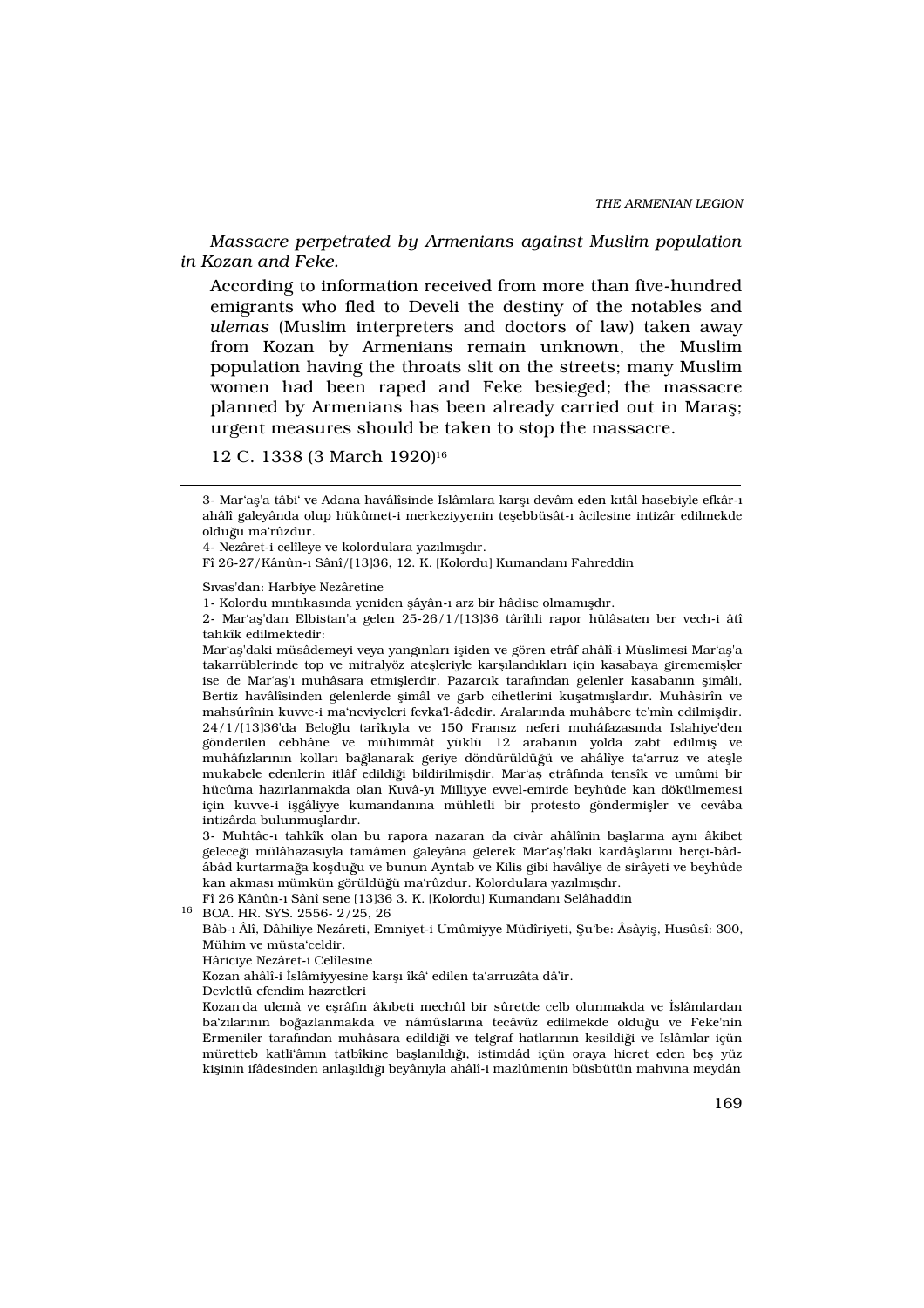Massacre perpetrated by Armenians against Muslim population in Kozan and Feke.

According to information received from more than five-hundred emigrants who fled to Develi the destiny of the notables and ulemas (Muslim interpreters and doctors of law) taken away from Kozan by Armenians remain unknown, the Muslim population having the throats slit on the streets; many Muslim women had been raped and Feke besieged; the massacre planned by Armenians has been already carried out in Marafl; urgent measures should be taken to stop the massacre.

12 C. 1338 (3 March 1920)<sup>16</sup>

S›vas'dan: Harbiye Nezâretine

Mar'afl'daki müsâdemeyi veya yang›nlar› ifliden ve gören etrâf ahâlî-i Müslimesi Mar'afl'a takarrüblerinde top ve mitralyöz ateflleriyle karfland klar için kasabaya girememifller ise de Mar'afl<sup>y</sup> muhâsara etmifllerdir. Pazarok tarafından gelenler kasaban<sub>'</sub>n flimâli, Bertiz havâlîsinden gelenlerde flimâl ve garb cihetlerini kuflatm›fllard›r. Muhâsirîn ve mahsûrînin kuvve-i ma'neviyeleri fevka'l-âdedir. Aralar›nda muhâbere te'mîn edilmifldir. 24/1/[13]36'da Beloğlu tarîkvyla ve 150 Frans>z neferi muhâfazas>nda Islahiye'den gönderilen cebhâne ve mühimmât yüklü 12 araban›n yolda zabt edilmifl ve muhâf›zlar›n›n kollar› ba lanarak geriye döndürüldü ü ve ahâlîye ta'arruz ve ateflle mukabele edenlerin itlâf edildiği bildirilmifldir. Mar'afl etrâfında tensîk ve umûmi bir hücûma haz›rlanmakda olan Kuvâ-y› Milliyye evvel-emirde beyhûde kan dökülmemesi için kuvve-i iflgâliyye kumandan›na mühletli bir protesto göndermifller ve cevâba intizârda bulunmufllard›r.

3- Muhtâc-› tahkîk olan bu rapora nazaran da civâr ahâlînin bafllar›na ayn› âkibet geleceği mülâhazas›yla tamâmen galeyâna gelerek Mar'afl'daki kardâfllar›n› herçi-bâdâbâd kurtarmağa koflduğu ve bunun Ayntab ve Kilis gibi havâliye de sirâyeti ve beyhûde kan akmas» mümkün görüldüğü ma'rûzdur. Kolordulara yazılmıfldır.

Fî 26 Kânûn-› Sânî sene [13]36 3. K. [Kolordu] Kumandan› Selâhaddin

<sup>16</sup> BOA. HR. SYS. 2556- 2/25, 26

Hâriciye Nezâret-i Celîlesine

Devletlü efendim hazretleri

Kozan'da ulemâ ve eflrâf›n âk›beti mechûl bir sûretde celb olunmakda ve ‹slâmlardan ba'zlarının boğazlanmakda ve nâmûslarına tecâvüz edilmekde olduğu ve Feke'nin Ermeniler tarafından muhâsara edildiği ve telgraf hatlarının kesildiği ve «slâmlar içün müretteb katli'âm›n tatbîkine bafllan›ld› », istimdâd içün oraya hicret eden befl yüz kiflinin ifâdesinden anlaflıldığı beyânıyla ahâlî-i mazlûmenin büsbütün mahvına meydân

<sup>3-</sup> Mar'afl'a tâbi' ve Adana havâlîsinde <slâmlara karfl devâm eden kvtâl hasebiyle efkâr-> ahâlî galeyânda olup hükûmet-i merkeziyyenin teflebbüsât-› âcilesine intizâr edilmekde olduğu ma'rûzdur.

<sup>4-</sup> Nezâret-i celîleye ve kolordulara yaz›lm›fld›r.

Fî 26-27/Kânûn-› Sânî/[13]36, 12. K. [Kolordu] Kumandan› Fahreddin

<sup>1-</sup> Kolordu m›nt›kas›nda yeniden flâyân-› arz bir hâdise olmam›fld›r.

<sup>2-</sup> Mar'afl'dan Elbistan'a gelen 25-26/1/[13]36 târîhli rapor hülâsaten ber vech-i âtî tahkîk edilmektedir:

Bâb-› Âlî, Dâhiliye Nezâreti, Emniyet-i Umûmiyye Müdîriyeti, fiu'be: Âsâyifl, Husûsî: 300, Mühim ve müsta'celdir.

Kozan ahâlî-i ‹slâmiyyesine karfl› îkâ' edilen ta'arruzâta dâ'ir.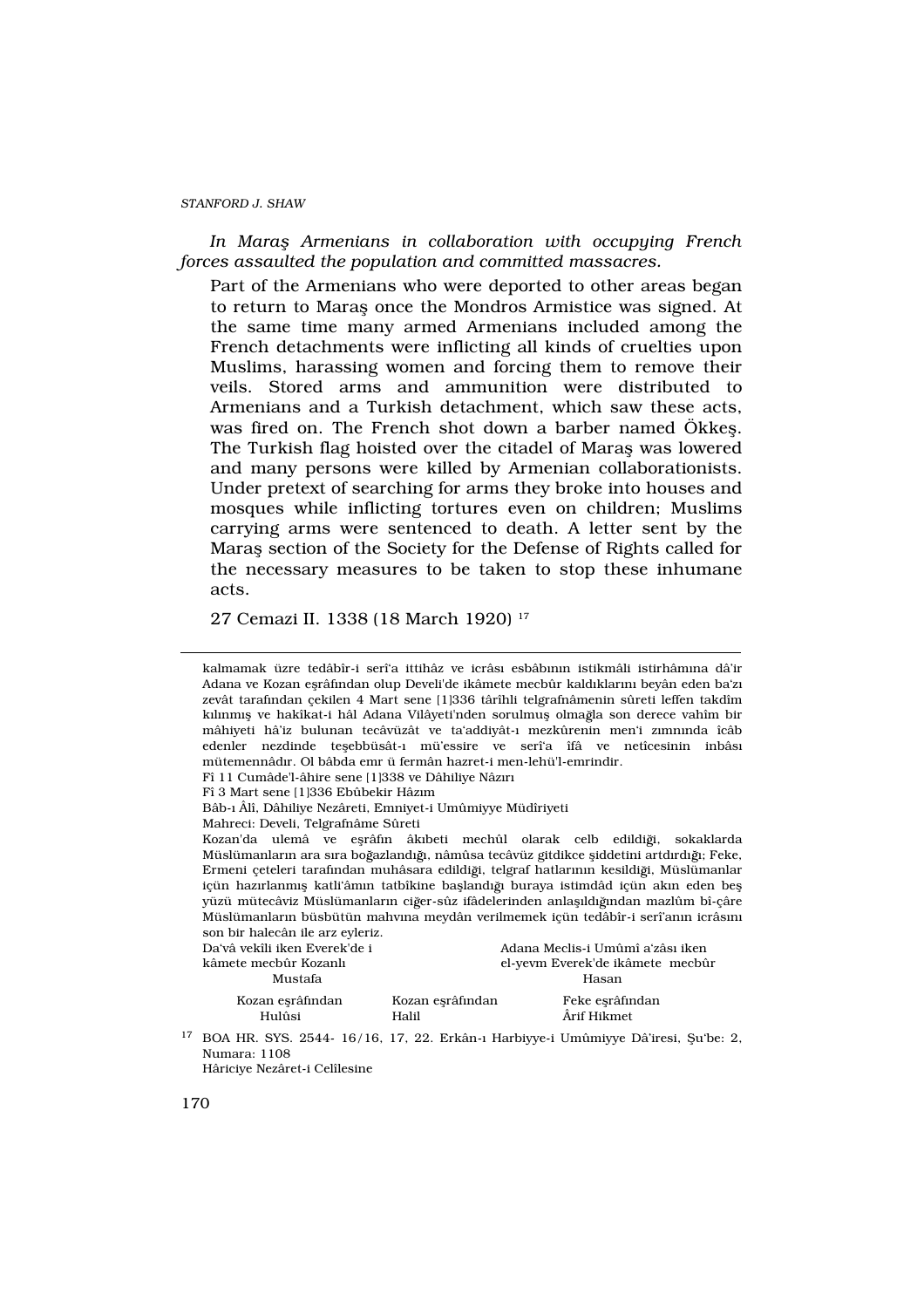In Mara Armenians in collaboration with occupying French forces assaulted the population and committed massacres.

Part of the Armenians who were deported to other areas began to return to Marafl once the Mondros Armistice was signed. At the same time many armed Armenians included among the French detachments were inflicting all kinds of cruelties upon Muslims, harassing women and forcing them to remove their veils. Stored arms and ammunition were distributed to Armenians and a Turkish detachment, which saw these acts, was fired on. The French shot down a barber named Ökkefl. The Turkish flag hoisted over the citadel of Marafl was lowered and many persons were killed by Armenian collaborationists. Under pretext of searching for arms they broke into houses and mosques while inflicting tortures even on children; Muslims carrying arms were sentenced to death. A letter sent by the Marafl section of the Society for the Defense of Rights called for the necessary measures to be taken to stop these inhumane acts.

27 Cemazi II. 1338 (18 March 1920) <sup>17</sup>

|                                                                                                                                                                                | kalmamak üzre tedâbîr-i serî'a ittihâz ve icrâs esbâb n istikmâli istirhâm na dâ'ir<br>Adana ve Kozan eflrâf ndan olup Develi'de ikâmete mecbûr kald klar n beyân eden ba'z<br>zevât tarafından çekilen 4 Mart sene [1]336 târîhli telgrafnâmenin sûreti leffen takdîm<br>k»lnm·fl ve hakîkat-i hâl Adana Vilâyeti'nden sorulmufl olmağla son derece vahîm bir<br>mâhiyeti hâ'iz bulunan tecâvüzât ve ta'addiyât-> mezkûrenin men'i zomonda îcâb<br>edenler nezdinde teflebbüsât-> mü'essire ve serî'a îfâ ve netîcesinin inbâs<br>mütemennâder. Ol bâbda emr ü fermân hazret-i men-lehü'l-emrindir.<br>Fî 11 Cumâde'l-âhire sene [1]338 ve Dâhiliye Nâz>r><br>Fî 3 Mart sene [1]336 Ebûbekir Hâz>m<br>Bâb-> Âlî, Dâhiliye Nezâreti, Emniyet-i Umûmiyye Müdîriyeti<br>Mahreci: Develi, Telgrafnâme Sûreti<br>Kozan'da ulemâ ve efirâfin âkbeti mechûl olarak celb edildiği, sokaklarda<br>Müslümanların ara sıra boğazlandığı, nâmûsa tecâvüz gitdikce fliddetini artdırdığı; Feke,<br>Ermeni çeteleri tarafından muhâsara edildiği, telgraf hatlarının kesildiği, Müslümanlar |                           |                                                                                    |  |
|--------------------------------------------------------------------------------------------------------------------------------------------------------------------------------|--------------------------------------------------------------------------------------------------------------------------------------------------------------------------------------------------------------------------------------------------------------------------------------------------------------------------------------------------------------------------------------------------------------------------------------------------------------------------------------------------------------------------------------------------------------------------------------------------------------------------------------------------------------------------------------------------------------------------------------------------------------------------------------------------------------------------------------------------------------------------------------------------------------------------------------------------------------------------------------------------------------------------------------------------------------------------------|---------------------------|------------------------------------------------------------------------------------|--|
| içün hazırlanmıfl katli'âmın tatbîkine bafllandığı buraya istimdâd içün akın eden befl<br>yüzü mütecâviz Müslümanlar>n ciğer-sûz ifâdelerinden anlaflıldığından mazlûm bî-çâre |                                                                                                                                                                                                                                                                                                                                                                                                                                                                                                                                                                                                                                                                                                                                                                                                                                                                                                                                                                                                                                                                                |                           |                                                                                    |  |
|                                                                                                                                                                                | Müslümanların büsbütün mahwna meydân verilmemek içün tedâbîr-i serî'anın icrâsin<br>son bir halecân ile arz eyleriz.                                                                                                                                                                                                                                                                                                                                                                                                                                                                                                                                                                                                                                                                                                                                                                                                                                                                                                                                                           |                           |                                                                                    |  |
|                                                                                                                                                                                | Da'vâ vekîli iken Everek'de i<br>kâmete mecbûr Kozanl<br>Mustafa                                                                                                                                                                                                                                                                                                                                                                                                                                                                                                                                                                                                                                                                                                                                                                                                                                                                                                                                                                                                               |                           | Adana Meclis-i Umûmî a'zâs> iken<br>el-yevm Everek'de ikâmete mecbûr<br>Hasan      |  |
|                                                                                                                                                                                | Kozan eflrâßndan<br>Hulûsi                                                                                                                                                                                                                                                                                                                                                                                                                                                                                                                                                                                                                                                                                                                                                                                                                                                                                                                                                                                                                                                     | Kozan eflrâßndan<br>Halil | Feke eflrâßndan<br>Årif Hikmet                                                     |  |
| 17                                                                                                                                                                             | Numara: 1108<br>Hâriciye Nezâret-i Celîlesine                                                                                                                                                                                                                                                                                                                                                                                                                                                                                                                                                                                                                                                                                                                                                                                                                                                                                                                                                                                                                                  |                           | BOA HR. SYS. 2544- 16/16, 17, 22. Erkân-> Harbiyye-i Umûmiyye Dâ'iresi, fiu'be: 2, |  |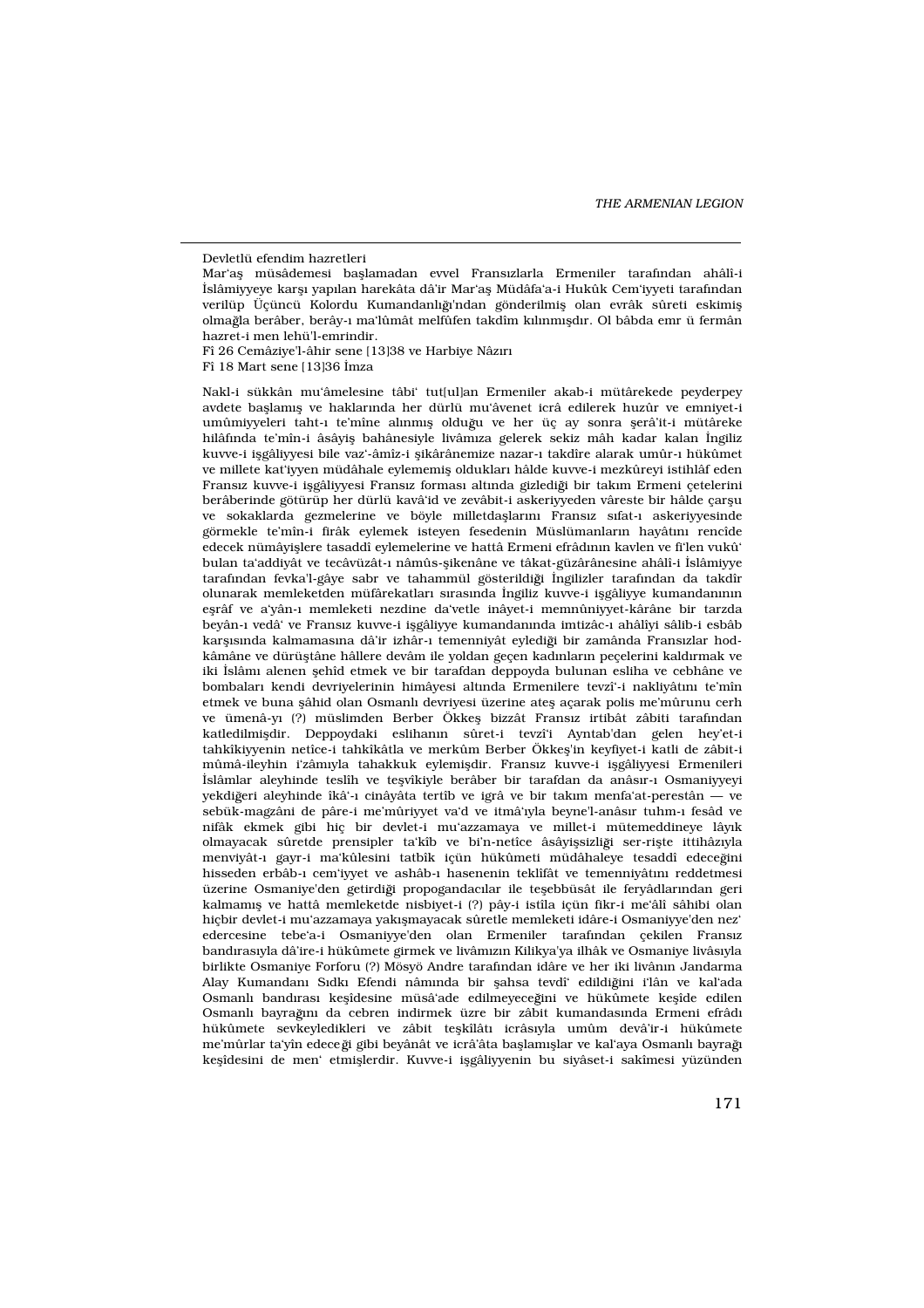#### Devletlü efendim hazretleri

Mar'afl müsâdemesi bafllamadan evvel Frans>zlarla Ermeniler tarafından ahâlî-i ‹slâmiyyeye karfl› yap›lan harekâta dâ'ir Mar'afl Müdâfa'a-i Hukûk Cem'iyyeti taraf›ndan verilüp Üçüncü Kolordu Kumandanlığı'ndan gönderilmifl olan evrâk sûreti eskimifl olma la berâber, berây-› ma'lûmât melfûfen takdîm k›l›nm›fld›r. Ol bâbda emr ü fermân hazret-i men lehü'l-emrindir.

Fî 26 Cemâziye'l-âhir sene [13]38 ve Harbiye Nâz›r›

Fî 18 Mart sene [13]36 ‹mza

Nakl-i sükkân mu'âmelesine tâbi' tut[ul]an Ermeniler akab-i mütârekede peyderpey avdete bafllam›fl ve haklar›nda her dürlü mu'âvenet icrâ edilerek huzûr ve emniyet-i umûmiyyeleri taht-> te'mîne al>nm>fl olduğu ve her üç ay sonra flerâ'it-i mütâreke hilâfında te'mîn-i âsâyifl bahânesiyle livâm<sub>2a gelerek sekiz mâh kadar kalan ‹ngiliz</sub> kuvve-i iflgâliyyesi bile vaz'-âmîz-i flikârânemize nazar-› takdîre alarak umûr-› hükûmet ve millete kat'iyyen müdâhale eylememifl olduklar› hâlde kuvve-i mezkûreyi istihlâf eden Frans›z kuvve-i iflgâliyyesi Frans›z formas› altında gizlediği bir takım Ermeni çetelerini berâberinde götürüp her dürlü kavâ'id ve zevâbit-i askeriyyeden vâreste bir hâlde çarflu ve sokaklarda gezmelerine ve böyle milletdaflların<sup>,</sup> Frans<sub>'</sub>z s>fat-> askeriyyesinde görmekle te'mîn-i firâk eylemek isteyen fesedenin Müslümanlar<sub>'</sub>ın hayât<sub>'</sub>n rencîde edecek nümâyifllere tasaddî eylemelerine ve hattâ Ermeni efrâd›n›n kavlen ve fi'len vukû' bulan ta'addiyât ve tecâvüzât-› nâmûs-flikenâne ve tâkat-güzârânesine ahâlî-i ‹slâmiyye tarafından fevka'l-gâye sabr ve tahammül gösterildiği «ngilizler tarafından da takdîr olunarak memleketden müfârekatlar› s›ras›nda ‹ngiliz kuvve-i iflgâliyye kumandan›n›n eflrâf ve a'yân-› memleketi nezdine da'vetle inâyet-i memnûniyyet-kârâne bir tarzda beyân-› vedâ' ve Frans›z kuvve-i iflgâliyye kumandan›nda imtizâc-› ahâlîyi sâlib-i esbâb karfl§nda kalmamas›na dâ'ir izhâr-› temenniyât eylediği bir zamânda Frans›zlar hodkâmâne ve dürüfltâne hâllere devâm ile yoldan geçen kad›nlar›n peçelerini kald›rmak ve iki ‹slâm› alenen flehîd etmek ve bir tarafdan deppoyda bulunan esliha ve cebhâne ve bombalar› kendi devriyelerinin himâyesi altında Ermenilere tevzî'-i nakliyâtın te'mîn etmek ve buna flâhid olan Osmanl› devriyesi üzerine atefl açarak polis me'mûrunu cerh ve ümenâ-y (?) müslimden Berber Ökkefl bizzât Frans>z irtibât zâbiti tarafından katledilmifldir. Deppoydaki eslihan›n sûret-i tevzî'i Ayntab'dan gelen hey'et-i tahkîkiyyenin netîce-i tahkîkâtla ve merkûm Berber Ökkefl'in keyfiyet-i katli de zâbit-i mûmâ-ileyhin i'zâm›yla tahakkuk eylemifldir. Frans›z kuvve-i iflgâliyyesi Ermenileri ‹slâmlar aleyhinde teslîh ve teflvîkiyle berâber bir tarafdan da anâs›r-› Osmaniyyeyi yekdiğeri aleyhinde îkâ'-> cinâyâta tertîb ve igrâ ve bir takım menfa'at-perestân — ve sebük-magzâni de pâre-i me'mûriyyet va'd ve itmâ'›yla beyne'l-anâs›r tuhm-› fesâd ve nifâk ekmek gibi hiç bir devlet-i mu'azzamaya ve millet-i mütemeddineye lây›k olmayacak sûretde prensipler ta'kîb ve bi'n-netîce âsâyiflsizliği ser-riflte ittihâz yla menviyât-> gayr-i ma'kûlesini tatbîk içün hükûmeti müdâhaleye tesaddî edeceğini hisseden erbâb-› cem'iyyet ve ashâb-› hasenenin teklîfât ve temenniyât n reddetmesi üzerine Osmaniye'den getirdiği propogandacılar ile teflebbüsât ile feryâdlarından geri kalmam›fl ve hattâ memleketde nisbiyet-i (?) pây-i istîla içün fikr-i me'âlî sâhibi olan hiçbir devlet-i mu'azzamaya yak›flmayacak sûretle memleketi idâre-i Osmaniyye'den nez' edercesine tebe'a-i Osmaniyye'den olan Ermeniler tarafından çekilen Frans<sub>2</sub> band›ras›yla dâ'ire-i hükûmete girmek ve livâm›z›n Kilikya'ya ilhâk ve Osmaniye livâs›yla birlikte Osmaniye Forforu (?) Mösyö Andre tarafından idâre ve her iki livânın Jandarma Alay Kumandan› S›dk› Efendi nâm›nda bir flahsa tevdî edildiğini i'lân ve kal'ada Osmanl<sup>}</sup> band<sup>r</sup>as› keflîdesine müsâ'ade edilmeyeceğini ve hükûmete keflîde edilen Osmanl<sub>2</sub> bayrağın da cebren indirmek üzre bir zâbit kumandas<sub>2</sub>nda Ermeni efrâd hükûmete sevkeyledikleri ve zâbit teflkîlât› icrâs›yla umûm devâ'ir-i hükûmete me'mûrlar ta'yîn edece ği gibi beyânât ve icrâ'âta bafllam›fllar ve kal'aya Osmanl› bayrağ› keflîdesini de men' etmifllerdir. Kuvve-i iflgâliyyenin bu siyâset-i sakîmesi yüzünden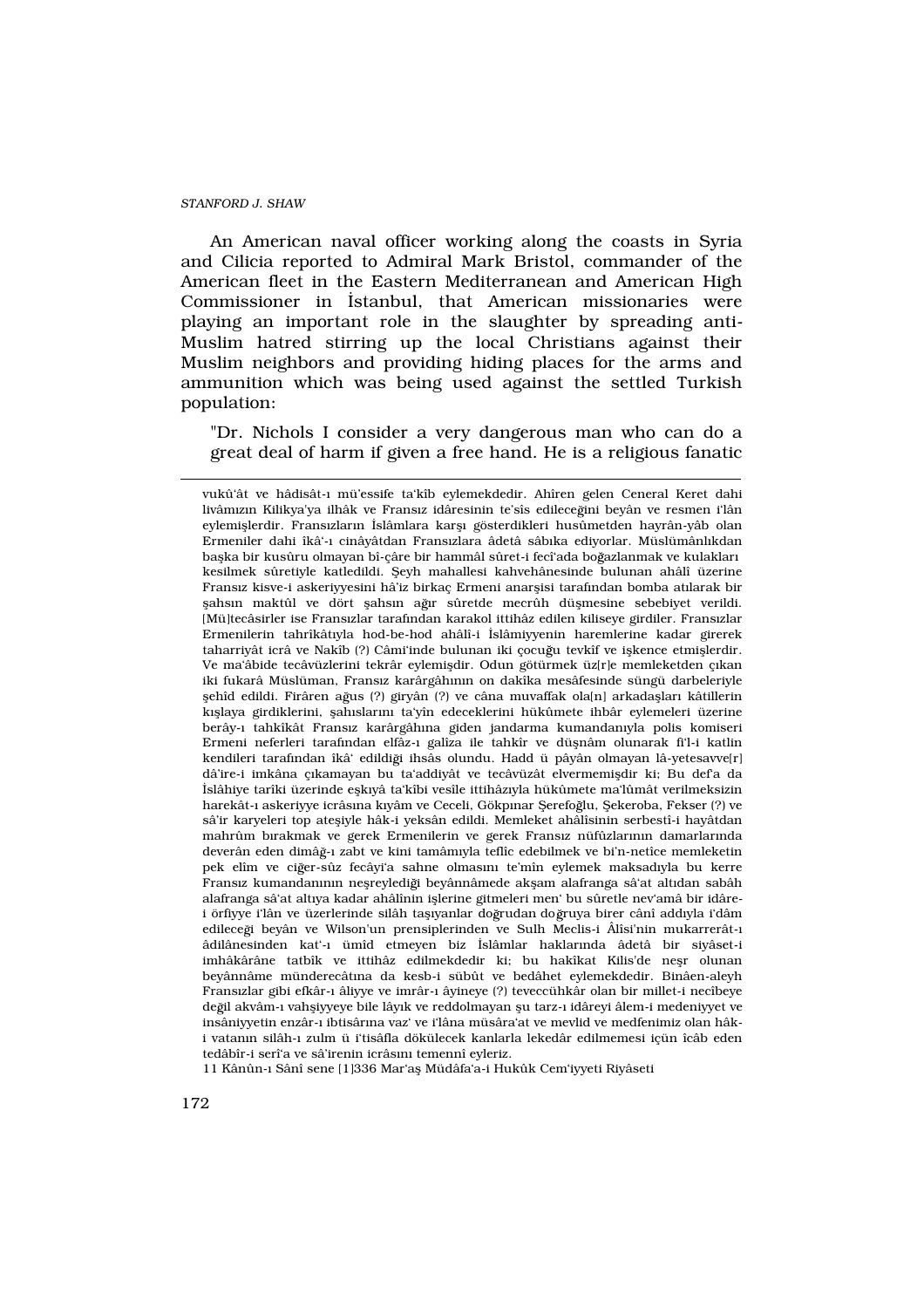An American naval officer working along the coasts in Syria and Cilicia reported to Admiral Mark Bristol, commander of the American fleet in the Eastern Mediterranean and American High Commissioner in ‹stanbul, that American missionaries were playing an important role in the slaughter by spreading anti-Muslim hatred stirring up the local Christians against their Muslim neighbors and providing hiding places for the arms and ammunition which was being used against the settled Turkish population:

"Dr. Nichols I consider a very dangerous man who can do a great deal of harm if given a free hand. He is a religious fanatic

11 Kânûn-› Sânî sene [1]336 Mar'afl Müdâfa'a-i Hukûk Cem'iyyeti Riyâseti

vukû'ât ve hâdisât-› mü'essife ta'kîb eylemekdedir. Ahîren gelen Ceneral Keret dahi livâm<sup>z</sup>n Kilikya'ya ilhâk ve Frans<sub>'</sub>z idâresinin te'sîs edileceğini beyân ve resmen i'lân eylemifllerdir. Frans›zlar›n ‹slâmlara karfl› gösterdikleri husûmetden hayrân-yâb olan Ermeniler dahi îkâ'-› cinâyâtdan Frans›zlara âdetâ sâb›ka ediyorlar. Müslümânl›kdan baflka bir kusûru olmayan bî-câre bir hammâl sûret-i fecî'ada boğazlanmak ve kulaklar kesilmek sûretiyle katledildi. fieyh mahallesi kahvehânesinde bulunan ahâlî üzerine Frans<sub>'Z</sub> kisve-i askeriyyesini hâ'iz birkaç Ermeni anarflisi tarafından bomba atlarak bir flahs›n maktûl ve dört flahs›n ağır sûretde mecrûh düflmesine sebebiyet verildi. [Mü]tecâsirler ise Frans›zlar taraf›ndan karakol ittihâz edilen kiliseye girdiler. Frans›zlar Ermenilerin tahrîkât›yla hod-be-hod ahâlî-i ‹slâmiyyenin haremlerine kadar girerek taharriyât icrâ ve Nakîb (?) Câmi'inde bulunan iki çocuğu tevkîf ve iflkence etmiflerdir. Ve ma'âbide tecâvüzlerini tekrâr eylemifldir. Odun götürmek üz[r]e memleketden çakan iki fukarâ Müslüman, Frans›z karârgâh›n›n on dakîka mesâfesinde süngü darbeleriyle flehîd edildi. Firâren ağus (?) giryân (?) ve câna muvaffak ola[n] arkadafllar› kâtillerin k›fllaya girdiklerini, flah›slar›n› ta'yîn edeceklerini hükûmete ihbâr eylemeleri üzerine berây-› tahkîkât Frans›z karârgâh›na giden jandarma kumandan›yla polis komiseri Ermeni neferleri tarafından elfâz-> galîza ile tahkîr ve düflnâm olunarak fi'l-i katlin kendileri tarafından îkâ' edildiği ihsâs olundu. Hadd ü pâyân olmayan lâ-yetesavve[r] dâ'ire-i imkâna ç·kamayan bu ta'addiyât ve tecâvüzât elvermemifldir ki; Bu def'a da ‹slâhiye tarîki üzerinde eflk›yâ ta'kîbi vesîle ittihâz›yla hükûmete ma'lûmât verilmeksizin harekât-> askeriyye icrâs>na kyâm ve Ceceli, Gökp>nar fierefoğlu, fiekeroba, Fekser (?) ve sâ'ir karyeleri top atefliyle hâk-i yeksân edildi. Memleket ahâlîsinin serbestî-i hayâtdan mahrûm b·rakmak ve gerek Ermenilerin ve gerek Frans<sub>2</sub> nüfûzlar<sub>1</sub>nın damarlarında deverân eden dimâğ-› zabt ve kini tamâm›yla teflîc edebilmek ve bi'n-netîce memleketin pek elîm ve ciğer-sûz fecâyi'a sahne olmas<sub>'</sub>n te'mîn eylemek maksad<sub>'</sub>yla bu kerre Frans›z kumandan›n›n neflreylediği beyânnâmede akflam alafranga sâ'at alt›dan sabâh alafranga sâ'at alt›ya kadar ahâlînin ifllerine gitmeleri men' bu sûretle nev'amâ bir idârei örfiyye i'lân ve üzerlerinde silâh taflyanlar doğrudan doğruya birer cânî addyla i'dâm edileceği beyân ve Wilson'un prensiplerinden ve Sulh Meclis-i Âlîsi'nin mukarrerât-> âdilânesinden kat'-› ümîd etmeyen biz ‹slâmlar haklar›nda âdetâ bir siyâset-i imhâkârâne tatbîk ve ittihâz edilmekdedir ki; bu hakîkat Kilis'de neflr olunan beyânnâme münderecât na da kesb-i sübût ve bedâhet eylemekdedir. Binâen-aleyh Frans›zlar gibi efkâr-› âliyye ve imrâr-› âyineye (?) teveccühkâr olan bir millet-i necîbeye de il akvâm-› vahfliyyeye bile lây›k ve reddolmayan flu tarz-› idâreyi âlem-i medeniyyet ve insâniyyetin enzâr-› ibtisâr›na vaz' ve i'lâna müsâra'at ve mevlid ve medfenimiz olan hâki vatan›n silâh-› zulm ü i'tisâfla dökülecek kanlarla lekedâr edilmemesi içün îcâb eden tedâbîr-i serî'a ve sâ'irenin icrâs›n› temennî eyleriz.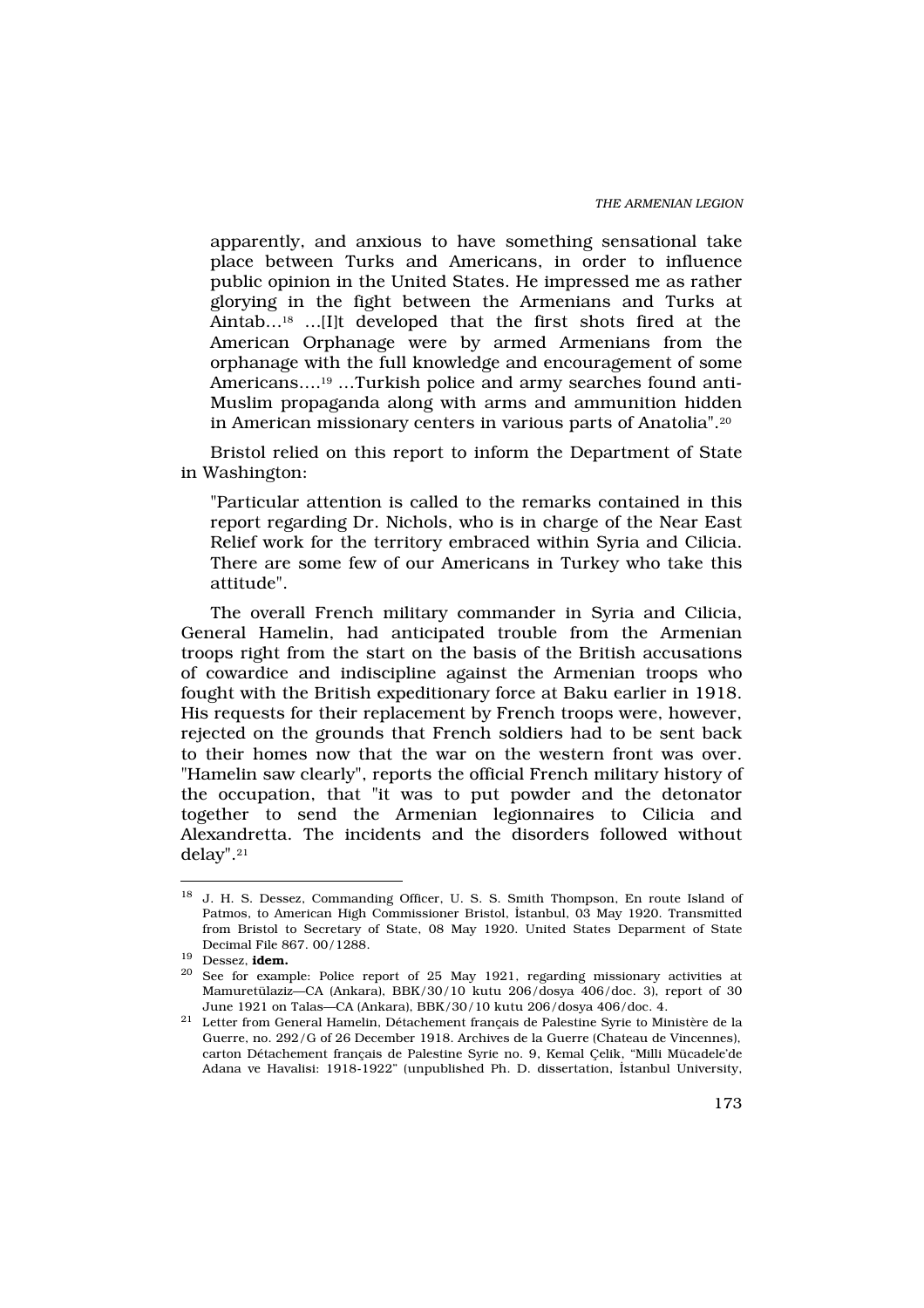apparently, and anxious to have something sensational take place between Turks and Americans, in order to influence public opinion in the United States. He impressed me as rather glorying in the fight between the Armenians and Turks at Aintab…18 …[I]t developed that the first shots fired at the American Orphanage were by armed Armenians from the orphanage with the full knowledge and encouragement of some Americans….19 …Turkish police and army searches found anti-Muslim propaganda along with arms and ammunition hidden in American missionary centers in various parts of Anatolia".<sup>20</sup>

Bristol relied on this report to inform the Department of State in Washington:

"Particular attention is called to the remarks contained in this report regarding Dr. Nichols, who is in charge of the Near East Relief work for the territory embraced within Syria and Cilicia. There are some few of our Americans in Turkey who take this attitude".

The overall French military commander in Syria and Cilicia, General Hamelin, had anticipated trouble from the Armenian troops right from the start on the basis of the British accusations of cowardice and indiscipline against the Armenian troops who fought with the British expeditionary force at Baku earlier in 1918. His requests for their replacement by French troops were, however, rejected on the grounds that French soldiers had to be sent back to their homes now that the war on the western front was over. "Hamelin saw clearly", reports the official French military history of the occupation, that "it was to put powder and the detonator together to send the Armenian legionnaires to Cilicia and Alexandretta. The incidents and the disorders followed without delay".<sup>21</sup>

<sup>&</sup>lt;sup>18</sup> J. H. S. Dessez, Commanding Officer, U. S. S. Smith Thompson, En route Island of Patmos, to American High Commissioner Bristol, ‹stanbul, 03 May 1920. Transmitted from Bristol to Secretary of State, 08 May 1920. United States Deparment of State Decimal File 867. 00/1288.

 $19$  Dessez, idem.

<sup>20</sup> See for example: Police report of 25 May 1921, regarding missionary activities at Mamuretülaziz—CA (Ankara), BBK/30/10 kutu 206/dosya 406/doc. 3), report of 30 June 1921 on Talas—CA (Ankara), BBK/30/10 kutu 206/dosya 406/doc. 4.

 $^{21}\,$  Letter from General Hamelin, Détachement français de Palestine Syrie to Ministère de la Guerre, no. 292/G of 26 December 1918. Archives de la Guerre (Chateau de Vincennes), carton Détachement français de Palestine Syrie no. 9, Kemal Çelik, "Milli Mücadele'de Adana ve Havalisi: 1918-1922" (unpublished Ph. D. dissertation, ‹stanbul University,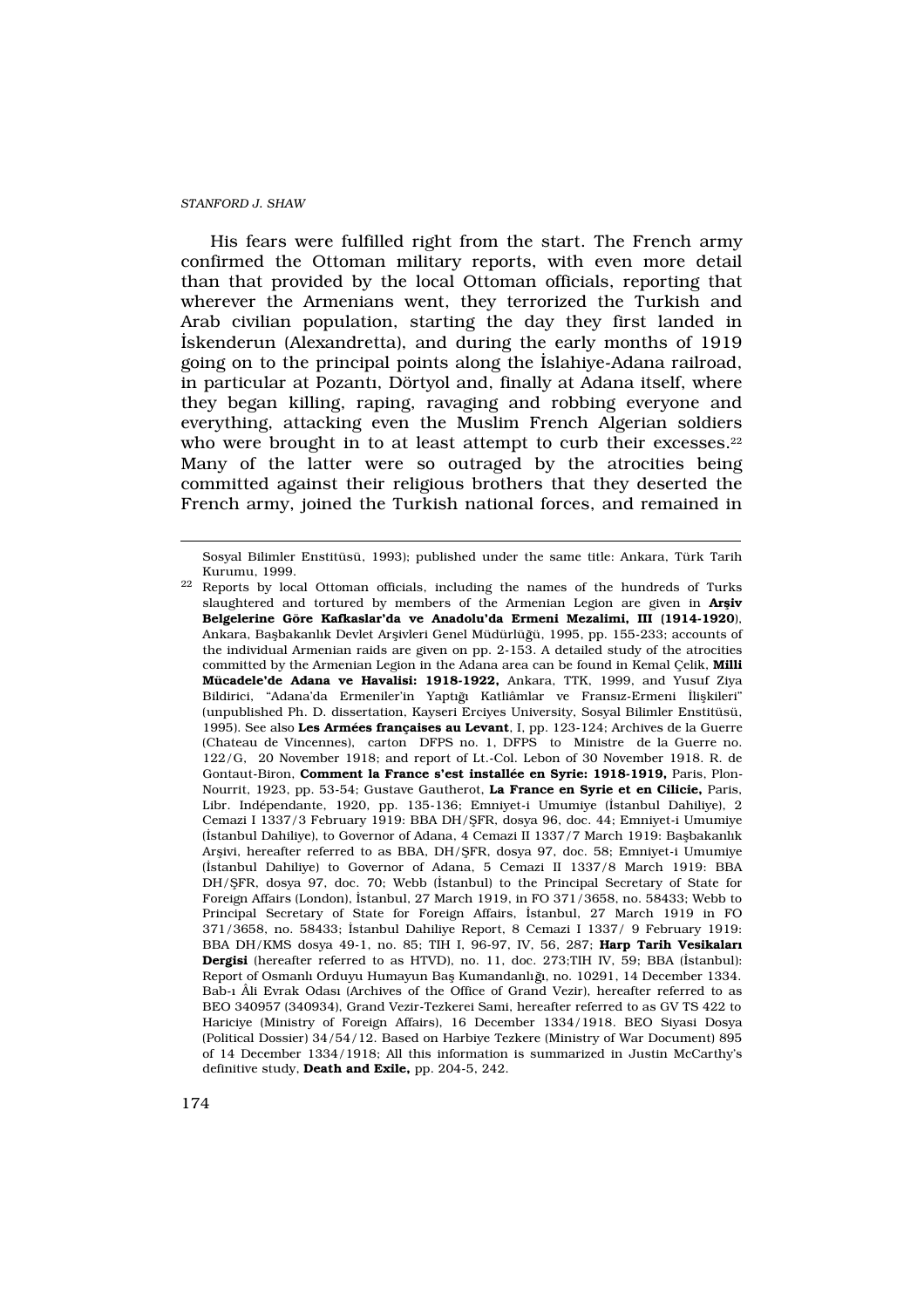His fears were fulfilled right from the start. The French army confirmed the Ottoman military reports, with even more detail than that provided by the local Ottoman officials, reporting that wherever the Armenians went, they terrorized the Turkish and Arab civilian population, starting the day they first landed in ‹skenderun (Alexandretta), and during the early months of 1919 going on to the principal points along the ‹slahiye-Adana railroad, in particular at Pozant›, Dörtyol and, finally at Adana itself, where they began killing, raping, ravaging and robbing everyone and everything, attacking even the Muslim French Algerian soldiers who were brought in to at least attempt to curb their excesses.<sup>22</sup> Many of the latter were so outraged by the atrocities being committed against their religious brothers that they deserted the French army, joined the Turkish national forces, and remained in

Sosyal Bilimler Enstitüsü, 1993); published under the same title: Ankara, Türk Tarih Kurumu, 1999.

<sup>&</sup>lt;sup>22</sup> Reports by local Ottoman officials, including the names of the hundreds of Turks slaughtered and tortured by members of the Armenian Legion are given in  $Ar$  iv Belgelerine Göre Kafkaslar'da ve Anadolu'da Ermeni Mezalimi, III (1914-1920), Ankara, Baflbakanl›k Devlet Arflivleri Genel Müdürlü ü, 1995, pp. 155-233; accounts of the individual Armenian raids are given on pp. 2-153. A detailed study of the atrocities committed by the Armenian Legion in the Adana area can be found in Kemal Çelik, Milli Mücadele'de Adana ve Havalisi: 1918-1922, Ankara, TTK, 1999, and Yusuf Ziya Bildirici, "Adana'da Ermeniler'in Yaptığ Katliâmlar ve Frans<sub>'Z</sub>-Ermeni ‹liflkileri" (unpublished Ph. D. dissertation, Kayseri Erciyes University, Sosyal Bilimler Enstitüsü, 1995). See also Les Armées françaises au Levant, I, pp. 123-124; Archives de la Guerre (Chateau de Vincennes), carton DFPS no. 1, DFPS to Ministre de la Guerre no. 122/G, 20 November 1918; and report of Lt.-Col. Lebon of 30 November 1918. R. de Gontaut-Biron, Comment la France s'est installée en Syrie: 1918-1919, Paris, Plon-Nourrit, 1923, pp. 53-54; Gustave Gautherot, La France en Syrie et en Cilicie, Paris, Libr. Indépendante, 1920, pp. 135-136; Emniyet-i Umumiye (‹stanbul Dahiliye), 2 Cemazi I 1337/3 February 1919: BBA DH/fiFR, dosya 96, doc. 44; Emniyet-i Umumiye (‹stanbul Dahiliye), to Governor of Adana, 4 Cemazi II 1337/7 March 1919: Baflbakanl›k Arflivi, hereafter referred to as BBA, DH/fiFR, dosya 97, doc. 58; Emniyet-i Umumiye (‹stanbul Dahiliye) to Governor of Adana, 5 Cemazi II 1337/8 March 1919: BBA DH/fiFR, dosya 97, doc. 70; Webb («stanbul) to the Principal Secretary of State for Foreign Affairs (London), ‹stanbul, 27 March 1919, in FO 371/3658, no. 58433; Webb to Principal Secretary of State for Foreign Affairs, ‹stanbul, 27 March 1919 in FO 371/3658, no. 58433; ‹stanbul Dahiliye Report, 8 Cemazi I 1337/ 9 February 1919: BBA DH/KMS dosya 49-1, no. 85; TIH I, 96-97, IV, 56, 287; Harp Tarih Vesikalar Dergisi (hereafter referred to as HTVD), no. 11, doc. 273;TIH IV, 59; BBA (‹stanbul): Report of Osmanl<sup>,</sup> Orduyu Humayun Bafl Kumandanl<sub>i</sub>ğ, no. 10291, 14 December 1334. Bab-› Âli Evrak Odas› (Archives of the Office of Grand Vezir), hereafter referred to as BEO 340957 (340934), Grand Vezir-Tezkerei Sami, hereafter referred to as GV TS 422 to Hariciye (Ministry of Foreign Affairs), 16 December 1334/1918. BEO Siyasi Dosya (Political Dossier) 34/54/12. Based on Harbiye Tezkere (Ministry of War Document) 895 of 14 December 1334/1918; All this information is summarized in Justin McCarthy's definitive study, Death and Exile, pp. 204-5, 242.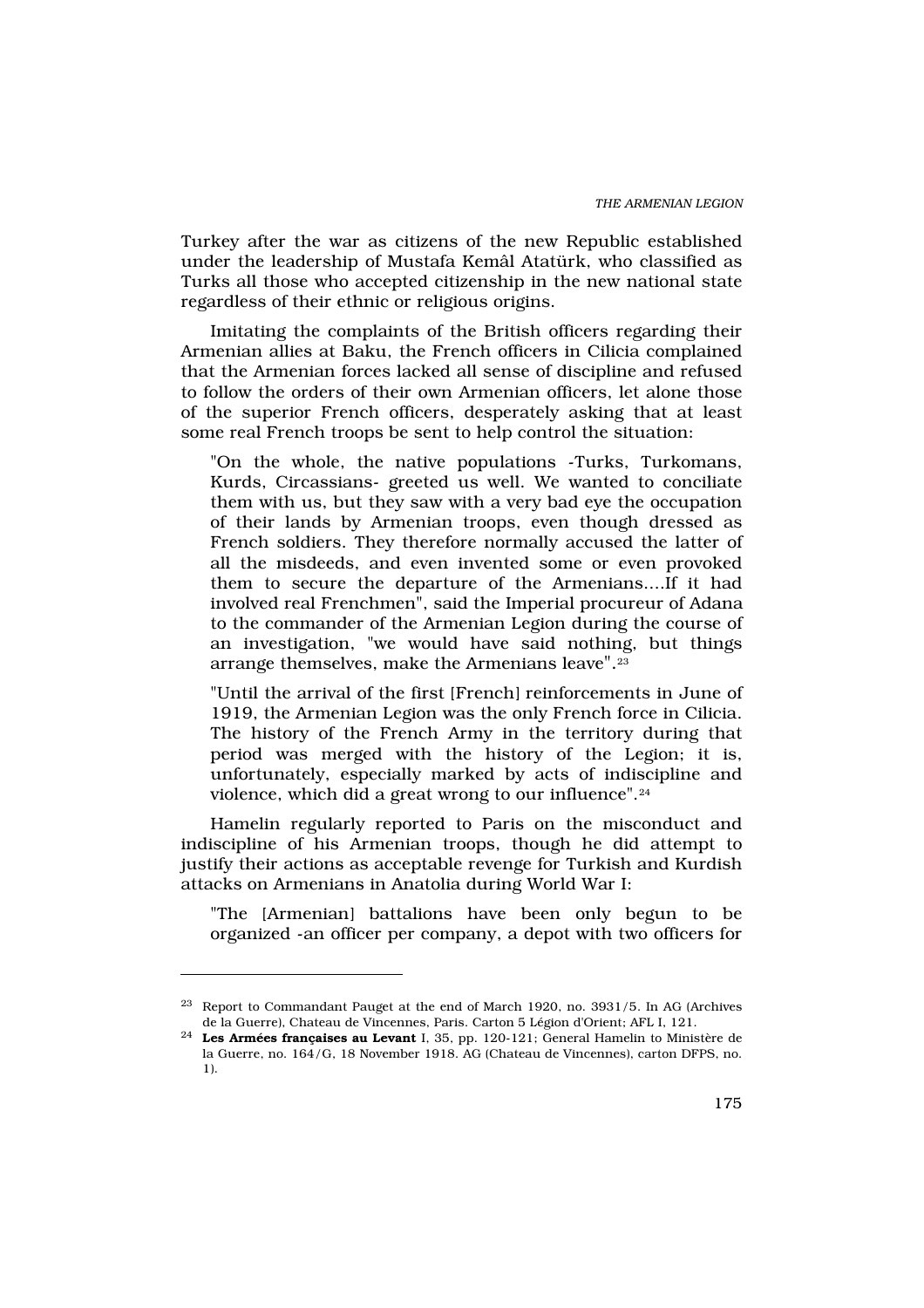Turkey after the war as citizens of the new Republic established under the leadership of Mustafa Kemâl Atatürk, who classified as Turks all those who accepted citizenship in the new national state regardless of their ethnic or religious origins.

Imitating the complaints of the British officers regarding their Armenian allies at Baku, the French officers in Cilicia complained that the Armenian forces lacked all sense of discipline and refused to follow the orders of their own Armenian officers, let alone those of the superior French officers, desperately asking that at least some real French troops be sent to help control the situation:

"On the whole, the native populations -Turks, Turkomans, Kurds, Circassians- greeted us well. We wanted to conciliate them with us, but they saw with a very bad eye the occupation of their lands by Armenian troops, even though dressed as French soldiers. They therefore normally accused the latter of all the misdeeds, and even invented some or even provoked them to secure the departure of the Armenians....If it had involved real Frenchmen", said the Imperial procureur of Adana to the commander of the Armenian Legion during the course of an investigation, "we would have said nothing, but things arrange themselves, make the Armenians leave".<sup>23</sup>

"Until the arrival of the first [French] reinforcements in June of 1919, the Armenian Legion was the only French force in Cilicia. The history of the French Army in the territory during that period was merged with the history of the Legion; it is, unfortunately, especially marked by acts of indiscipline and violence, which did a great wrong to our influence".<sup>24</sup>

Hamelin regularly reported to Paris on the misconduct and indiscipline of his Armenian troops, though he did attempt to justify their actions as acceptable revenge for Turkish and Kurdish attacks on Armenians in Anatolia during World War I:

"The [Armenian] battalions have been only begun to be organized -an officer per company, a depot with two officers for

<sup>23</sup> Report to Commandant Pauget at the end of March 1920, no. 3931/5. In AG (Archives de la Guerre), Chateau de Vincennes, Paris. Carton 5 Légion d'Orient; AFL I, 121.

<sup>24</sup> Les Armées françaises au Levant I, 35, pp. 120-121; General Hamelin to Ministère de la Guerre, no. 164/G, 18 November 1918. AG (Chateau de Vincennes), carton DFPS, no. 1).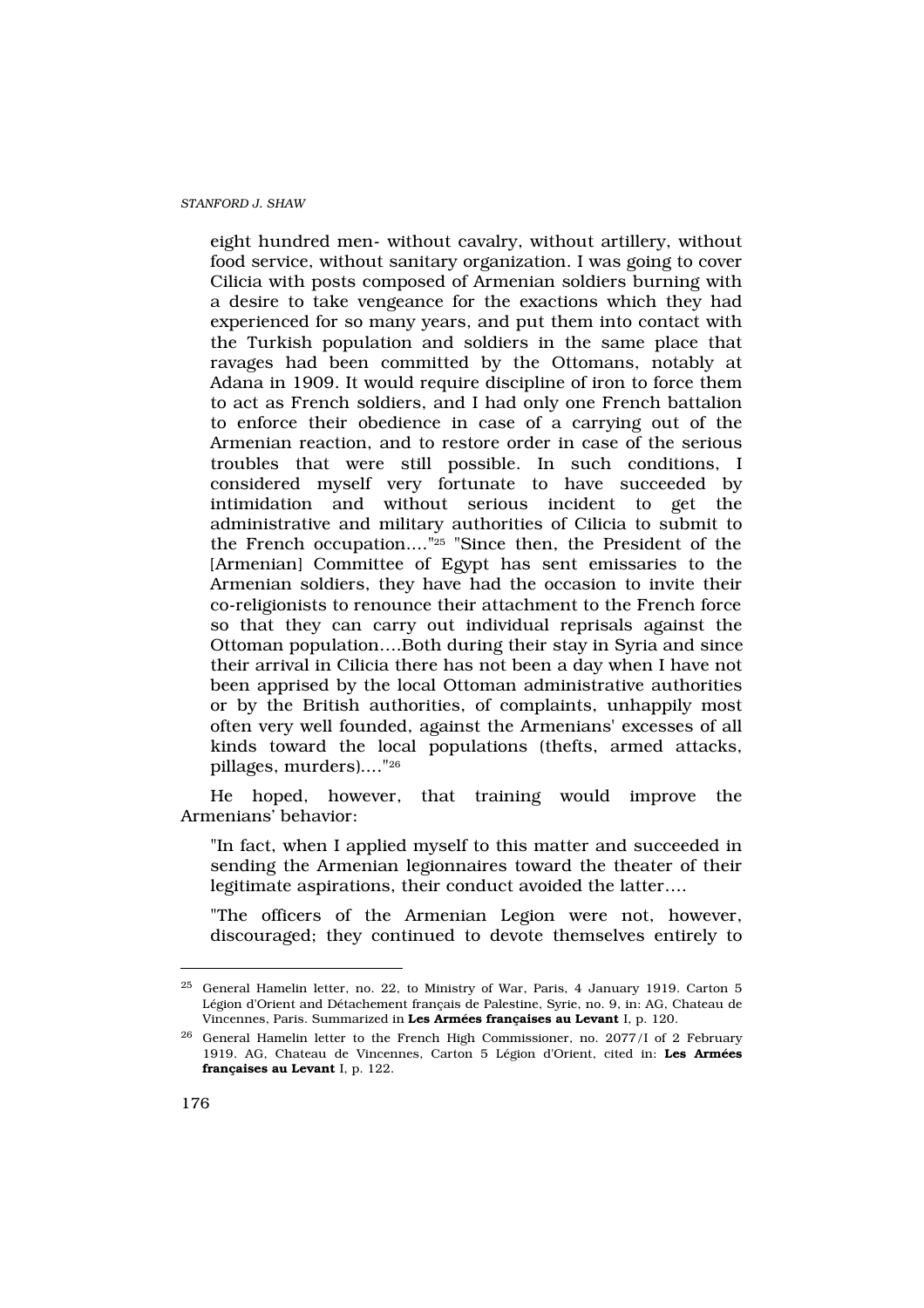eight hundred men- without cavalry, without artillery, without food service, without sanitary organization. I was going to cover Cilicia with posts composed of Armenian soldiers burning with a desire to take vengeance for the exactions which they had experienced for so many years, and put them into contact with the Turkish population and soldiers in the same place that ravages had been committed by the Ottomans, notably at Adana in 1909. It would require discipline of iron to force them to act as French soldiers, and I had only one French battalion to enforce their obedience in case of a carrying out of the Armenian reaction, and to restore order in case of the serious troubles that were still possible. In such conditions, I considered myself very fortunate to have succeeded by intimidation and without serious incident to get the administrative and military authorities of Cilicia to submit to the French occupation...."25 "Since then, the President of the [Armenian] Committee of Egypt has sent emissaries to the Armenian soldiers, they have had the occasion to invite their co-religionists to renounce their attachment to the French force so that they can carry out individual reprisals against the Ottoman population….Both during their stay in Syria and since their arrival in Cilicia there has not been a day when I have not been apprised by the local Ottoman administrative authorities or by the British authorities, of complaints, unhappily most often very well founded, against the Armenians' excesses of all kinds toward the local populations (thefts, armed attacks, pillages, murders)...."<sup>26</sup>

He hoped, however, that training would improve the Armenians' behavior:

"In fact, when I applied myself to this matter and succeeded in sending the Armenian legionnaires toward the theater of their legitimate aspirations, their conduct avoided the latter….

"The officers of the Armenian Legion were not, however, discouraged; they continued to devote themselves entirely to

<sup>25</sup> General Hamelin letter, no. 22, to Ministry of War, Paris, 4 January 1919. Carton 5 Légion d'Orient and Détachement français de Palestine, Syrie, no. 9, in: AG, Chateau de Vincennes, Paris. Summarized in Les Armées françaises au Levant I, p. 120.

<sup>26</sup> General Hamelin letter to the French High Commissioner, no. 2077/I of 2 February 1919. AG, Chateau de Vincennes, Carton 5 Légion d'Orient, cited in: Les Armées françaises au Levant I, p. 122.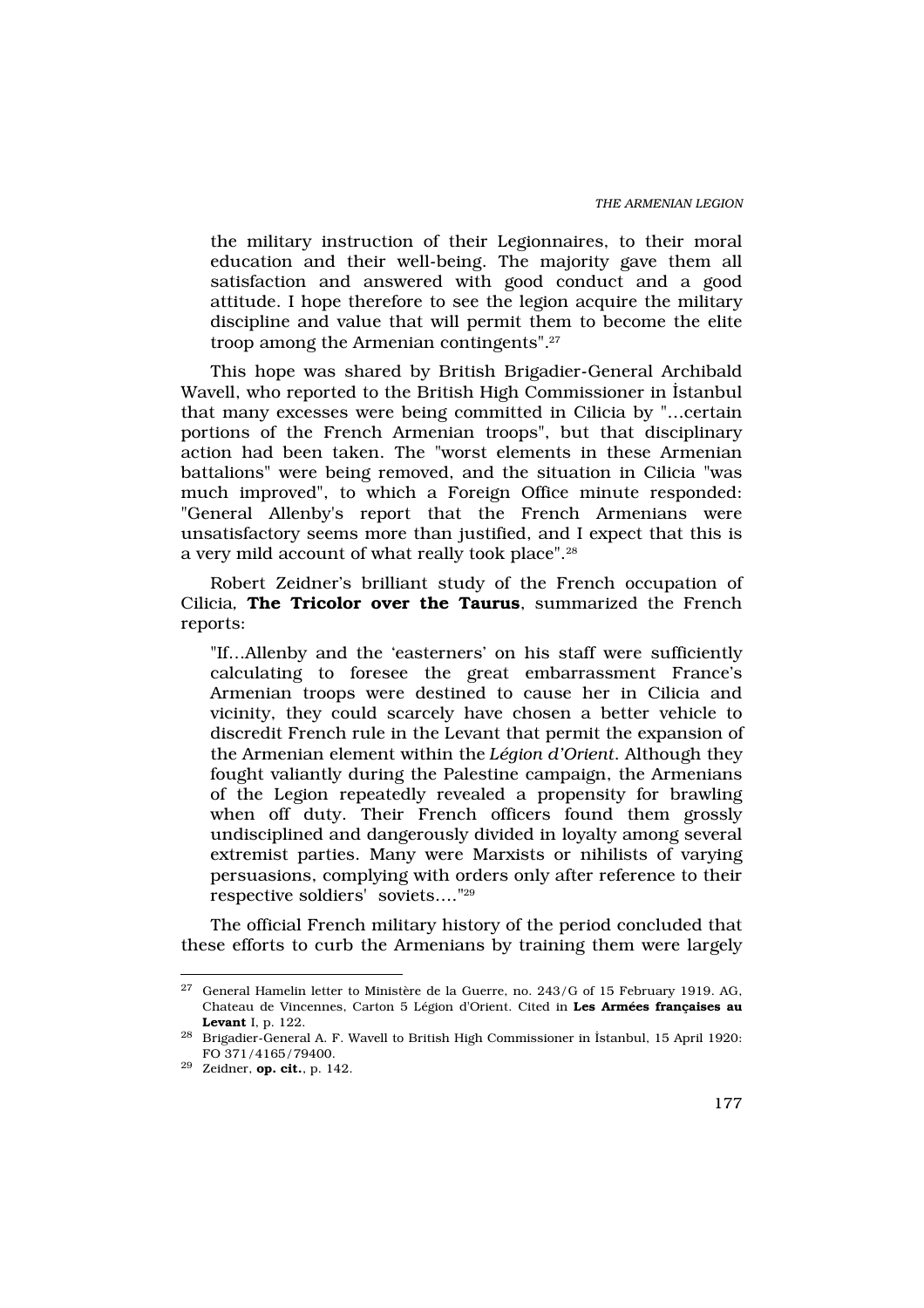the military instruction of their Legionnaires, to their moral education and their well-being. The majority gave them all satisfaction and answered with good conduct and a good attitude. I hope therefore to see the legion acquire the military discipline and value that will permit them to become the elite troop among the Armenian contingents".<sup>27</sup>

This hope was shared by British Brigadier-General Archibald Wavell, who reported to the British High Commissioner in ‹stanbul that many excesses were being committed in Cilicia by "…certain portions of the French Armenian troops", but that disciplinary action had been taken. The "worst elements in these Armenian battalions" were being removed, and the situation in Cilicia "was much improved", to which a Foreign Office minute responded: "General Allenby's report that the French Armenians were unsatisfactory seems more than justified, and I expect that this is a very mild account of what really took place".<sup>28</sup>

Robert Zeidner's brilliant study of the French occupation of Cilicia, The Tricolor over the Taurus, summarized the French reports:

"If…Allenby and the 'easterners' on his staff were sufficiently calculating to foresee the great embarrassment France's Armenian troops were destined to cause her in Cilicia and vicinity, they could scarcely have chosen a better vehicle to discredit French rule in the Levant that permit the expansion of the Armenian element within the Légion d'Orient. Although they fought valiantly during the Palestine campaign, the Armenians of the Legion repeatedly revealed a propensity for brawling when off duty. Their French officers found them grossly undisciplined and dangerously divided in loyalty among several extremist parties. Many were Marxists or nihilists of varying persuasions, complying with orders only after reference to their respective soldiers' soviets…."<sup>29</sup>

The official French military history of the period concluded that these efforts to curb the Armenians by training them were largely

 $27$  General Hamelin letter to Ministère de la Guerre, no. 243/G of 15 February 1919. AG, Chateau de Vincennes, Carton 5 Légion d'Orient. Cited in Les Armées françaises au Levant I, p. 122.

 $^{28}$  Brigadier-General A. F. Wavell to British High Commissioner in ‹stanbul, 15 April 1920: FO 371/4165/79400.

 $29$  Zeidner, op. cit., p. 142.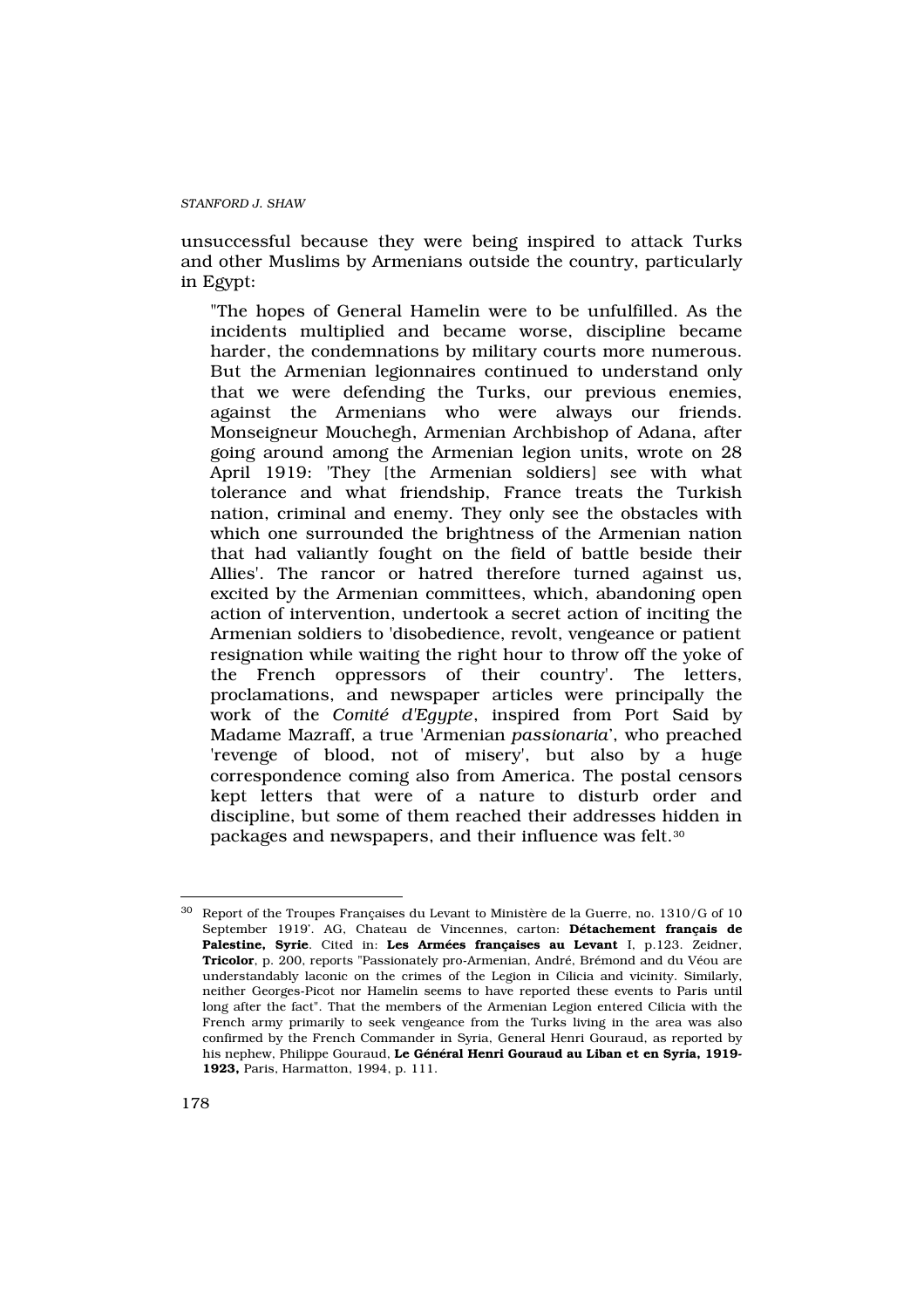unsuccessful because they were being inspired to attack Turks and other Muslims by Armenians outside the country, particularly in Egypt:

"The hopes of General Hamelin were to be unfulfilled. As the incidents multiplied and became worse, discipline became harder, the condemnations by military courts more numerous. But the Armenian legionnaires continued to understand only that we were defending the Turks, our previous enemies, against the Armenians who were always our friends. Monseigneur Mouchegh, Armenian Archbishop of Adana, after going around among the Armenian legion units, wrote on 28 April 1919: 'They [the Armenian soldiers] see with what tolerance and what friendship, France treats the Turkish nation, criminal and enemy. They only see the obstacles with which one surrounded the brightness of the Armenian nation that had valiantly fought on the field of battle beside their Allies'. The rancor or hatred therefore turned against us, excited by the Armenian committees, which, abandoning open action of intervention, undertook a secret action of inciting the Armenian soldiers to 'disobedience, revolt, vengeance or patient resignation while waiting the right hour to throw off the yoke of the French oppressors of their country'. The letters, proclamations, and newspaper articles were principally the work of the Comité d'Egypte, inspired from Port Said by Madame Mazraff, a true 'Armenian passionaria', who preached 'revenge of blood, not of misery', but also by a huge correspondence coming also from America. The postal censors kept letters that were of a nature to disturb order and discipline, but some of them reached their addresses hidden in packages and newspapers, and their influence was felt.<sup>30</sup>

<sup>30</sup> Report of the Troupes Françaises du Levant to Ministère de la Guerre, no. 1310/G of 10 September 1919'. AG, Chateau de Vincennes, carton: Détachement français de Palestine, Syrie. Cited in: Les Armées francaises au Levant I, p.123. Zeidner, Tricolor, p. 200, reports "Passionately pro-Armenian, André, Brémond and du Véou are understandably laconic on the crimes of the Legion in Cilicia and vicinity. Similarly, neither Georges-Picot nor Hamelin seems to have reported these events to Paris until long after the fact". That the members of the Armenian Legion entered Cilicia with the French army primarily to seek vengeance from the Turks living in the area was also confirmed by the French Commander in Syria, General Henri Gouraud, as reported by his nephew, Philippe Gouraud, Le Général Henri Gouraud au Liban et en Syria, 1919-1923, Paris, Harmatton, 1994, p. 111.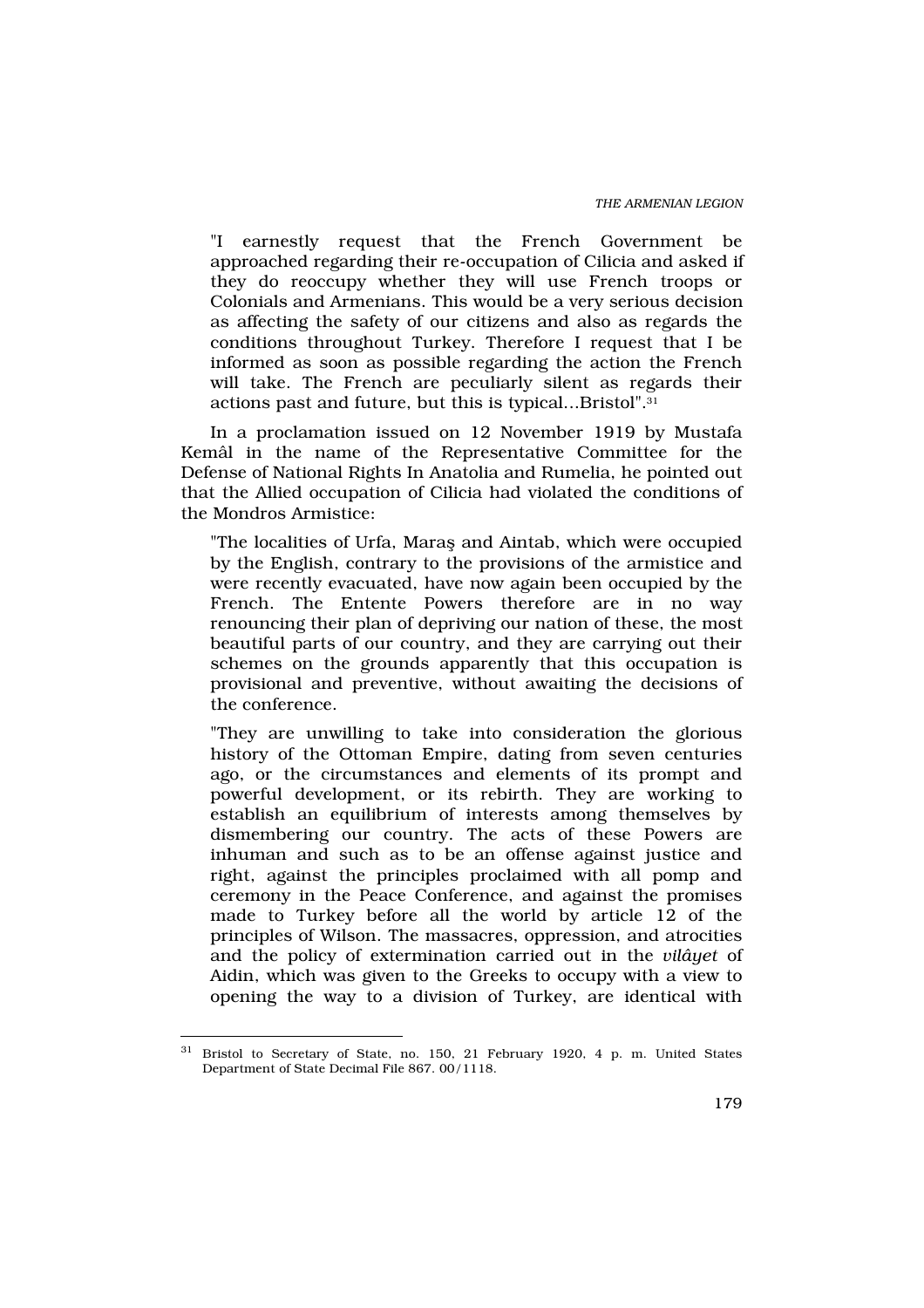"I earnestly request that the French Government be approached regarding their re-occupation of Cilicia and asked if they do reoccupy whether they will use French troops or Colonials and Armenians. This would be a very serious decision as affecting the safety of our citizens and also as regards the conditions throughout Turkey. Therefore I request that I be informed as soon as possible regarding the action the French will take. The French are peculiarly silent as regards their actions past and future, but this is typical...Bristol".<sup>31</sup>

In a proclamation issued on 12 November 1919 by Mustafa Kemâl in the name of the Representative Committee for the Defense of National Rights In Anatolia and Rumelia, he pointed out that the Allied occupation of Cilicia had violated the conditions of the Mondros Armistice:

"The localities of Urfa, Marafl and Aintab, which were occupied by the English, contrary to the provisions of the armistice and were recently evacuated, have now again been occupied by the French. The Entente Powers therefore are in no way renouncing their plan of depriving our nation of these, the most beautiful parts of our country, and they are carrying out their schemes on the grounds apparently that this occupation is provisional and preventive, without awaiting the decisions of the conference.

"They are unwilling to take into consideration the glorious history of the Ottoman Empire, dating from seven centuries ago, or the circumstances and elements of its prompt and powerful development, or its rebirth. They are working to establish an equilibrium of interests among themselves by dismembering our country. The acts of these Powers are inhuman and such as to be an offense against justice and right, against the principles proclaimed with all pomp and ceremony in the Peace Conference, and against the promises made to Turkey before all the world by article 12 of the principles of Wilson. The massacres, oppression, and atrocities and the policy of extermination carried out in the vilâyet of Aidin, which was given to the Greeks to occupy with a view to opening the way to a division of Turkey, are identical with

<sup>31</sup> Bristol to Secretary of State, no. 150, 21 February 1920, 4 p. m. United States Department of State Decimal File 867. 00/1118.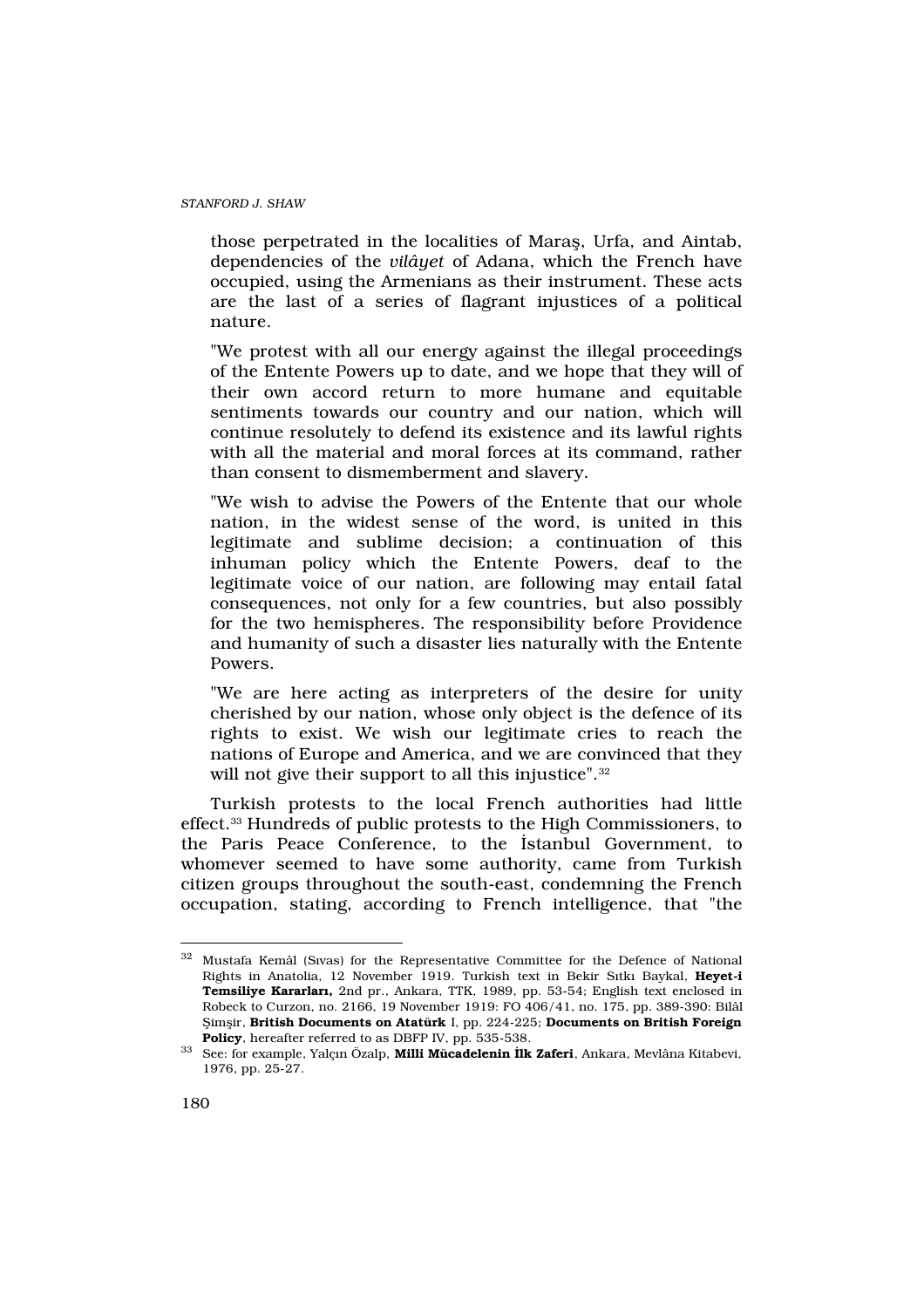those perpetrated in the localities of Marafl, Urfa, and Aintab, dependencies of the vilâyet of Adana, which the French have occupied, using the Armenians as their instrument. These acts are the last of a series of flagrant injustices of a political nature.

"We protest with all our energy against the illegal proceedings of the Entente Powers up to date, and we hope that they will of their own accord return to more humane and equitable sentiments towards our country and our nation, which will continue resolutely to defend its existence and its lawful rights with all the material and moral forces at its command, rather than consent to dismemberment and slavery.

"We wish to advise the Powers of the Entente that our whole nation, in the widest sense of the word, is united in this legitimate and sublime decision; a continuation of this inhuman policy which the Entente Powers, deaf to the legitimate voice of our nation, are following may entail fatal consequences, not only for a few countries, but also possibly for the two hemispheres. The responsibility before Providence and humanity of such a disaster lies naturally with the Entente Powers.

"We are here acting as interpreters of the desire for unity cherished by our nation, whose only object is the defence of its rights to exist. We wish our legitimate cries to reach the nations of Europe and America, and we are convinced that they will not give their support to all this injustice".<sup>32</sup>

Turkish protests to the local French authorities had little effect.33 Hundreds of public protests to the High Commissioners, to the Paris Peace Conference, to the ‹stanbul Government, to whomever seemed to have some authority, came from Turkish citizen groups throughout the south-east, condemning the French occupation, stating, according to French intelligence, that "the

<sup>32</sup> Mustafa Kemâl (S›vas) for the Representative Committee for the Defence of National Rights in Anatolia, 12 November 1919. Turkish text in Bekir S>tk> Baykal, Heyet-i Temsiliye Kararlar, 2nd pr., Ankara, TTK, 1989, pp. 53-54; English text enclosed in Robeck to Curzon, no. 2166, 19 November 1919: FO 406/41, no. 175, pp. 389-390: Bilâl fiimflir, British Documents on Atatürk I, pp. 224-225; Documents on British Foreign Policy, hereafter referred to as DBFP IV, pp. 535-538.

<sup>33</sup> See: for example, Yalçın Özalp, Milli Mücadelenin lk Zaferi, Ankara, Mevlâna Kitabevi, 1976, pp. 25-27.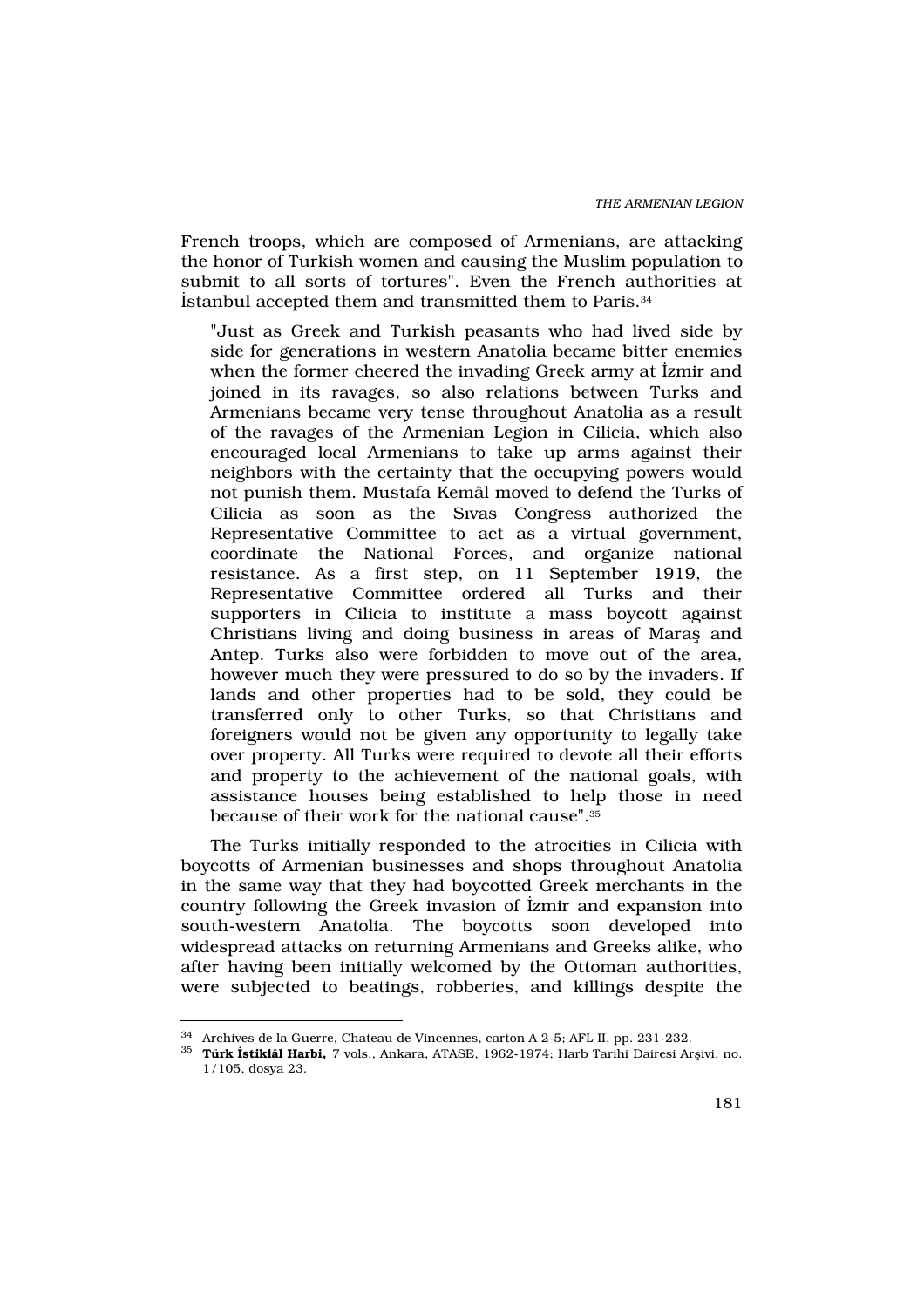French troops, which are composed of Armenians, are attacking the honor of Turkish women and causing the Muslim population to submit to all sorts of tortures". Even the French authorities at ‹stanbul accepted them and transmitted them to Paris.<sup>34</sup>

"Just as Greek and Turkish peasants who had lived side by side for generations in western Anatolia became bitter enemies when the former cheered the invading Greek army at ‹zmir and joined in its ravages, so also relations between Turks and Armenians became very tense throughout Anatolia as a result of the ravages of the Armenian Legion in Cilicia, which also encouraged local Armenians to take up arms against their neighbors with the certainty that the occupying powers would not punish them. Mustafa Kemâl moved to defend the Turks of Cilicia as soon as the S›vas Congress authorized the Representative Committee to act as a virtual government, coordinate the National Forces, and organize national resistance. As a first step, on 11 September 1919, the Representative Committee ordered all Turks and their supporters in Cilicia to institute a mass boycott against Christians living and doing business in areas of Marafl and Antep. Turks also were forbidden to move out of the area, however much they were pressured to do so by the invaders. If lands and other properties had to be sold, they could be transferred only to other Turks, so that Christians and foreigners would not be given any opportunity to legally take over property. All Turks were required to devote all their efforts and property to the achievement of the national goals, with assistance houses being established to help those in need because of their work for the national cause".<sup>35</sup>

The Turks initially responded to the atrocities in Cilicia with boycotts of Armenian businesses and shops throughout Anatolia in the same way that they had boycotted Greek merchants in the country following the Greek invasion of ‹zmir and expansion into south-western Anatolia. The boycotts soon developed into widespread attacks on returning Armenians and Greeks alike, who after having been initially welcomed by the Ottoman authorities, were subjected to beatings, robberies, and killings despite the

<sup>34</sup> Archives de la Guerre, Chateau de Vincennes, carton A 2-5; AFL II, pp. 231-232.

 $^{35}\,$  Türk stiklâl Harbi, 7 vols., Ankara, ATASE, 1962-1974; Harb Tarihi Dairesi Arflivi, no. 1/105, dosya 23.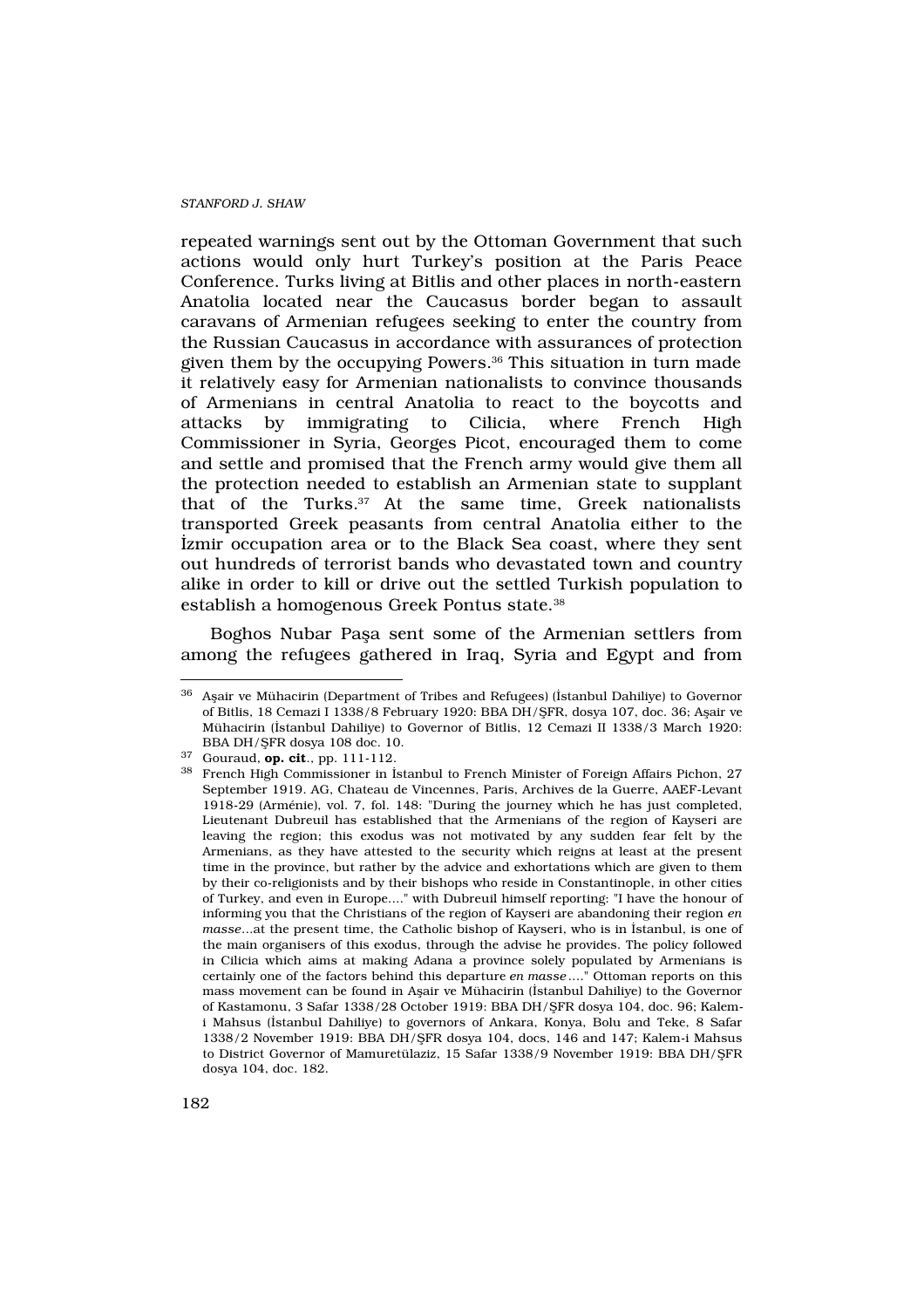repeated warnings sent out by the Ottoman Government that such actions would only hurt Turkey's position at the Paris Peace Conference. Turks living at Bitlis and other places in north-eastern Anatolia located near the Caucasus border began to assault caravans of Armenian refugees seeking to enter the country from the Russian Caucasus in accordance with assurances of protection given them by the occupying Powers.36 This situation in turn made it relatively easy for Armenian nationalists to convince thousands of Armenians in central Anatolia to react to the boycotts and attacks by immigrating to Cilicia, where French High Commissioner in Syria, Georges Picot, encouraged them to come and settle and promised that the French army would give them all the protection needed to establish an Armenian state to supplant that of the Turks.37 At the same time, Greek nationalists transported Greek peasants from central Anatolia either to the ‹zmir occupation area or to the Black Sea coast, where they sent out hundreds of terrorist bands who devastated town and country alike in order to kill or drive out the settled Turkish population to establish a homogenous Greek Pontus state.<sup>38</sup>

Boghos Nubar Pafla sent some of the Armenian settlers from among the refugees gathered in Iraq, Syria and Egypt and from

 $^{36}\,$  Aflair ve Mühacirin (Department of Tribes and Refugees) (<br/>stanbul Dahiliye) to Governor of Bitlis, 18 Cemazi I 1338/8 February 1920: BBA DH/fiFR, dosya 107, doc. 36; Aflair ve Mühacirin (‹stanbul Dahiliye) to Governor of Bitlis, 12 Cemazi II 1338/3 March 1920: BBA DH/fiFR dosya 108 doc. 10.

 $37$  Gouraud, op. cit., pp. 111-112.

<sup>38</sup> French High Commissioner in ‹stanbul to French Minister of Foreign Affairs Pichon, 27 September 1919. AG, Chateau de Vincennes, Paris, Archives de la Guerre, AAEF-Levant 1918-29 (Arménie), vol. 7, fol. 148: "During the journey which he has just completed, Lieutenant Dubreuil has established that the Armenians of the region of Kayseri are leaving the region; this exodus was not motivated by any sudden fear felt by the Armenians, as they have attested to the security which reigns at least at the present time in the province, but rather by the advice and exhortations which are given to them by their co-religionists and by their bishops who reside in Constantinople, in other cities of Turkey, and even in Europe...." with Dubreuil himself reporting: "I have the honour of informing you that the Christians of the region of Kayseri are abandoning their region en masse...at the present time, the Catholic bishop of Kayseri, who is in ‹stanbul, is one of the main organisers of this exodus, through the advise he provides. The policy followed in Cilicia which aims at making Adana a province solely populated by Armenians is certainly one of the factors behind this departure en masse...." Ottoman reports on this mass movement can be found in Aflair ve Mühacirin (‹stanbul Dahiliye) to the Governor of Kastamonu, 3 Safar 1338/28 October 1919: BBA DH/fiFR dosya 104, doc. 96; Kalemi Mahsus (‹stanbul Dahiliye) to governors of Ankara, Konya, Bolu and Teke, 8 Safar 1338/2 November 1919: BBA DH/fiFR dosya 104, docs, 146 and 147; Kalem-i Mahsus to District Governor of Mamuretülaziz, 15 Safar 1338/9 November 1919: BBA DH/fiFR dosya 104, doc. 182.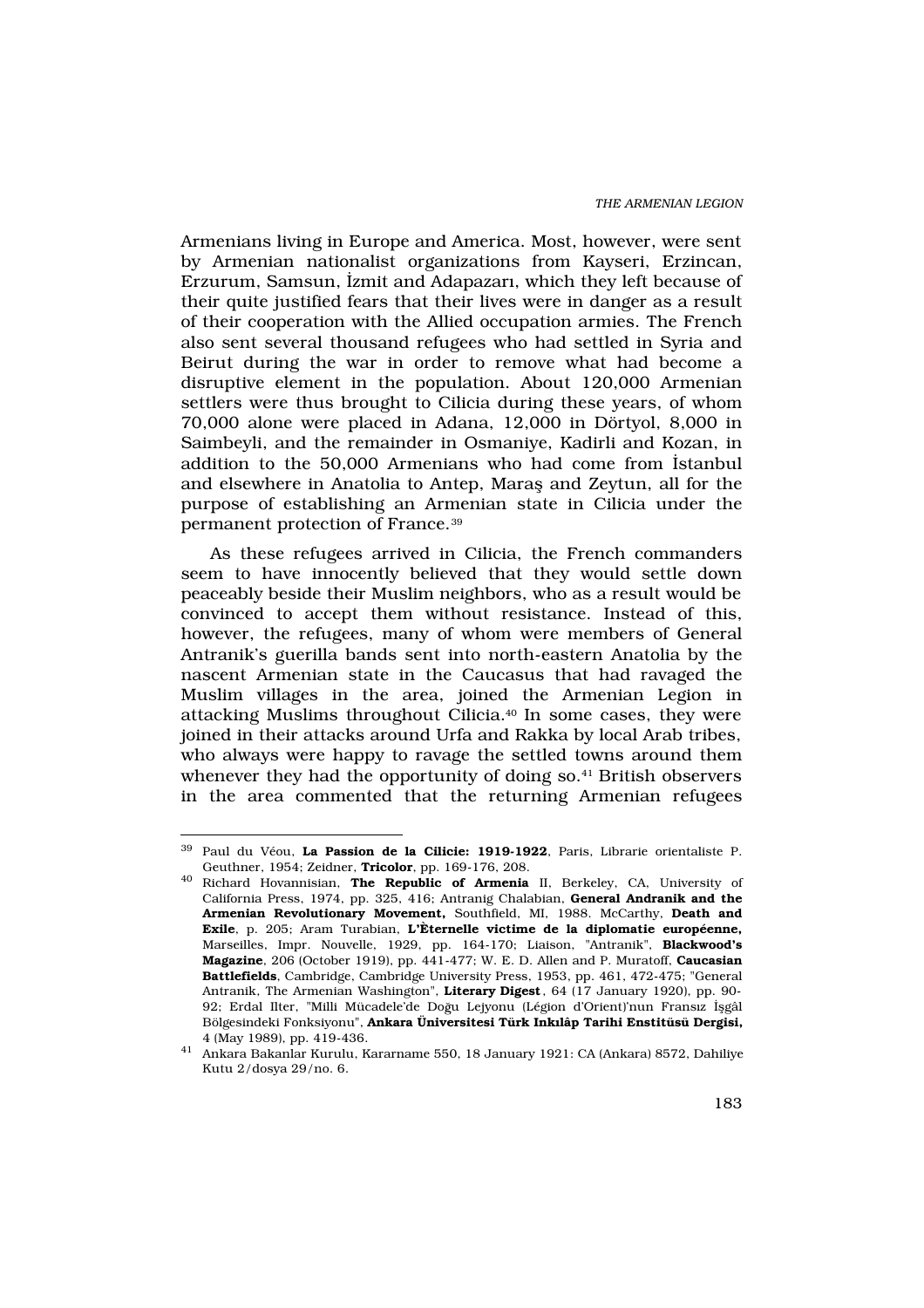Armenians living in Europe and America. Most, however, were sent by Armenian nationalist organizations from Kayseri, Erzincan, Erzurum, Samsun, ‹zmit and Adapazar›, which they left because of their quite justified fears that their lives were in danger as a result of their cooperation with the Allied occupation armies. The French also sent several thousand refugees who had settled in Syria and Beirut during the war in order to remove what had become a disruptive element in the population. About 120,000 Armenian settlers were thus brought to Cilicia during these years, of whom 70,000 alone were placed in Adana, 12,000 in Dörtyol, 8,000 in Saimbeyli, and the remainder in Osmaniye, Kadirli and Kozan, in addition to the 50,000 Armenians who had come from ‹stanbul and elsewhere in Anatolia to Antep, Marafl and Zeytun, all for the purpose of establishing an Armenian state in Cilicia under the permanent protection of France.<sup>39</sup>

As these refugees arrived in Cilicia, the French commanders seem to have innocently believed that they would settle down peaceably beside their Muslim neighbors, who as a result would be convinced to accept them without resistance. Instead of this, however, the refugees, many of whom were members of General Antranik's guerilla bands sent into north-eastern Anatolia by the nascent Armenian state in the Caucasus that had ravaged the Muslim villages in the area, joined the Armenian Legion in attacking Muslims throughout Cilicia.40 In some cases, they were joined in their attacks around Urfa and Rakka by local Arab tribes, who always were happy to ravage the settled towns around them whenever they had the opportunity of doing so.<sup>41</sup> British observers in the area commented that the returning Armenian refugees

<sup>39</sup> Paul du Véou, La Passion de la Cilicie: 1919-1922, Paris, Librarie orientaliste P. Geuthner, 1954; Zeidner, Tricolor, pp. 169-176, 208.

<sup>&</sup>lt;sup>40</sup> Richard Hovannisian, The Republic of Armenia II, Berkeley, CA, University of California Press, 1974, pp. 325, 416; Antranig Chalabian, General Andranik and the Armenian Revolutionary Movement, Southfield, MI, 1988. McCarthy, Death and Exile, p. 205; Aram Turabian, L'Èternelle victime de la diplomatie européenne, Marseilles, Impr. Nouvelle, 1929, pp. 164-170; Liaison, "Antranik", Blackwood's Magazine, 206 (October 1919), pp. 441-477; W. E. D. Allen and P. Muratoff, Caucasian Battlefields, Cambridge, Cambridge University Press, 1953, pp. 461, 472-475; "General Antranik, The Armenian Washington", Literary Digest, 64 (17 January 1920), pp. 90- 92; Erdal Ilter, "Milli Mücadele'de Doğu Lejyonu (Légion d'Orient)'nun Frans>z ‹flgâl Bölgesindeki Fonksiyonu", Ankara Üniversitesi Türk Ink lâp Tarihi Enstitüsü Dergisi, 4 (May 1989), pp. 419-436.

<sup>41</sup> Ankara Bakanlar Kurulu, Kararname 550, 18 January 1921: CA (Ankara) 8572, Dahiliye Kutu 2/dosya 29/no. 6.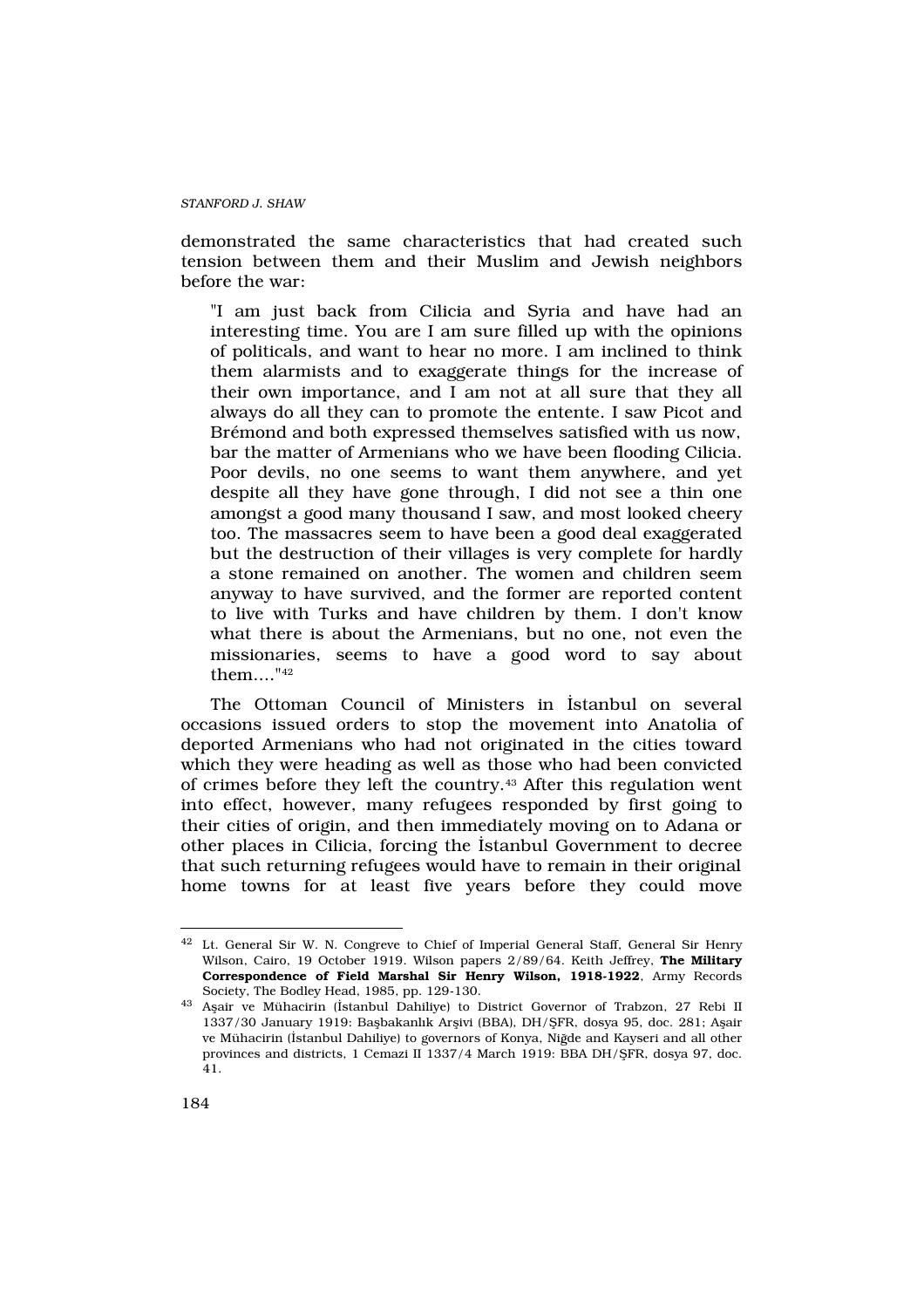demonstrated the same characteristics that had created such tension between them and their Muslim and Jewish neighbors before the war:

"I am just back from Cilicia and Syria and have had an interesting time. You are I am sure filled up with the opinions of politicals, and want to hear no more. I am inclined to think them alarmists and to exaggerate things for the increase of their own importance, and I am not at all sure that they all always do all they can to promote the entente. I saw Picot and Brémond and both expressed themselves satisfied with us now, bar the matter of Armenians who we have been flooding Cilicia. Poor devils, no one seems to want them anywhere, and yet despite all they have gone through, I did not see a thin one amongst a good many thousand I saw, and most looked cheery too. The massacres seem to have been a good deal exaggerated but the destruction of their villages is very complete for hardly a stone remained on another. The women and children seem anyway to have survived, and the former are reported content to live with Turks and have children by them. I don't know what there is about the Armenians, but no one, not even the missionaries, seems to have a good word to say about them...."<sup>42</sup>

The Ottoman Council of Ministers in ‹stanbul on several occasions issued orders to stop the movement into Anatolia of deported Armenians who had not originated in the cities toward which they were heading as well as those who had been convicted of crimes before they left the country.43 After this regulation went into effect, however, many refugees responded by first going to their cities of origin, and then immediately moving on to Adana or other places in Cilicia, forcing the ‹stanbul Government to decree that such returning refugees would have to remain in their original home towns for at least five years before they could move

<sup>42</sup> Lt. General Sir W. N. Congreve to Chief of Imperial General Staff, General Sir Henry Wilson, Cairo, 19 October 1919. Wilson papers 2/89/64. Keith Jeffrey, The Military Correspondence of Field Marshal Sir Henry Wilson, 1918-1922, Army Records Society, The Bodley Head, 1985, pp. 129-130.

<sup>43</sup> Aflair ve Mühacirin (‹stanbul Dahiliye) to District Governor of Trabzon, 27 Rebi II 1337/30 January 1919: Baflbakanl›k Arflivi (BBA), DH/fiFR, dosya 95, doc. 281; Aflair ve Mühacirin («stanbul Dahiliye) to governors of Konya, Niğde and Kayseri and all other provinces and districts, 1 Cemazi II 1337/4 March 1919: BBA DH/fiFR, dosya 97, doc. 41.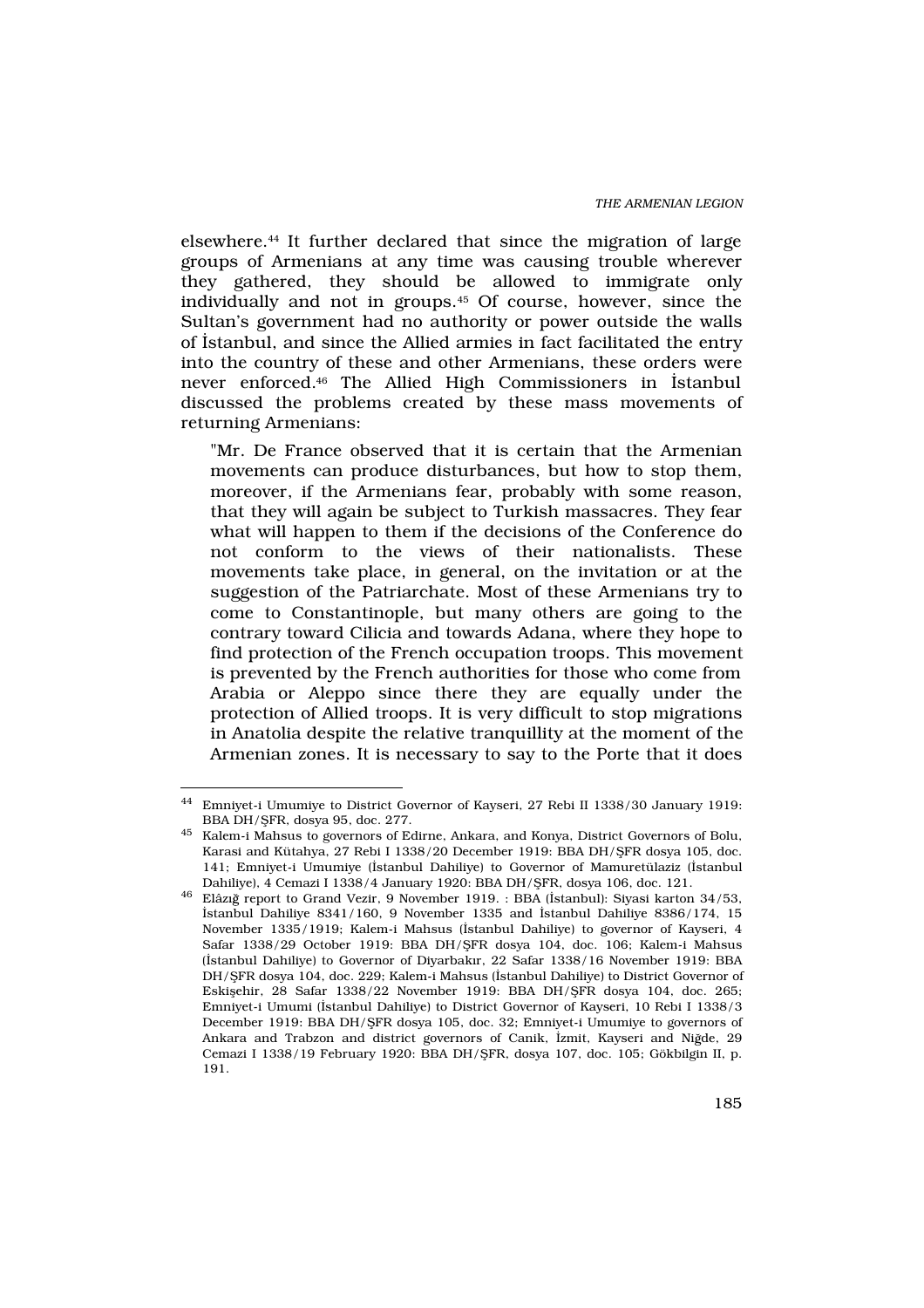elsewhere.44 It further declared that since the migration of large groups of Armenians at any time was causing trouble wherever they gathered, they should be allowed to immigrate only individually and not in groups.45 Of course, however, since the Sultan's government had no authority or power outside the walls of ‹stanbul, and since the Allied armies in fact facilitated the entry into the country of these and other Armenians, these orders were never enforced.46 The Allied High Commissioners in ‹stanbul discussed the problems created by these mass movements of returning Armenians:

"Mr. De France observed that it is certain that the Armenian movements can produce disturbances, but how to stop them, moreover, if the Armenians fear, probably with some reason, that they will again be subject to Turkish massacres. They fear what will happen to them if the decisions of the Conference do not conform to the views of their nationalists. These movements take place, in general, on the invitation or at the suggestion of the Patriarchate. Most of these Armenians try to come to Constantinople, but many others are going to the contrary toward Cilicia and towards Adana, where they hope to find protection of the French occupation troops. This movement is prevented by the French authorities for those who come from Arabia or Aleppo since there they are equally under the protection of Allied troops. It is very difficult to stop migrations in Anatolia despite the relative tranquillity at the moment of the Armenian zones. It is necessary to say to the Porte that it does

<sup>44</sup> Emniyet-i Umumiye to District Governor of Kayseri, 27 Rebi II 1338/30 January 1919: BBA DH/fiFR, dosya 95, doc. 277.

 $^{45}\,$  Kalem-i Mahsus to governors of Edirne, Ankara, and Konya, District Governors of Bolu, Karasi and Kütahya, 27 Rebi I 1338/20 December 1919: BBA DH/fiFR dosya 105, doc. 141; Emniyet-i Umumiye (‹stanbul Dahiliye) to Governor of Mamuretülaziz (‹stanbul Dahiliye), 4 Cemazi I 1338/4 January 1920: BBA DH/fiFR, dosya 106, doc. 121.

<sup>&</sup>lt;sup>46</sup> Elâz>ğ report to Grand Vezir, 9 November 1919. : BBA (‹stanbul): Siyasi karton 34/53, ‹stanbul Dahiliye 8341/160, 9 November 1335 and ‹stanbul Dahiliye 8386/174, 15 November 1335/1919; Kalem-i Mahsus (‹stanbul Dahiliye) to governor of Kayseri, 4 Safar 1338/29 October 1919: BBA DH/fiFR dosya 104, doc. 106; Kalem-i Mahsus (‹stanbul Dahiliye) to Governor of Diyarbak›r, 22 Safar 1338/16 November 1919: BBA DH/fiFR dosya 104, doc. 229; Kalem-i Mahsus (‹stanbul Dahiliye) to District Governor of Eskiflehir, 28 Safar 1338/22 November 1919: BBA DH/fiFR dosya 104, doc. 265; Emniyet-i Umumi (‹stanbul Dahiliye) to District Governor of Kayseri, 10 Rebi I 1338/3 December 1919: BBA DH/fiFR dosya 105, doc. 32; Emniyet-i Umumiye to governors of Ankara and Trabzon and district governors of Canik, «zmit, Kayseri and Niğde, 29 Cemazi I 1338/19 February 1920: BBA DH/fiFR, dosya 107, doc. 105; Gökbilgin II, p. 191.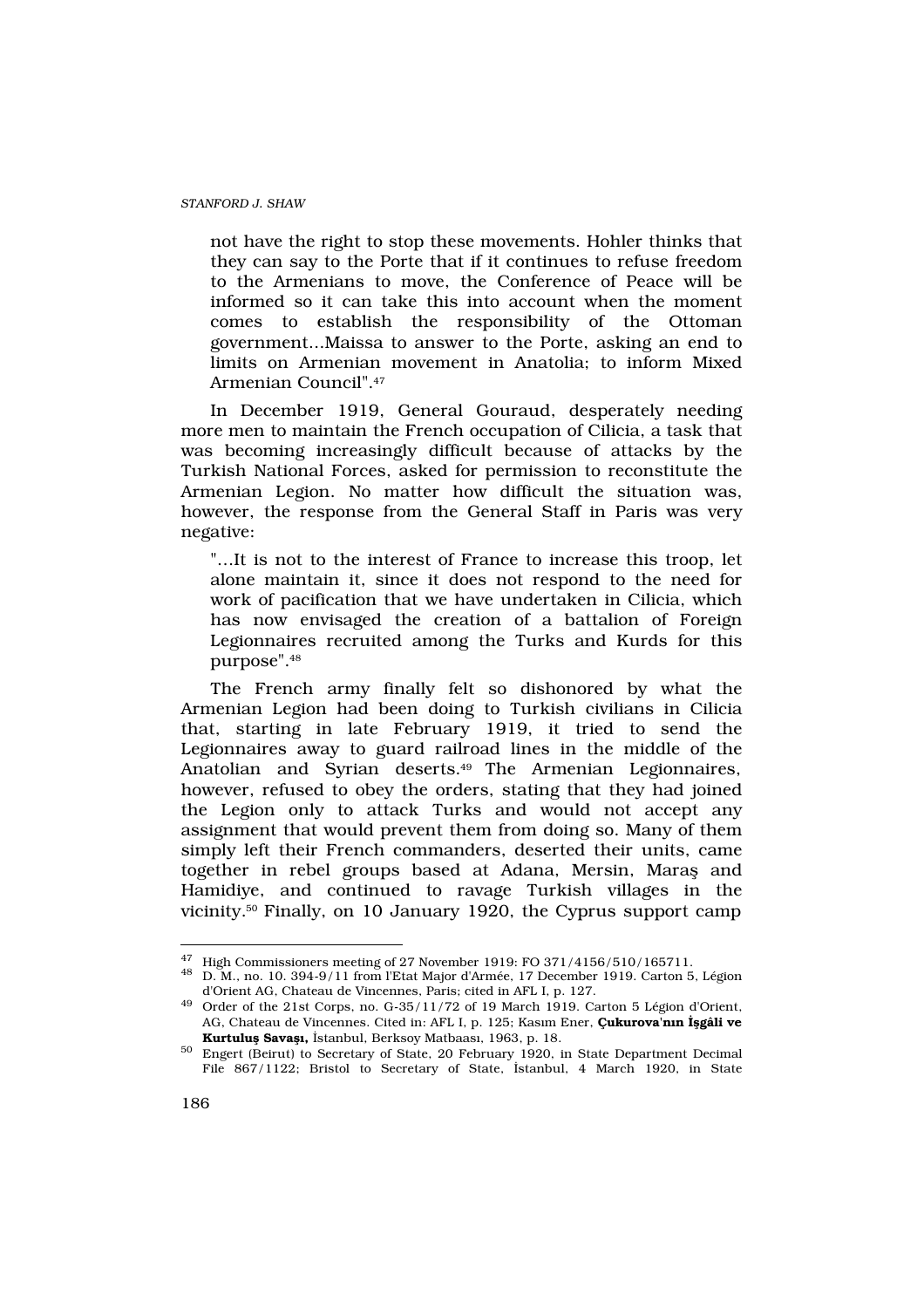not have the right to stop these movements. Hohler thinks that they can say to the Porte that if it continues to refuse freedom to the Armenians to move, the Conference of Peace will be informed so it can take this into account when the moment comes to establish the responsibility of the Ottoman government...Maissa to answer to the Porte, asking an end to limits on Armenian movement in Anatolia; to inform Mixed Armenian Council".<sup>47</sup>

In December 1919, General Gouraud, desperately needing more men to maintain the French occupation of Cilicia, a task that was becoming increasingly difficult because of attacks by the Turkish National Forces, asked for permission to reconstitute the Armenian Legion. No matter how difficult the situation was, however, the response from the General Staff in Paris was very negative:

"…It is not to the interest of France to increase this troop, let alone maintain it, since it does not respond to the need for work of pacification that we have undertaken in Cilicia, which has now envisaged the creation of a battalion of Foreign Legionnaires recruited among the Turks and Kurds for this purpose".<sup>48</sup>

The French army finally felt so dishonored by what the Armenian Legion had been doing to Turkish civilians in Cilicia that, starting in late February 1919, it tried to send the Legionnaires away to guard railroad lines in the middle of the Anatolian and Syrian deserts.<sup>49</sup> The Armenian Legionnaires, however, refused to obey the orders, stating that they had joined the Legion only to attack Turks and would not accept any assignment that would prevent them from doing so. Many of them simply left their French commanders, deserted their units, came together in rebel groups based at Adana, Mersin, Marafl and Hamidiye, and continued to ravage Turkish villages in the vicinity.50 Finally, on 10 January 1920, the Cyprus support camp

<sup>47</sup> High Commissioners meeting of 27 November 1919: FO 371/4156/510/165711.

<sup>48</sup> D. M., no. 10. 394-9/11 from l'Etat Major d'Armée, 17 December 1919. Carton 5, Légion d'Orient AG, Chateau de Vincennes, Paris; cited in AFL I, p. 127.

<sup>49</sup> Order of the 21st Corps, no. G-35/11/72 of 19 March 1919. Carton 5 Légion d'Orient, AG, Chateau de Vincennes. Cited in: AFL I, p. 125; Kas>m Ener, Çukurova'n n gâli ve Kurtulu Sava, «stanbul, Berksoy Matbaas», 1963, p. 18.

<sup>50</sup> Engert (Beirut) to Secretary of State, 20 February 1920, in State Department Decimal File 867/1122; Bristol to Secretary of State, ‹stanbul, 4 March 1920, in State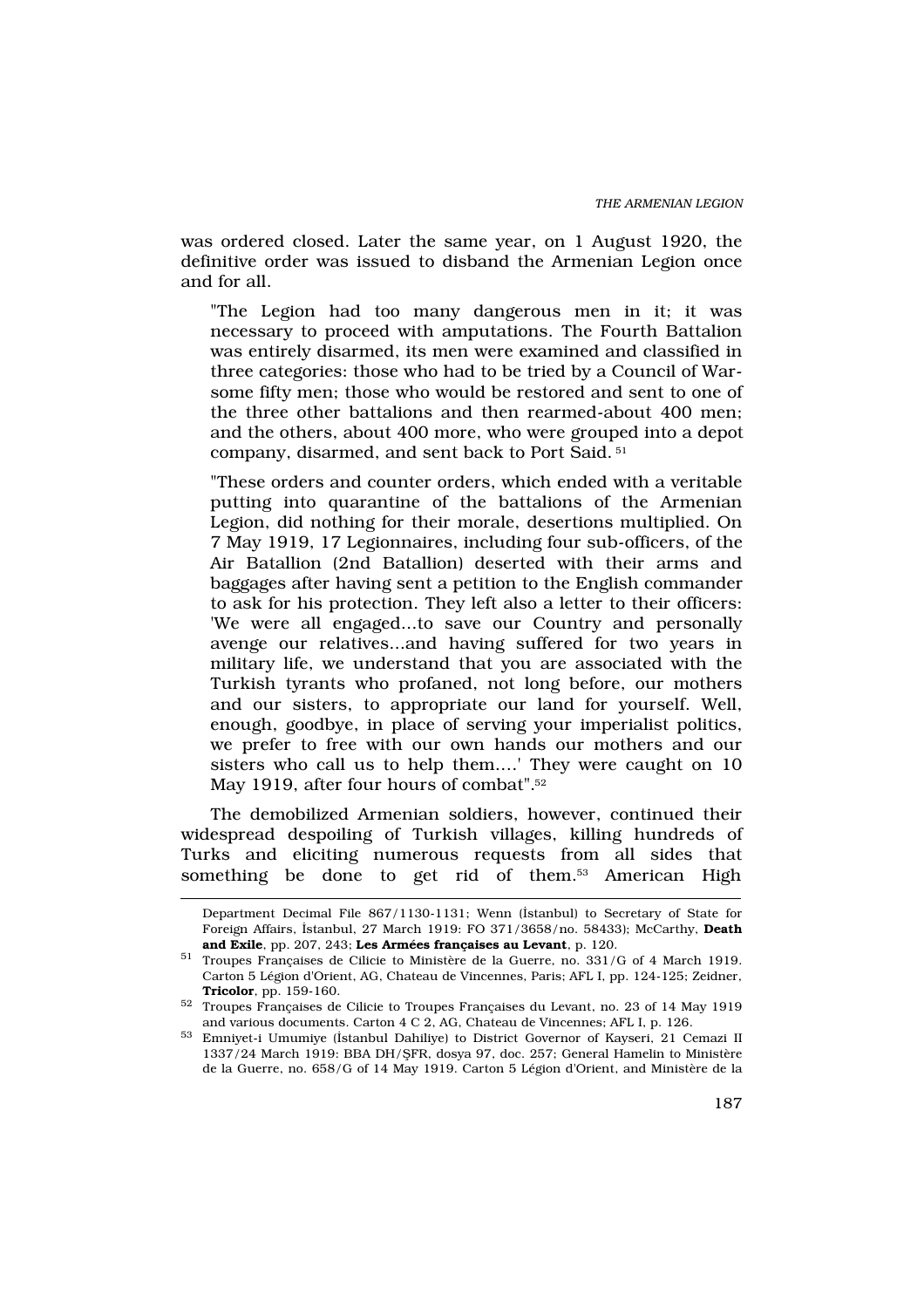was ordered closed. Later the same year, on 1 August 1920, the definitive order was issued to disband the Armenian Legion once and for all.

"The Legion had too many dangerous men in it; it was necessary to proceed with amputations. The Fourth Battalion was entirely disarmed, its men were examined and classified in three categories: those who had to be tried by a Council of Warsome fifty men; those who would be restored and sent to one of the three other battalions and then rearmed-about 400 men; and the others, about 400 more, who were grouped into a depot company, disarmed, and sent back to Port Said. <sup>51</sup>

"These orders and counter orders, which ended with a veritable putting into quarantine of the battalions of the Armenian Legion, did nothing for their morale, desertions multiplied. On 7 May 1919, 17 Legionnaires, including four sub-officers, of the Air Batallion (2nd Batallion) deserted with their arms and baggages after having sent a petition to the English commander to ask for his protection. They left also a letter to their officers: 'We were all engaged...to save our Country and personally avenge our relatives...and having suffered for two years in military life, we understand that you are associated with the Turkish tyrants who profaned, not long before, our mothers and our sisters, to appropriate our land for yourself. Well, enough, goodbye, in place of serving your imperialist politics, we prefer to free with our own hands our mothers and our sisters who call us to help them.…' They were caught on 10 May 1919, after four hours of combat".<sup>52</sup>

The demobilized Armenian soldiers, however, continued their widespread despoiling of Turkish villages, killing hundreds of Turks and eliciting numerous requests from all sides that something be done to get rid of them.<sup>53</sup> American High

Department Decimal File 867/1130-1131; Wenn (‹stanbul) to Secretary of State for Foreign Affairs, ‹stanbul, 27 March 1919: FO 371/3658/no. 58433); McCarthy, Death and Exile, pp. 207, 243; Les Armées françaises au Levant, p. 120.

<sup>51</sup> Troupes Françaises de Cilicie to Ministère de la Guerre, no. 331/G of 4 March 1919. Carton 5 Légion d'Orient, AG, Chateau de Vincennes, Paris; AFL I, pp. 124-125; Zeidner, Tricolor, pp. 159-160.

<sup>52</sup> Troupes Françaises de Cilicie to Troupes Françaises du Levant, no. 23 of 14 May 1919 and various documents. Carton 4 C 2, AG, Chateau de Vincennes; AFL I, p. 126.

<sup>53</sup> Emniyet-i Umumiye (‹stanbul Dahiliye) to District Governor of Kayseri, 21 Cemazi II 1337/24 March 1919: BBA DH/fiFR, dosya 97, doc. 257; General Hamelin to Ministère de la Guerre, no. 658/G of 14 May 1919. Carton 5 Légion d'Orient, and Ministère de la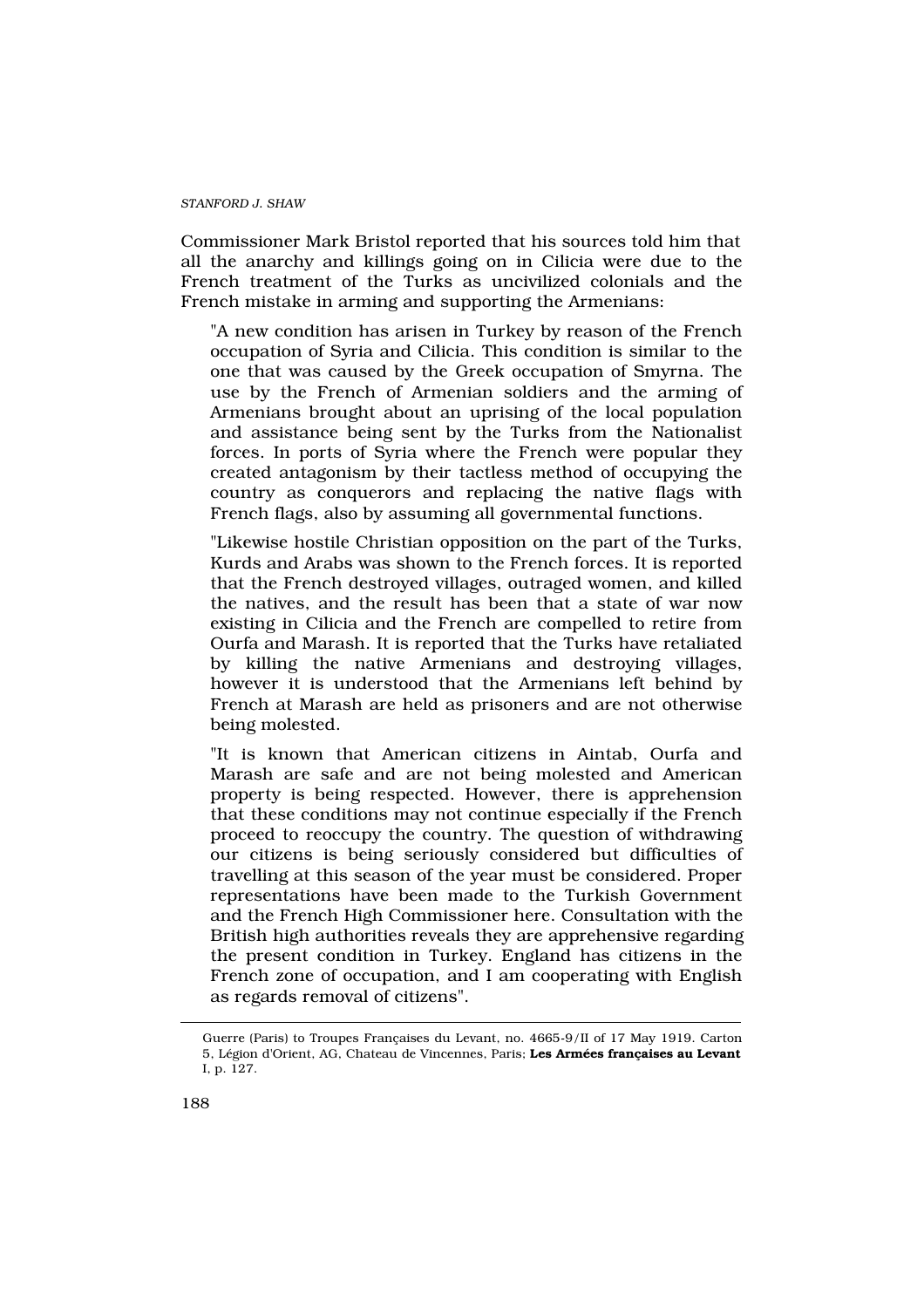Commissioner Mark Bristol reported that his sources told him that all the anarchy and killings going on in Cilicia were due to the French treatment of the Turks as uncivilized colonials and the French mistake in arming and supporting the Armenians:

"A new condition has arisen in Turkey by reason of the French occupation of Syria and Cilicia. This condition is similar to the one that was caused by the Greek occupation of Smyrna. The use by the French of Armenian soldiers and the arming of Armenians brought about an uprising of the local population and assistance being sent by the Turks from the Nationalist forces. In ports of Syria where the French were popular they created antagonism by their tactless method of occupying the country as conquerors and replacing the native flags with French flags, also by assuming all governmental functions.

"Likewise hostile Christian opposition on the part of the Turks, Kurds and Arabs was shown to the French forces. It is reported that the French destroyed villages, outraged women, and killed the natives, and the result has been that a state of war now existing in Cilicia and the French are compelled to retire from Ourfa and Marash. It is reported that the Turks have retaliated by killing the native Armenians and destroying villages, however it is understood that the Armenians left behind by French at Marash are held as prisoners and are not otherwise being molested.

"It is known that American citizens in Aintab, Ourfa and Marash are safe and are not being molested and American property is being respected. However, there is apprehension that these conditions may not continue especially if the French proceed to reoccupy the country. The question of withdrawing our citizens is being seriously considered but difficulties of travelling at this season of the year must be considered. Proper representations have been made to the Turkish Government and the French High Commissioner here. Consultation with the British high authorities reveals they are apprehensive regarding the present condition in Turkey. England has citizens in the French zone of occupation, and I am cooperating with English as regards removal of citizens".

Guerre (Paris) to Troupes Françaises du Levant, no. 4665-9/II of 17 May 1919. Carton 5, Légion d'Orient, AG, Chateau de Vincennes, Paris; Les Armées françaises au Levant I, p. 127.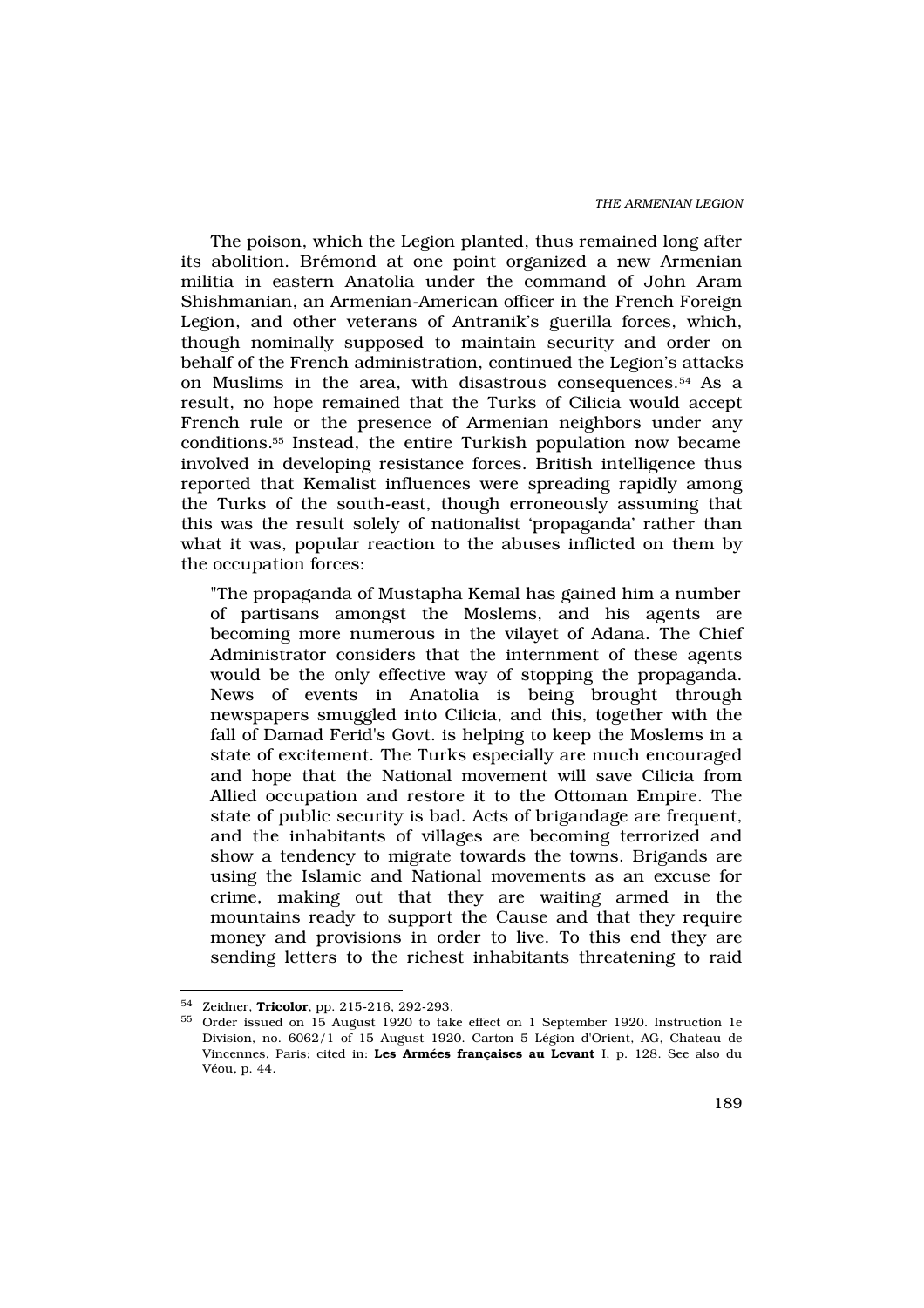The poison, which the Legion planted, thus remained long after its abolition. Brémond at one point organized a new Armenian militia in eastern Anatolia under the command of John Aram Shishmanian, an Armenian-American officer in the French Foreign Legion, and other veterans of Antranik's guerilla forces, which, though nominally supposed to maintain security and order on behalf of the French administration, continued the Legion's attacks on Muslims in the area, with disastrous consequences.54 As a result, no hope remained that the Turks of Cilicia would accept French rule or the presence of Armenian neighbors under any conditions.55 Instead, the entire Turkish population now became involved in developing resistance forces. British intelligence thus reported that Kemalist influences were spreading rapidly among the Turks of the south-east, though erroneously assuming that this was the result solely of nationalist 'propaganda' rather than what it was, popular reaction to the abuses inflicted on them by the occupation forces:

"The propaganda of Mustapha Kemal has gained him a number of partisans amongst the Moslems, and his agents are becoming more numerous in the vilayet of Adana. The Chief Administrator considers that the internment of these agents would be the only effective way of stopping the propaganda. News of events in Anatolia is being brought through newspapers smuggled into Cilicia, and this, together with the fall of Damad Ferid's Govt. is helping to keep the Moslems in a state of excitement. The Turks especially are much encouraged and hope that the National movement will save Cilicia from Allied occupation and restore it to the Ottoman Empire. The state of public security is bad. Acts of brigandage are frequent, and the inhabitants of villages are becoming terrorized and show a tendency to migrate towards the towns. Brigands are using the Islamic and National movements as an excuse for crime, making out that they are waiting armed in the mountains ready to support the Cause and that they require money and provisions in order to live. To this end they are sending letters to the richest inhabitants threatening to raid

<sup>54</sup> Zeidner, Tricolor, pp. 215-216, 292-293,

<sup>55</sup> Order issued on 15 August 1920 to take effect on 1 September 1920. Instruction 1e Division, no. 6062/1 of 15 August 1920. Carton 5 Légion d'Orient, AG, Chateau de Vincennes, Paris; cited in: Les Armées françaises au Levant I, p. 128. See also du Véou, p. 44.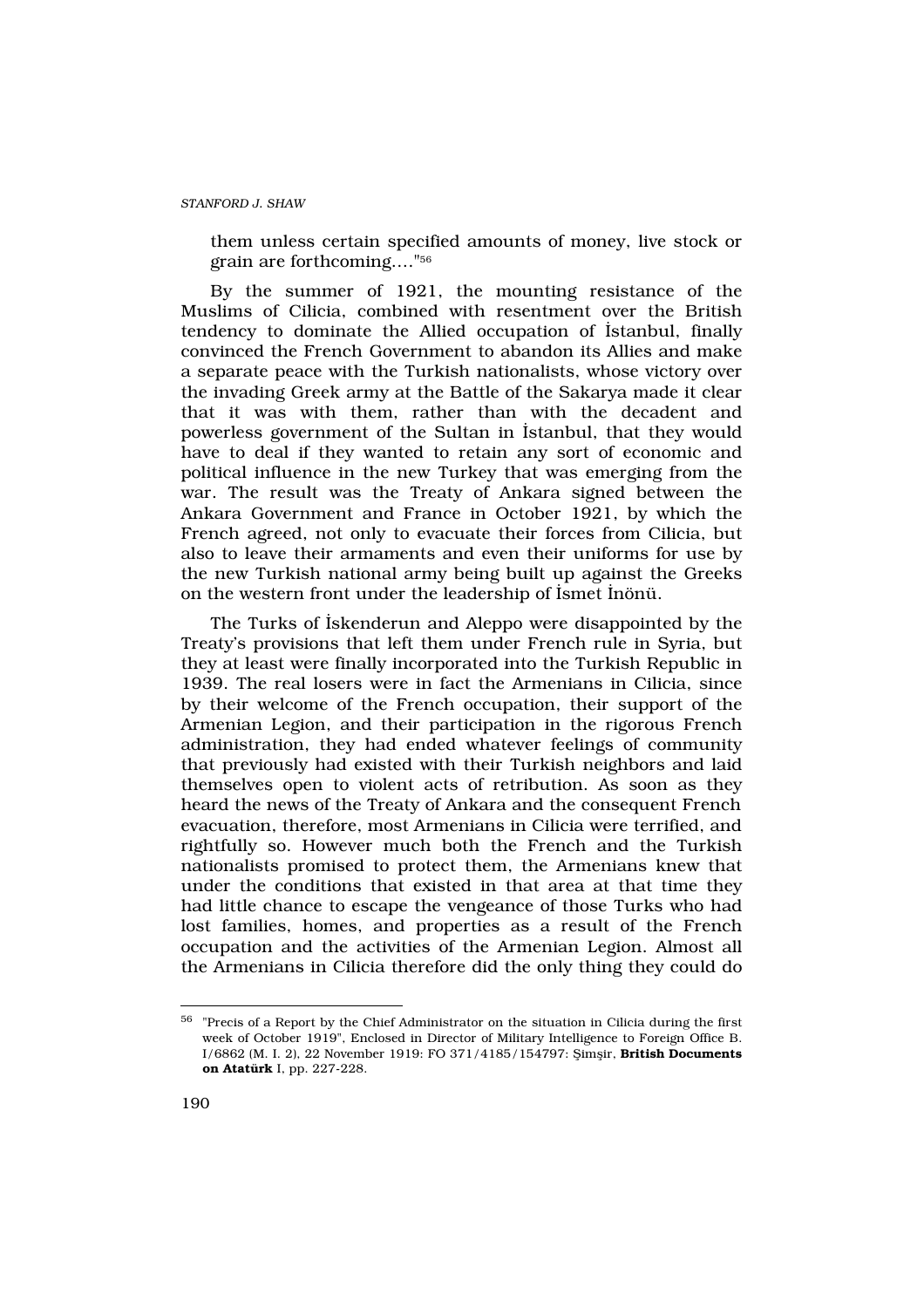them unless certain specified amounts of money, live stock or grain are forthcoming…."<sup>56</sup>

By the summer of 1921, the mounting resistance of the Muslims of Cilicia, combined with resentment over the British tendency to dominate the Allied occupation of ‹stanbul, finally convinced the French Government to abandon its Allies and make a separate peace with the Turkish nationalists, whose victory over the invading Greek army at the Battle of the Sakarya made it clear that it was with them, rather than with the decadent and powerless government of the Sultan in ‹stanbul, that they would have to deal if they wanted to retain any sort of economic and political influence in the new Turkey that was emerging from the war. The result was the Treaty of Ankara signed between the Ankara Government and France in October 1921, by which the French agreed, not only to evacuate their forces from Cilicia, but also to leave their armaments and even their uniforms for use by the new Turkish national army being built up against the Greeks on the western front under the leadership of ‹smet ‹nönü.

The Turks of ‹skenderun and Aleppo were disappointed by the Treaty's provisions that left them under French rule in Syria, but they at least were finally incorporated into the Turkish Republic in 1939. The real losers were in fact the Armenians in Cilicia, since by their welcome of the French occupation, their support of the Armenian Legion, and their participation in the rigorous French administration, they had ended whatever feelings of community that previously had existed with their Turkish neighbors and laid themselves open to violent acts of retribution. As soon as they heard the news of the Treaty of Ankara and the consequent French evacuation, therefore, most Armenians in Cilicia were terrified, and rightfully so. However much both the French and the Turkish nationalists promised to protect them, the Armenians knew that under the conditions that existed in that area at that time they had little chance to escape the vengeance of those Turks who had lost families, homes, and properties as a result of the French occupation and the activities of the Armenian Legion. Almost all the Armenians in Cilicia therefore did the only thing they could do

 $56$  "Precis of a Report by the Chief Administrator on the situation in Cilicia during the first week of October 1919", Enclosed in Director of Military Intelligence to Foreign Office B. I/6862 (M. I. 2), 22 November 1919: FO 371/4185/154797: fiimflir, British Documents on Atatürk I, pp. 227-228.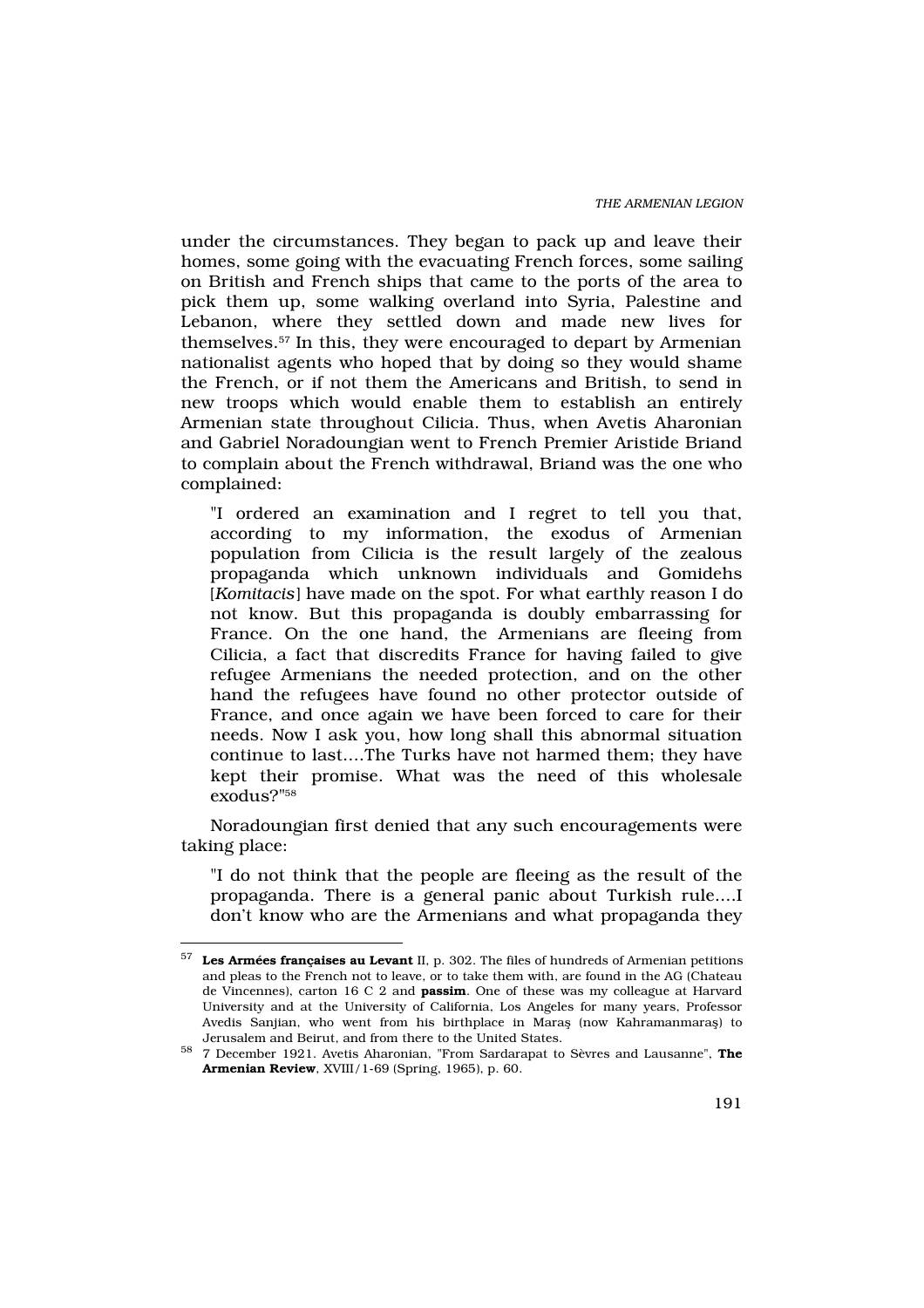under the circumstances. They began to pack up and leave their homes, some going with the evacuating French forces, some sailing on British and French ships that came to the ports of the area to pick them up, some walking overland into Syria, Palestine and Lebanon, where they settled down and made new lives for themselves.57 In this, they were encouraged to depart by Armenian nationalist agents who hoped that by doing so they would shame the French, or if not them the Americans and British, to send in new troops which would enable them to establish an entirely Armenian state throughout Cilicia. Thus, when Avetis Aharonian and Gabriel Noradoungian went to French Premier Aristide Briand to complain about the French withdrawal, Briand was the one who complained:

"I ordered an examination and I regret to tell you that, according to my information, the exodus of Armenian population from Cilicia is the result largely of the zealous propaganda which unknown individuals and Gomidehs [Komitacis] have made on the spot. For what earthly reason I do not know. But this propaganda is doubly embarrassing for France. On the one hand, the Armenians are fleeing from Cilicia, a fact that discredits France for having failed to give refugee Armenians the needed protection, and on the other hand the refugees have found no other protector outside of France, and once again we have been forced to care for their needs. Now I ask you, how long shall this abnormal situation continue to last....The Turks have not harmed them; they have kept their promise. What was the need of this wholesale exodus?"<sup>58</sup>

Noradoungian first denied that any such encouragements were taking place:

"I do not think that the people are fleeing as the result of the propaganda. There is a general panic about Turkish rule....I don't know who are the Armenians and what propaganda they

 $57$  Les Armées françaises au Levant II, p. 302. The files of hundreds of Armenian petitions and pleas to the French not to leave, or to take them with, are found in the AG (Chateau de Vincennes), carton 16 C 2 and passim. One of these was my colleague at Harvard University and at the University of California, Los Angeles for many years, Professor Avedis Sanjian, who went from his birthplace in Marafl (now Kahramanmarafl) to Jerusalem and Beirut, and from there to the United States.

<sup>58</sup> 7 December 1921. Avetis Aharonian, "From Sardarapat to Sèvres and Lausanne", The Armenian Review, XVIII/1-69 (Spring, 1965), p. 60.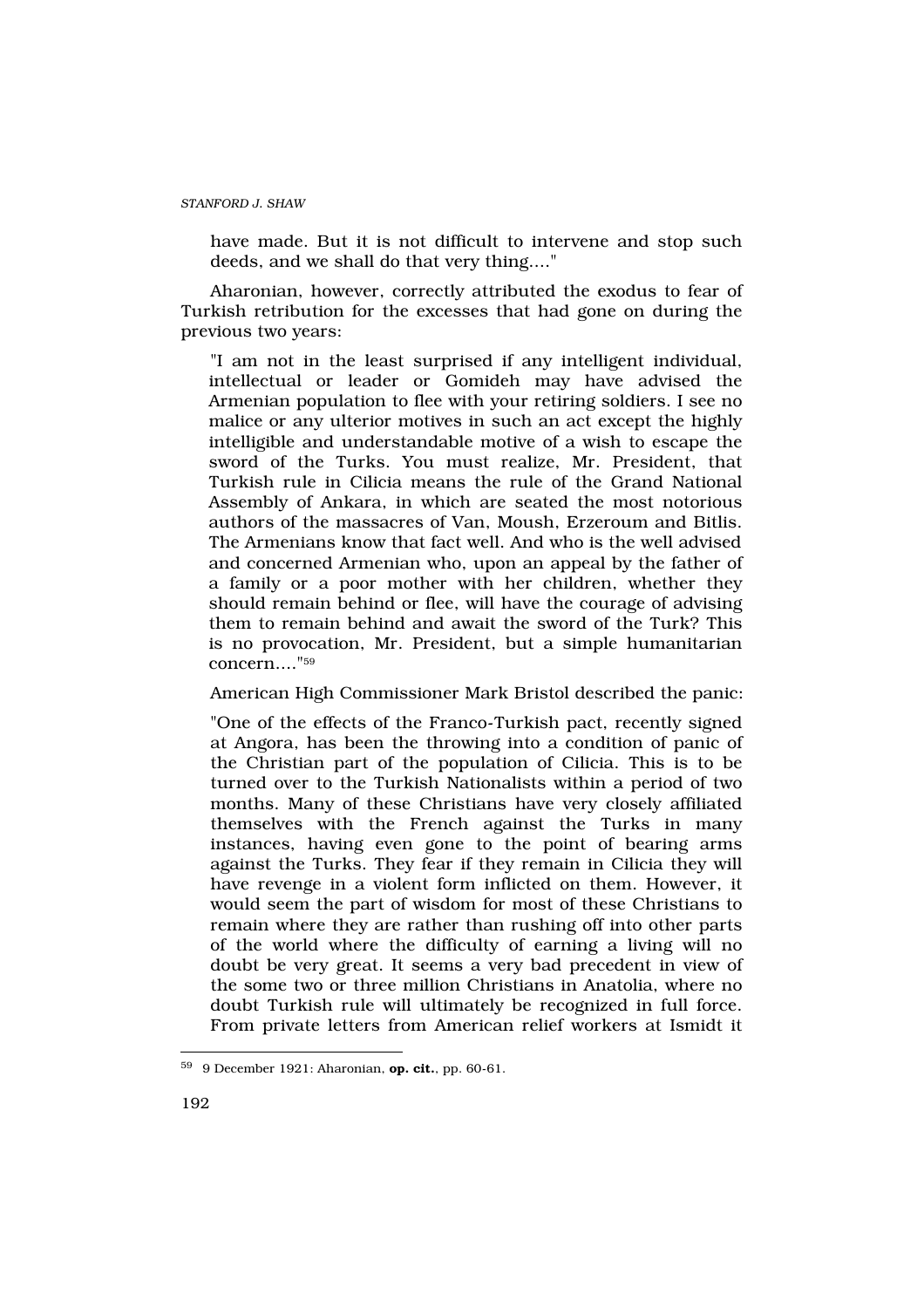have made. But it is not difficult to intervene and stop such deeds, and we shall do that very thing...."

Aharonian, however, correctly attributed the exodus to fear of Turkish retribution for the excesses that had gone on during the previous two years:

"I am not in the least surprised if any intelligent individual, intellectual or leader or Gomideh may have advised the Armenian population to flee with your retiring soldiers. I see no malice or any ulterior motives in such an act except the highly intelligible and understandable motive of a wish to escape the sword of the Turks. You must realize, Mr. President, that Turkish rule in Cilicia means the rule of the Grand National Assembly of Ankara, in which are seated the most notorious authors of the massacres of Van, Moush, Erzeroum and Bitlis. The Armenians know that fact well. And who is the well advised and concerned Armenian who, upon an appeal by the father of a family or a poor mother with her children, whether they should remain behind or flee, will have the courage of advising them to remain behind and await the sword of the Turk? This is no provocation, Mr. President, but a simple humanitarian concern...."<sup>59</sup>

American High Commissioner Mark Bristol described the panic:

"One of the effects of the Franco-Turkish pact, recently signed at Angora, has been the throwing into a condition of panic of the Christian part of the population of Cilicia. This is to be turned over to the Turkish Nationalists within a period of two months. Many of these Christians have very closely affiliated themselves with the French against the Turks in many instances, having even gone to the point of bearing arms against the Turks. They fear if they remain in Cilicia they will have revenge in a violent form inflicted on them. However, it would seem the part of wisdom for most of these Christians to remain where they are rather than rushing off into other parts of the world where the difficulty of earning a living will no doubt be very great. It seems a very bad precedent in view of the some two or three million Christians in Anatolia, where no doubt Turkish rule will ultimately be recognized in full force. From private letters from American relief workers at Ismidt it

<sup>59</sup> 9 December 1921: Aharonian, op. cit., pp. 60-61.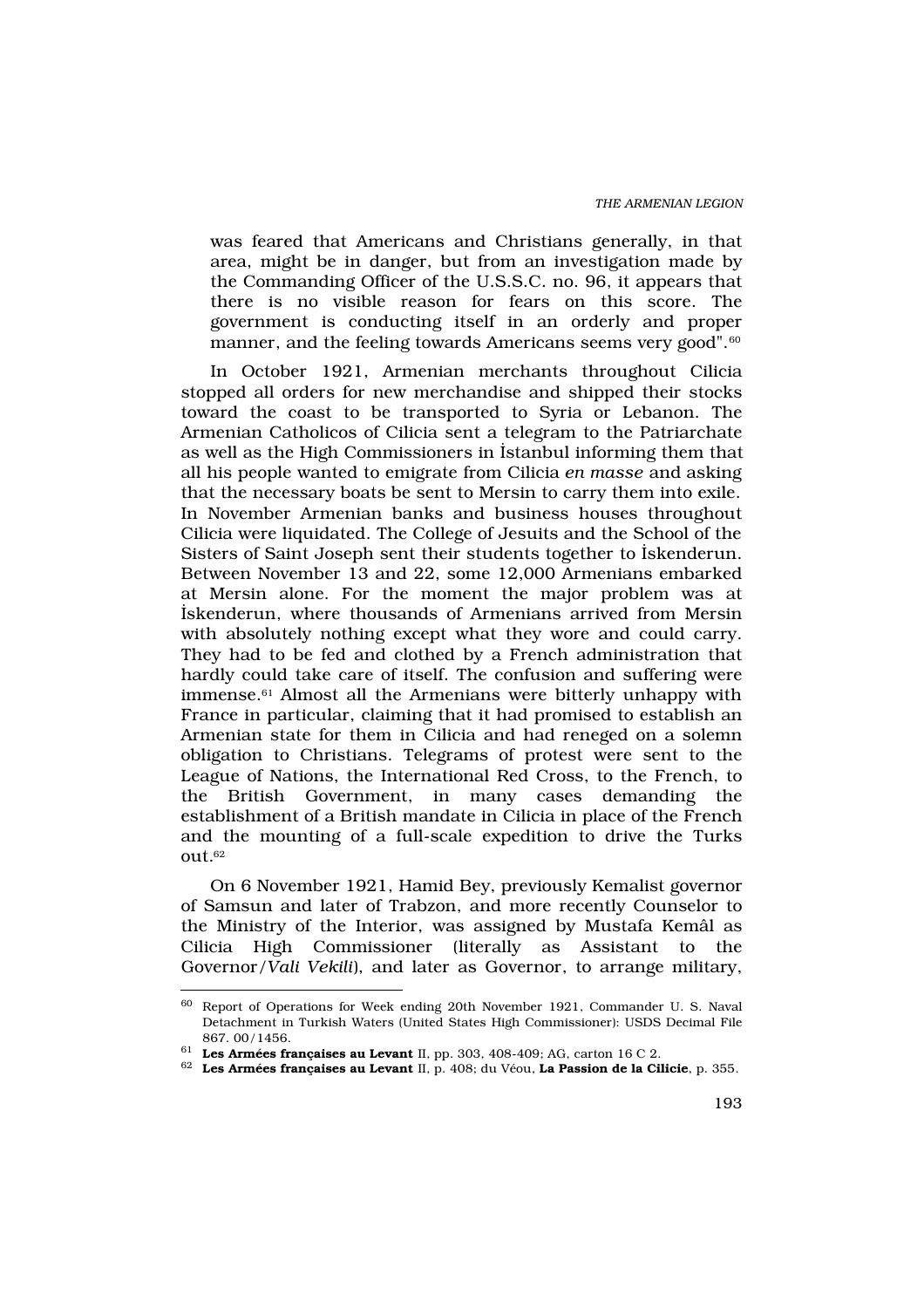was feared that Americans and Christians generally, in that area, might be in danger, but from an investigation made by the Commanding Officer of the U.S.S.C. no. 96, it appears that there is no visible reason for fears on this score. The government is conducting itself in an orderly and proper manner, and the feeling towards Americans seems very good".<sup>60</sup>

In October 1921, Armenian merchants throughout Cilicia stopped all orders for new merchandise and shipped their stocks toward the coast to be transported to Syria or Lebanon. The Armenian Catholicos of Cilicia sent a telegram to the Patriarchate as well as the High Commissioners in ‹stanbul informing them that all his people wanted to emigrate from Cilicia en masse and asking that the necessary boats be sent to Mersin to carry them into exile. In November Armenian banks and business houses throughout Cilicia were liquidated. The College of Jesuits and the School of the Sisters of Saint Joseph sent their students together to ‹skenderun. Between November 13 and 22, some 12,000 Armenians embarked at Mersin alone. For the moment the major problem was at ‹skenderun, where thousands of Armenians arrived from Mersin with absolutely nothing except what they wore and could carry. They had to be fed and clothed by a French administration that hardly could take care of itself. The confusion and suffering were immense.<sup>61</sup> Almost all the Armenians were bitterly unhappy with France in particular, claiming that it had promised to establish an Armenian state for them in Cilicia and had reneged on a solemn obligation to Christians. Telegrams of protest were sent to the League of Nations, the International Red Cross, to the French, to the British Government, in many cases demanding the establishment of a British mandate in Cilicia in place of the French and the mounting of a full-scale expedition to drive the Turks out.<sup>62</sup>

On 6 November 1921, Hamid Bey, previously Kemalist governor of Samsun and later of Trabzon, and more recently Counselor to the Ministry of the Interior, was assigned by Mustafa Kemâl as Cilicia High Commissioner (literally as Assistant to the Governor/Vali Vekili), and later as Governor, to arrange military,

<sup>60</sup> Report of Operations for Week ending 20th November 1921, Commander U. S. Naval Detachment in Turkish Waters (United States High Commissioner): USDS Decimal File 867. 00/1456.

 $61$  Les Armées françaises au Levant II, pp. 303, 408-409; AG, carton 16 C 2.

<sup>62</sup> Les Armées françaises au Levant II, p. 408; du Véou, La Passion de la Cilicie, p. 355.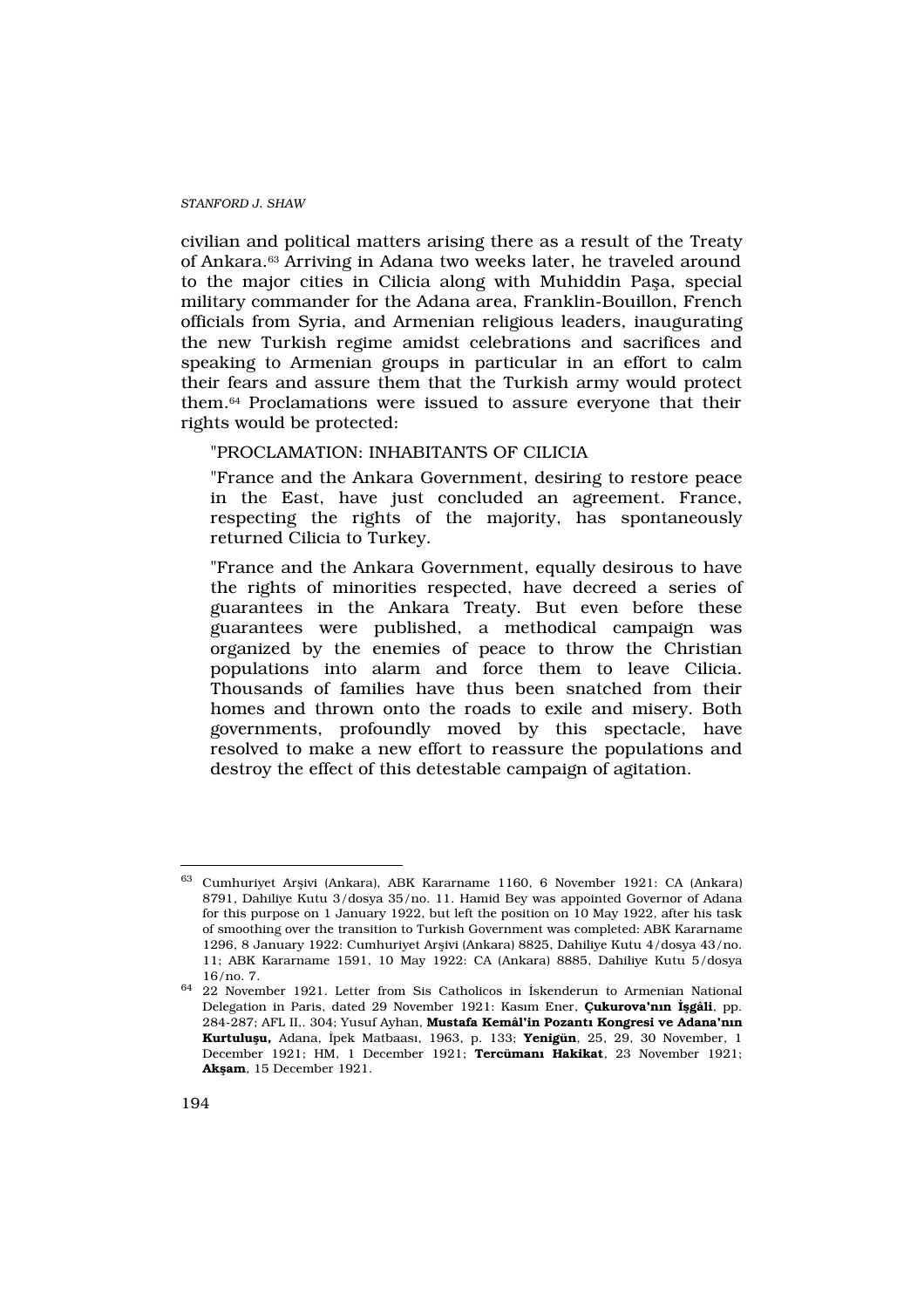civilian and political matters arising there as a result of the Treaty of Ankara.63 Arriving in Adana two weeks later, he traveled around to the major cities in Cilicia along with Muhiddin Pafla, special military commander for the Adana area, Franklin-Bouillon, French officials from Syria, and Armenian religious leaders, inaugurating the new Turkish regime amidst celebrations and sacrifices and speaking to Armenian groups in particular in an effort to calm their fears and assure them that the Turkish army would protect them.64 Proclamations were issued to assure everyone that their rights would be protected:

# "PROCLAMATION: INHABITANTS OF CILICIA

"France and the Ankara Government, desiring to restore peace in the East, have just concluded an agreement. France, respecting the rights of the majority, has spontaneously returned Cilicia to Turkey.

"France and the Ankara Government, equally desirous to have the rights of minorities respected, have decreed a series of guarantees in the Ankara Treaty. But even before these guarantees were published, a methodical campaign was organized by the enemies of peace to throw the Christian populations into alarm and force them to leave Cilicia. Thousands of families have thus been snatched from their homes and thrown onto the roads to exile and misery. Both governments, profoundly moved by this spectacle, have resolved to make a new effort to reassure the populations and destroy the effect of this detestable campaign of agitation.

<sup>63</sup> Cumhuriyet Arflivi (Ankara), ABK Kararname 1160, 6 November 1921: CA (Ankara) 8791, Dahiliye Kutu 3/dosya 35/no. 11. Hamid Bey was appointed Governor of Adana for this purpose on 1 January 1922, but left the position on 10 May 1922, after his task of smoothing over the transition to Turkish Government was completed: ABK Kararname 1296, 8 January 1922: Cumhuriyet Arflivi (Ankara) 8825, Dahiliye Kutu 4/dosya 43/no. 11; ABK Kararname 1591, 10 May 1922: CA (Ankara) 8885, Dahiliye Kutu 5/dosya 16/no. 7.

<sup>64</sup> 22 November 1921. Letter from Sis Catholicos in ‹skenderun to Armenian National Delegation in Paris, dated 29 November 1921: Kas>m Ener, Çukurova'n n gâli, pp. 284-287; AFL II,. 304; Yusuf Ayhan, Mustafa Kemâl'in Pozant Kongresi ve Adana'n n Kurtulu u, Adana, «pek Matbaas», 1963, p. 133; Yenigün, 25, 29, 30 November, 1 December 1921; HM, 1 December 1921; Tercüman Hakikat, 23 November 1921; Ak am, 15 December 1921.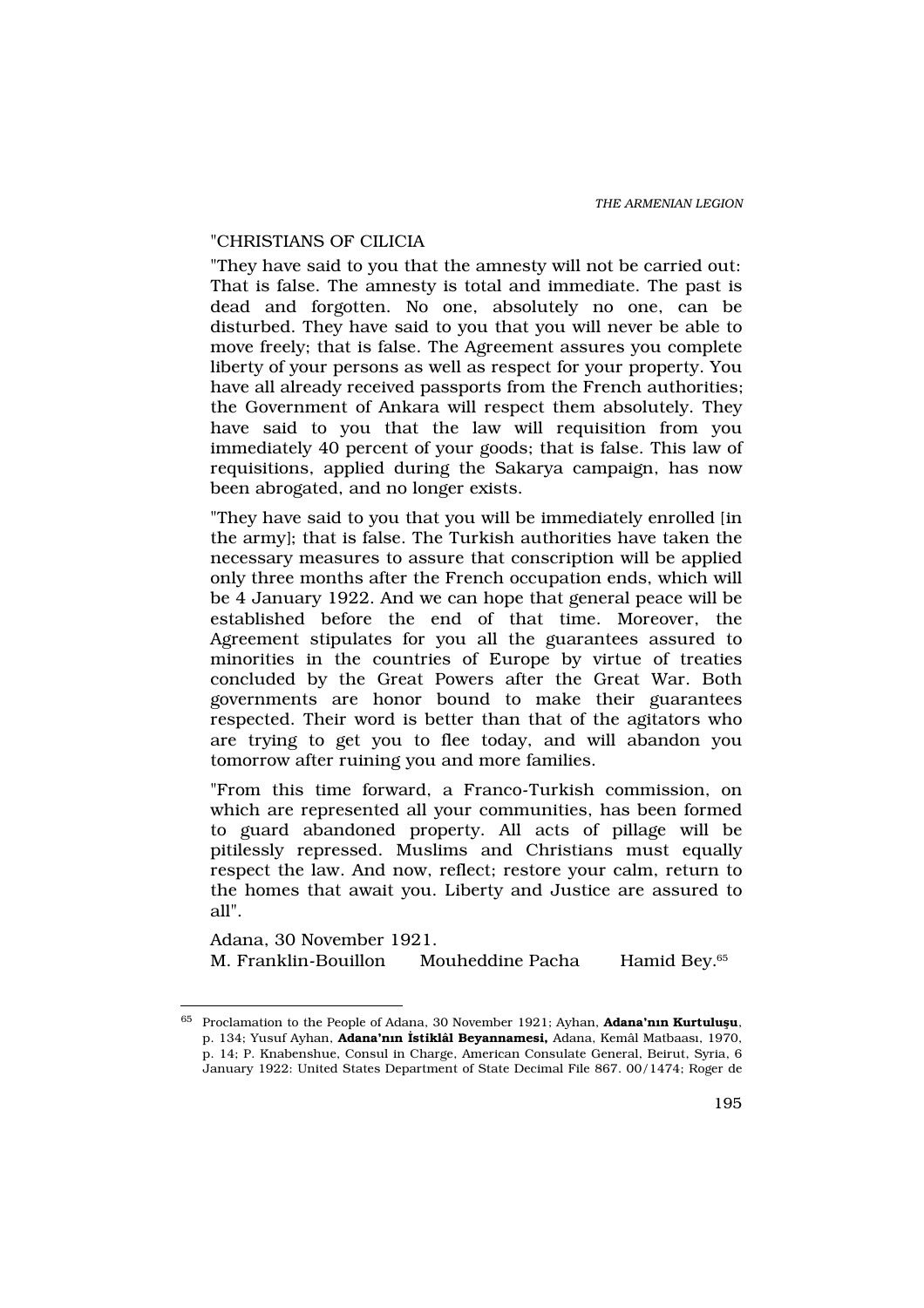### "CHRISTIANS OF CILICIA

"They have said to you that the amnesty will not be carried out: That is false. The amnesty is total and immediate. The past is dead and forgotten. No one, absolutely no one, can be disturbed. They have said to you that you will never be able to move freely; that is false. The Agreement assures you complete liberty of your persons as well as respect for your property. You have all already received passports from the French authorities; the Government of Ankara will respect them absolutely. They have said to you that the law will requisition from you immediately 40 percent of your goods; that is false. This law of requisitions, applied during the Sakarya campaign, has now been abrogated, and no longer exists.

"They have said to you that you will be immediately enrolled [in the army]; that is false. The Turkish authorities have taken the necessary measures to assure that conscription will be applied only three months after the French occupation ends, which will be 4 January 1922. And we can hope that general peace will be established before the end of that time. Moreover, the Agreement stipulates for you all the guarantees assured to minorities in the countries of Europe by virtue of treaties concluded by the Great Powers after the Great War. Both governments are honor bound to make their guarantees respected. Their word is better than that of the agitators who are trying to get you to flee today, and will abandon you tomorrow after ruining you and more families.

"From this time forward, a Franco-Turkish commission, on which are represented all your communities, has been formed to guard abandoned property. All acts of pillage will be pitilessly repressed. Muslims and Christians must equally respect the law. And now, reflect; restore your calm, return to the homes that await you. Liberty and Justice are assured to all".

Adana, 30 November 1921. M. Franklin-Bouillon Mouheddine Pacha Hamid Bey.<sup>65</sup>

 $65$  Proclamation to the People of Adana, 30 November 1921; Ayhan, Adana'n n Kurtulu u, p. 134; Yusuf Ayhan, Adana'n n stiklâl Beyannamesi, Adana, Kemâl Matbaas, 1970, p. 14; P. Knabenshue, Consul in Charge, American Consulate General, Beirut, Syria, 6 January 1922: United States Department of State Decimal File 867. 00/1474; Roger de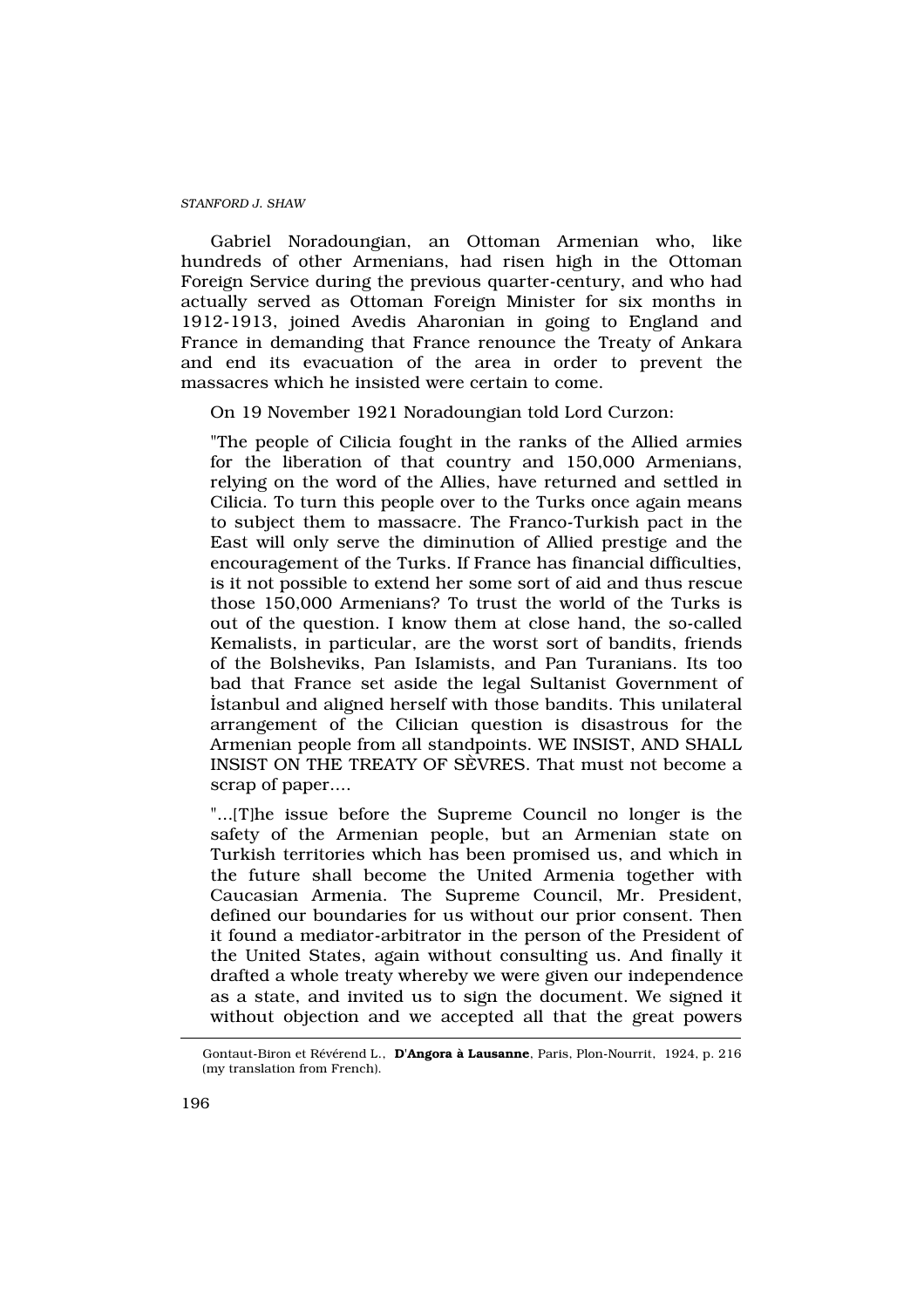Gabriel Noradoungian, an Ottoman Armenian who, like hundreds of other Armenians, had risen high in the Ottoman Foreign Service during the previous quarter-century, and who had actually served as Ottoman Foreign Minister for six months in 1912-1913, joined Avedis Aharonian in going to England and France in demanding that France renounce the Treaty of Ankara and end its evacuation of the area in order to prevent the massacres which he insisted were certain to come.

On 19 November 1921 Noradoungian told Lord Curzon:

"The people of Cilicia fought in the ranks of the Allied armies for the liberation of that country and 150,000 Armenians, relying on the word of the Allies, have returned and settled in Cilicia. To turn this people over to the Turks once again means to subject them to massacre. The Franco-Turkish pact in the East will only serve the diminution of Allied prestige and the encouragement of the Turks. If France has financial difficulties, is it not possible to extend her some sort of aid and thus rescue those 150,000 Armenians? To trust the world of the Turks is out of the question. I know them at close hand, the so-called Kemalists, in particular, are the worst sort of bandits, friends of the Bolsheviks, Pan Islamists, and Pan Turanians. Its too bad that France set aside the legal Sultanist Government of ‹stanbul and aligned herself with those bandits. This unilateral arrangement of the Cilician question is disastrous for the Armenian people from all standpoints. WE INSIST, AND SHALL INSIST ON THE TREATY OF SÈVRES. That must not become a scrap of paper....

"...[T]he issue before the Supreme Council no longer is the safety of the Armenian people, but an Armenian state on Turkish territories which has been promised us, and which in the future shall become the United Armenia together with Caucasian Armenia. The Supreme Council, Mr. President, defined our boundaries for us without our prior consent. Then it found a mediator-arbitrator in the person of the President of the United States, again without consulting us. And finally it drafted a whole treaty whereby we were given our independence as a state, and invited us to sign the document. We signed it without objection and we accepted all that the great powers

Gontaut-Biron et Révérend L., D'Angora à Lausanne, Paris, Plon-Nourrit, 1924, p. 216 (my translation from French).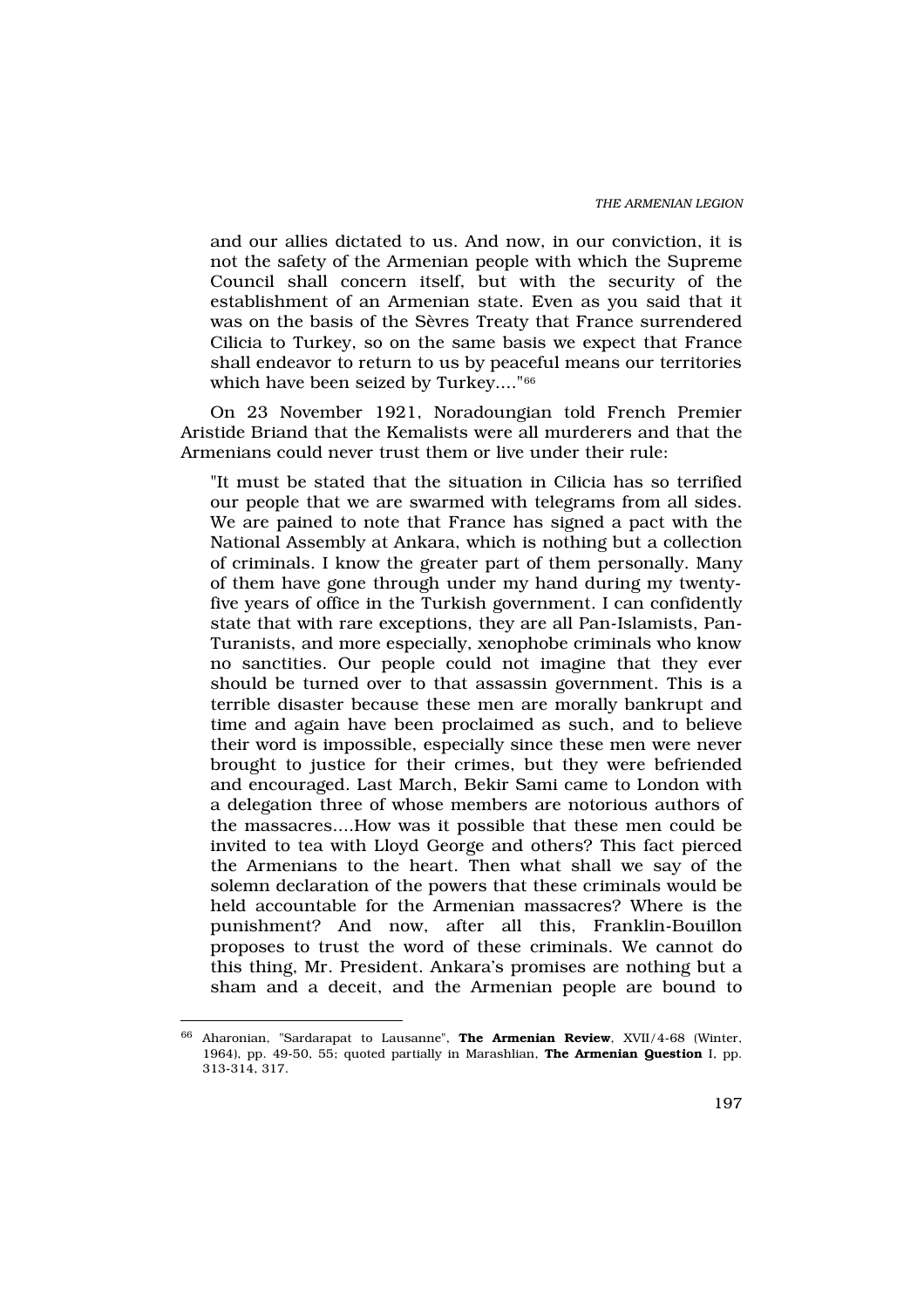and our allies dictated to us. And now, in our conviction, it is not the safety of the Armenian people with which the Supreme Council shall concern itself, but with the security of the establishment of an Armenian state. Even as you said that it was on the basis of the Sèvres Treaty that France surrendered Cilicia to Turkey, so on the same basis we expect that France shall endeavor to return to us by peaceful means our territories which have been seized by Turkey...."<sup>66</sup>

On 23 November 1921, Noradoungian told French Premier Aristide Briand that the Kemalists were all murderers and that the Armenians could never trust them or live under their rule:

"It must be stated that the situation in Cilicia has so terrified our people that we are swarmed with telegrams from all sides. We are pained to note that France has signed a pact with the National Assembly at Ankara, which is nothing but a collection of criminals. I know the greater part of them personally. Many of them have gone through under my hand during my twentyfive years of office in the Turkish government. I can confidently state that with rare exceptions, they are all Pan-Islamists, Pan-Turanists, and more especially, xenophobe criminals who know no sanctities. Our people could not imagine that they ever should be turned over to that assassin government. This is a terrible disaster because these men are morally bankrupt and time and again have been proclaimed as such, and to believe their word is impossible, especially since these men were never brought to justice for their crimes, but they were befriended and encouraged. Last March, Bekir Sami came to London with a delegation three of whose members are notorious authors of the massacres....How was it possible that these men could be invited to tea with Lloyd George and others? This fact pierced the Armenians to the heart. Then what shall we say of the solemn declaration of the powers that these criminals would be held accountable for the Armenian massacres? Where is the punishment? And now, after all this, Franklin-Bouillon proposes to trust the word of these criminals. We cannot do this thing, Mr. President. Ankara's promises are nothing but a sham and a deceit, and the Armenian people are bound to

<sup>&</sup>lt;sup>66</sup> Aharonian, "Sardarapat to Lausanne", **The Armenian Review**, XVII/4-68 (Winter, 1964), pp. 49-50, 55; quoted partially in Marashlian, The Armenian Question I, pp. 313-314, 317.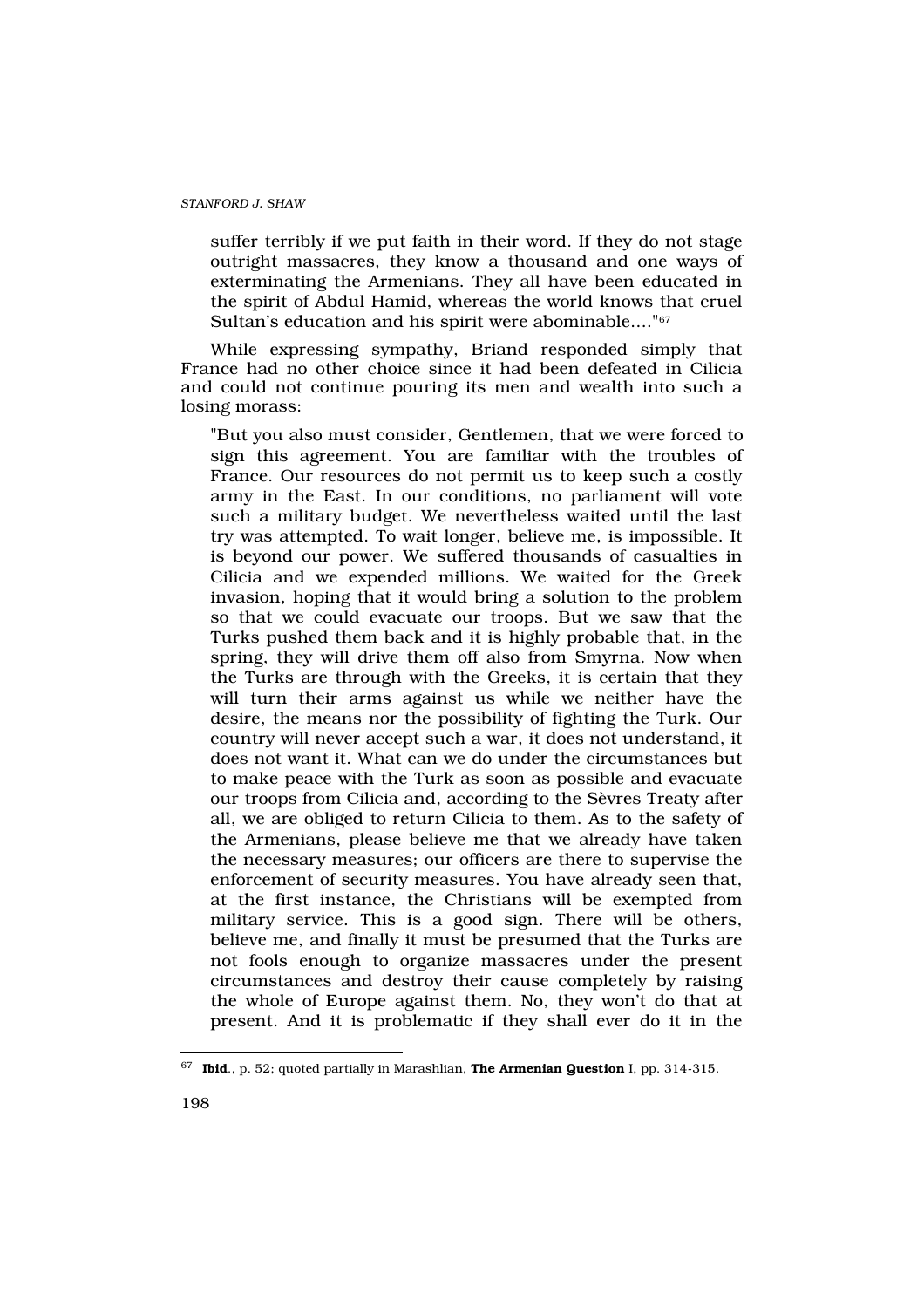suffer terribly if we put faith in their word. If they do not stage outright massacres, they know a thousand and one ways of exterminating the Armenians. They all have been educated in the spirit of Abdul Hamid, whereas the world knows that cruel Sultan's education and his spirit were abominable...."<sup>67</sup>

While expressing sympathy, Briand responded simply that France had no other choice since it had been defeated in Cilicia and could not continue pouring its men and wealth into such a losing morass:

"But you also must consider, Gentlemen, that we were forced to sign this agreement. You are familiar with the troubles of France. Our resources do not permit us to keep such a costly army in the East. In our conditions, no parliament will vote such a military budget. We nevertheless waited until the last try was attempted. To wait longer, believe me, is impossible. It is beyond our power. We suffered thousands of casualties in Cilicia and we expended millions. We waited for the Greek invasion, hoping that it would bring a solution to the problem so that we could evacuate our troops. But we saw that the Turks pushed them back and it is highly probable that, in the spring, they will drive them off also from Smyrna. Now when the Turks are through with the Greeks, it is certain that they will turn their arms against us while we neither have the desire, the means nor the possibility of fighting the Turk. Our country will never accept such a war, it does not understand, it does not want it. What can we do under the circumstances but to make peace with the Turk as soon as possible and evacuate our troops from Cilicia and, according to the Sèvres Treaty after all, we are obliged to return Cilicia to them. As to the safety of the Armenians, please believe me that we already have taken the necessary measures; our officers are there to supervise the enforcement of security measures. You have already seen that, at the first instance, the Christians will be exempted from military service. This is a good sign. There will be others, believe me, and finally it must be presumed that the Turks are not fools enough to organize massacres under the present circumstances and destroy their cause completely by raising the whole of Europe against them. No, they won't do that at present. And it is problematic if they shall ever do it in the

 $67$  Ibid., p. 52; quoted partially in Marashlian, The Armenian Question I, pp. 314-315.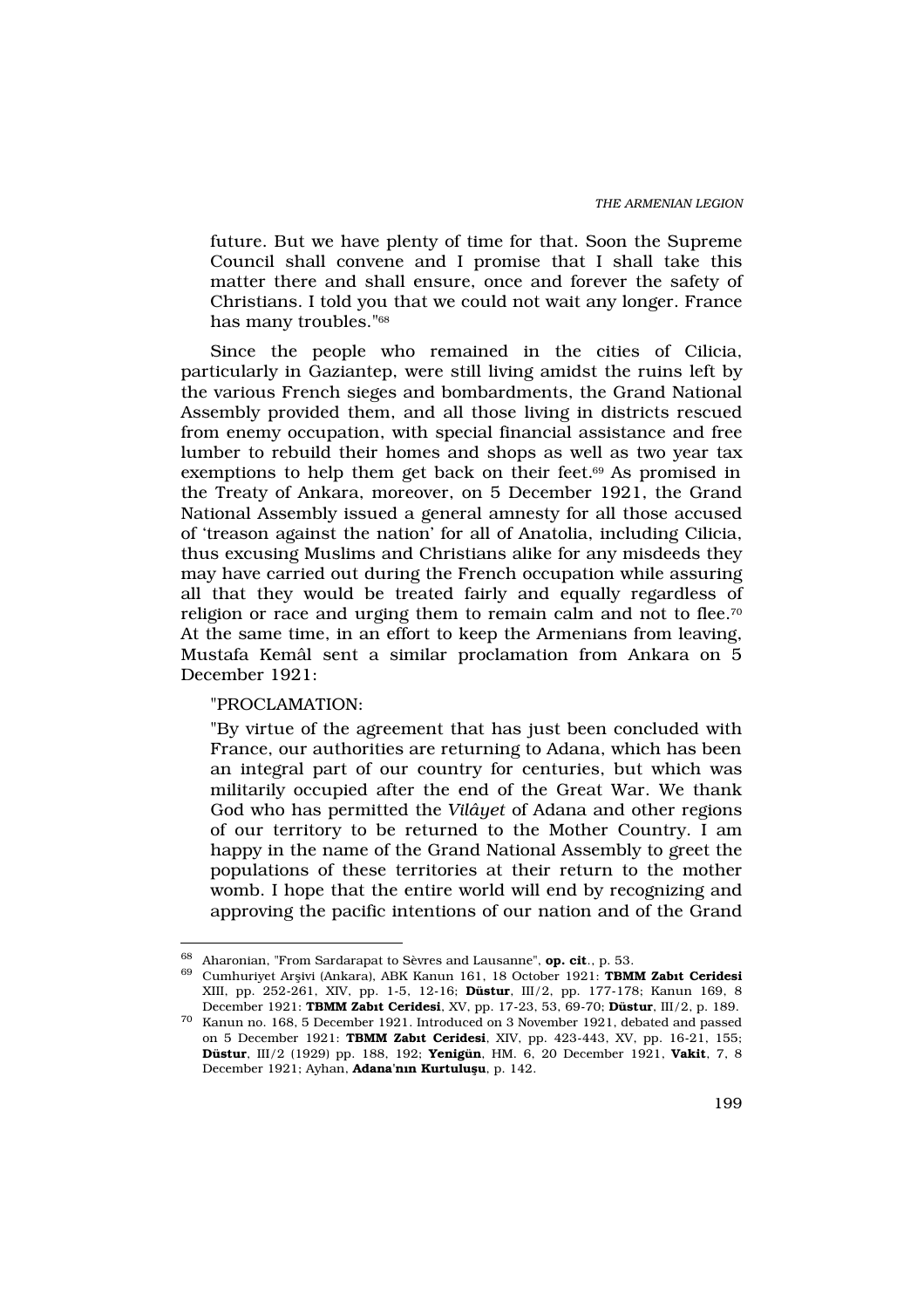future. But we have plenty of time for that. Soon the Supreme Council shall convene and I promise that I shall take this matter there and shall ensure, once and forever the safety of Christians. I told you that we could not wait any longer. France has many troubles."<sup>68</sup>

Since the people who remained in the cities of Cilicia, particularly in Gaziantep, were still living amidst the ruins left by the various French sieges and bombardments, the Grand National Assembly provided them, and all those living in districts rescued from enemy occupation, with special financial assistance and free lumber to rebuild their homes and shops as well as two year tax exemptions to help them get back on their feet.<sup>69</sup> As promised in the Treaty of Ankara, moreover, on 5 December 1921, the Grand National Assembly issued a general amnesty for all those accused of 'treason against the nation' for all of Anatolia, including Cilicia, thus excusing Muslims and Christians alike for any misdeeds they may have carried out during the French occupation while assuring all that they would be treated fairly and equally regardless of religion or race and urging them to remain calm and not to flee.<sup>70</sup> At the same time, in an effort to keep the Armenians from leaving, Mustafa Kemâl sent a similar proclamation from Ankara on 5 December 1921:

## "PROCLAMATION:

"By virtue of the agreement that has just been concluded with France, our authorities are returning to Adana, which has been an integral part of our country for centuries, but which was militarily occupied after the end of the Great War. We thank God who has permitted the Vilâyet of Adana and other regions of our territory to be returned to the Mother Country. I am happy in the name of the Grand National Assembly to greet the populations of these territories at their return to the mother womb. I hope that the entire world will end by recognizing and approving the pacific intentions of our nation and of the Grand

<sup>&</sup>lt;sup>68</sup> Aharonian, "From Sardarapat to Sèvres and Lausanne", op. cit., p. 53.

<sup>69</sup> Cumhuriyet Arflivi (Ankara), ABK Kanun 161, 18 October 1921: TBMM Zab t Ceridesi XIII, pp. 252-261, XIV, pp. 1-5, 12-16; Düstur, III/2, pp. 177-178; Kanun 169, 8 December 1921: TBMM Zab t Ceridesi, XV, pp. 17-23, 53, 69-70; Düstur, III/2, p. 189.

<sup>70</sup> Kanun no. 168, 5 December 1921. Introduced on 3 November 1921, debated and passed on 5 December 1921: TBMM Zab t Ceridesi, XIV, pp. 423-443, XV, pp. 16-21, 155; Düstur, III/2 (1929) pp. 188, 192; Yenigün, HM. 6, 20 December 1921, Vakit, 7, 8 December 1921; Ayhan, Adana'n n Kurtulu u, p. 142.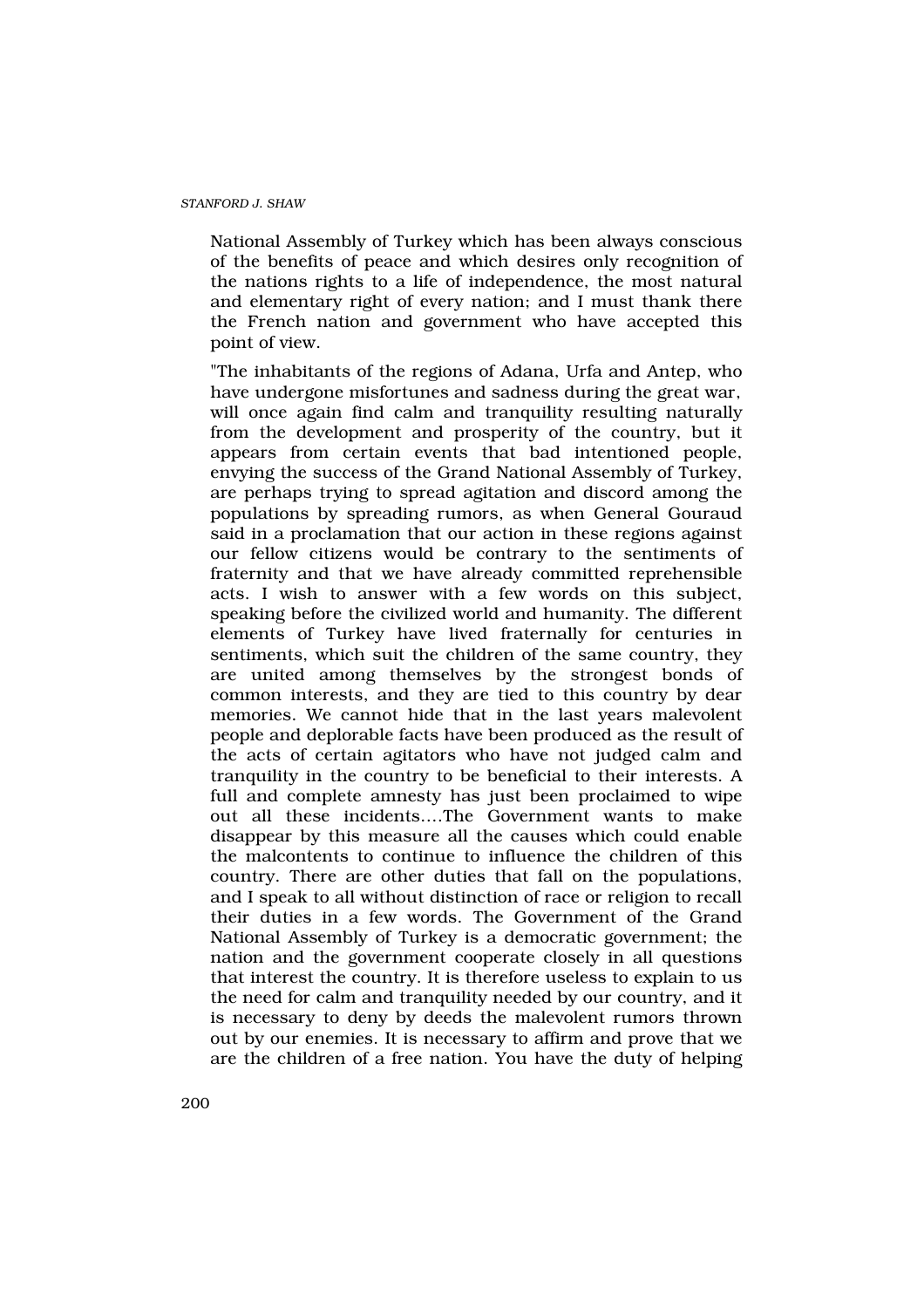National Assembly of Turkey which has been always conscious of the benefits of peace and which desires only recognition of the nations rights to a life of independence, the most natural and elementary right of every nation; and I must thank there the French nation and government who have accepted this point of view.

"The inhabitants of the regions of Adana, Urfa and Antep, who have undergone misfortunes and sadness during the great war, will once again find calm and tranquility resulting naturally from the development and prosperity of the country, but it appears from certain events that bad intentioned people, envying the success of the Grand National Assembly of Turkey, are perhaps trying to spread agitation and discord among the populations by spreading rumors, as when General Gouraud said in a proclamation that our action in these regions against our fellow citizens would be contrary to the sentiments of fraternity and that we have already committed reprehensible acts. I wish to answer with a few words on this subject, speaking before the civilized world and humanity. The different elements of Turkey have lived fraternally for centuries in sentiments, which suit the children of the same country, they are united among themselves by the strongest bonds of common interests, and they are tied to this country by dear memories. We cannot hide that in the last years malevolent people and deplorable facts have been produced as the result of the acts of certain agitators who have not judged calm and tranquility in the country to be beneficial to their interests. A full and complete amnesty has just been proclaimed to wipe out all these incidents….The Government wants to make disappear by this measure all the causes which could enable the malcontents to continue to influence the children of this country. There are other duties that fall on the populations, and I speak to all without distinction of race or religion to recall their duties in a few words. The Government of the Grand National Assembly of Turkey is a democratic government; the nation and the government cooperate closely in all questions that interest the country. It is therefore useless to explain to us the need for calm and tranquility needed by our country, and it is necessary to deny by deeds the malevolent rumors thrown out by our enemies. It is necessary to affirm and prove that we are the children of a free nation. You have the duty of helping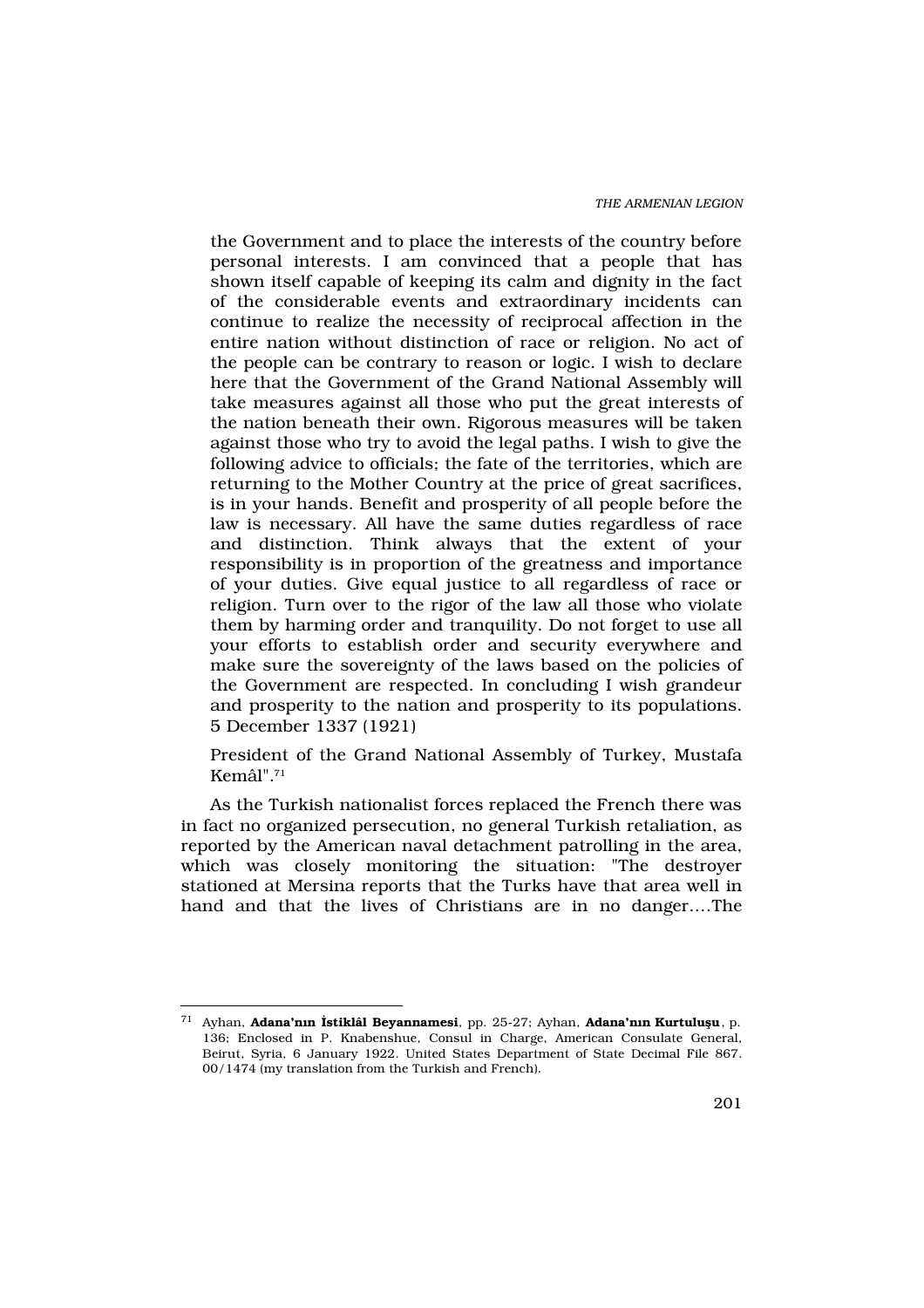THE ARMENIAN LEGION

the Government and to place the interests of the country before personal interests. I am convinced that a people that has shown itself capable of keeping its calm and dignity in the fact of the considerable events and extraordinary incidents can continue to realize the necessity of reciprocal affection in the entire nation without distinction of race or religion. No act of the people can be contrary to reason or logic. I wish to declare here that the Government of the Grand National Assembly will take measures against all those who put the great interests of the nation beneath their own. Rigorous measures will be taken against those who try to avoid the legal paths. I wish to give the following advice to officials; the fate of the territories, which are returning to the Mother Country at the price of great sacrifices, is in your hands. Benefit and prosperity of all people before the law is necessary. All have the same duties regardless of race and distinction. Think always that the extent of your responsibility is in proportion of the greatness and importance of your duties. Give equal justice to all regardless of race or religion. Turn over to the rigor of the law all those who violate them by harming order and tranquility. Do not forget to use all your efforts to establish order and security everywhere and make sure the sovereignty of the laws based on the policies of the Government are respected. In concluding I wish grandeur and prosperity to the nation and prosperity to its populations. 5 December 1337 (1921)

President of the Grand National Assembly of Turkey, Mustafa Kemâl".<sup>71</sup>

As the Turkish nationalist forces replaced the French there was in fact no organized persecution, no general Turkish retaliation, as reported by the American naval detachment patrolling in the area, which was closely monitoring the situation: "The destroyer stationed at Mersina reports that the Turks have that area well in hand and that the lives of Christians are in no danger.…The

<sup>&</sup>lt;sup>71</sup> Ayhan, **Adana'n n stiklâl Beyannamesi**, pp. 25-27; Ayhan, **Adana'n n Kurtulu u**, p. 136; Enclosed in P. Knabenshue, Consul in Charge, American Consulate General, Beirut, Syria, 6 January 1922. United States Department of State Decimal File 867. 00/1474 (my translation from the Turkish and French).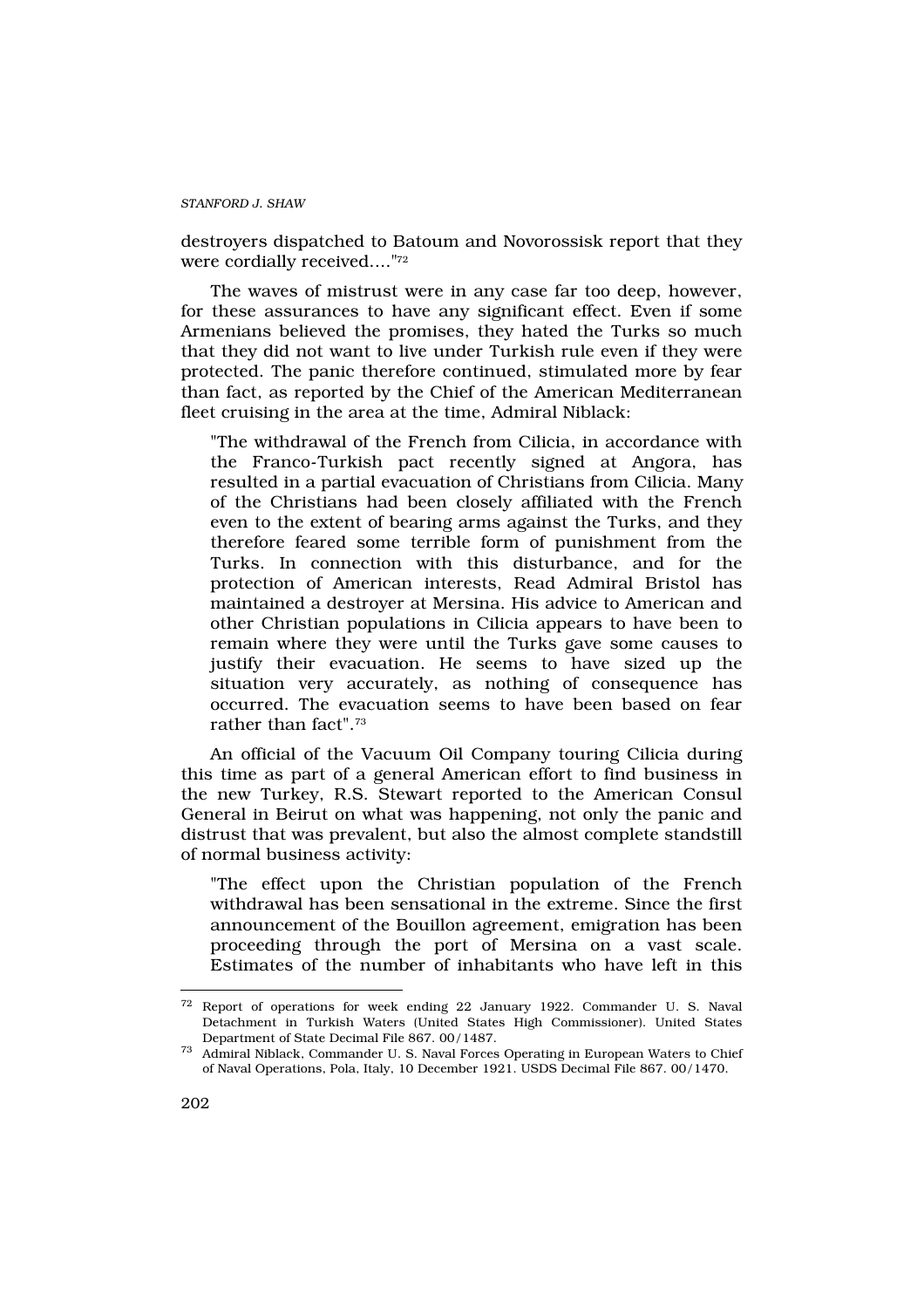destroyers dispatched to Batoum and Novorossisk report that they were cordially received...."72

The waves of mistrust were in any case far too deep, however, for these assurances to have any significant effect. Even if some Armenians believed the promises, they hated the Turks so much that they did not want to live under Turkish rule even if they were protected. The panic therefore continued, stimulated more by fear than fact, as reported by the Chief of the American Mediterranean fleet cruising in the area at the time, Admiral Niblack:

"The withdrawal of the French from Cilicia, in accordance with the Franco-Turkish pact recently signed at Angora, has resulted in a partial evacuation of Christians from Cilicia. Many of the Christians had been closely affiliated with the French even to the extent of bearing arms against the Turks, and they therefore feared some terrible form of punishment from the Turks. In connection with this disturbance, and for the protection of American interests, Read Admiral Bristol has maintained a destroyer at Mersina. His advice to American and other Christian populations in Cilicia appears to have been to remain where they were until the Turks gave some causes to justify their evacuation. He seems to have sized up the situation very accurately, as nothing of consequence has occurred. The evacuation seems to have been based on fear rather than fact".<sup>73</sup>

An official of the Vacuum Oil Company touring Cilicia during this time as part of a general American effort to find business in the new Turkey, R.S. Stewart reported to the American Consul General in Beirut on what was happening, not only the panic and distrust that was prevalent, but also the almost complete standstill of normal business activity:

"The effect upon the Christian population of the French withdrawal has been sensational in the extreme. Since the first announcement of the Bouillon agreement, emigration has been proceeding through the port of Mersina on a vast scale. Estimates of the number of inhabitants who have left in this

<sup>72</sup> Report of operations for week ending 22 January 1922. Commander U. S. Naval Detachment in Turkish Waters (United States High Commissioner). United States Department of State Decimal File 867. 00/1487.

<sup>73</sup> Admiral Niblack, Commander U. S. Naval Forces Operating in European Waters to Chief of Naval Operations, Pola, Italy, 10 December 1921. USDS Decimal File 867. 00/1470.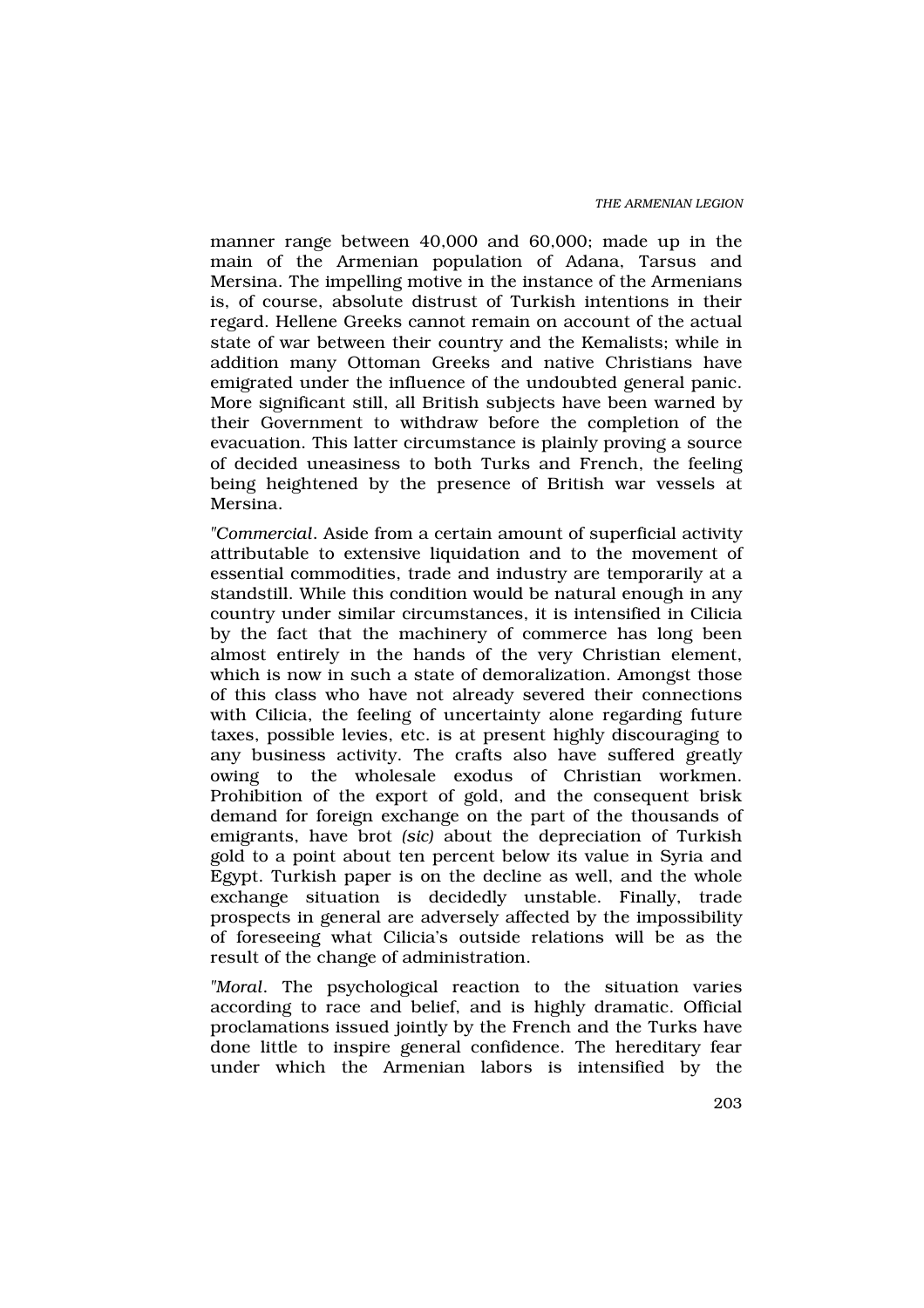manner range between 40,000 and 60,000; made up in the main of the Armenian population of Adana, Tarsus and Mersina. The impelling motive in the instance of the Armenians is, of course, absolute distrust of Turkish intentions in their regard. Hellene Greeks cannot remain on account of the actual state of war between their country and the Kemalists; while in addition many Ottoman Greeks and native Christians have emigrated under the influence of the undoubted general panic. More significant still, all British subjects have been warned by their Government to withdraw before the completion of the evacuation. This latter circumstance is plainly proving a source of decided uneasiness to both Turks and French, the feeling being heightened by the presence of British war vessels at Mersina.

"Commercial. Aside from a certain amount of superficial activity attributable to extensive liquidation and to the movement of essential commodities, trade and industry are temporarily at a standstill. While this condition would be natural enough in any country under similar circumstances, it is intensified in Cilicia by the fact that the machinery of commerce has long been almost entirely in the hands of the very Christian element, which is now in such a state of demoralization. Amongst those of this class who have not already severed their connections with Cilicia, the feeling of uncertainty alone regarding future taxes, possible levies, etc. is at present highly discouraging to any business activity. The crafts also have suffered greatly owing to the wholesale exodus of Christian workmen. Prohibition of the export of gold, and the consequent brisk demand for foreign exchange on the part of the thousands of emigrants, have brot (sic) about the depreciation of Turkish gold to a point about ten percent below its value in Syria and Egypt. Turkish paper is on the decline as well, and the whole exchange situation is decidedly unstable. Finally, trade prospects in general are adversely affected by the impossibility of foreseeing what Cilicia's outside relations will be as the result of the change of administration.

"Moral. The psychological reaction to the situation varies according to race and belief, and is highly dramatic. Official proclamations issued jointly by the French and the Turks have done little to inspire general confidence. The hereditary fear under which the Armenian labors is intensified by the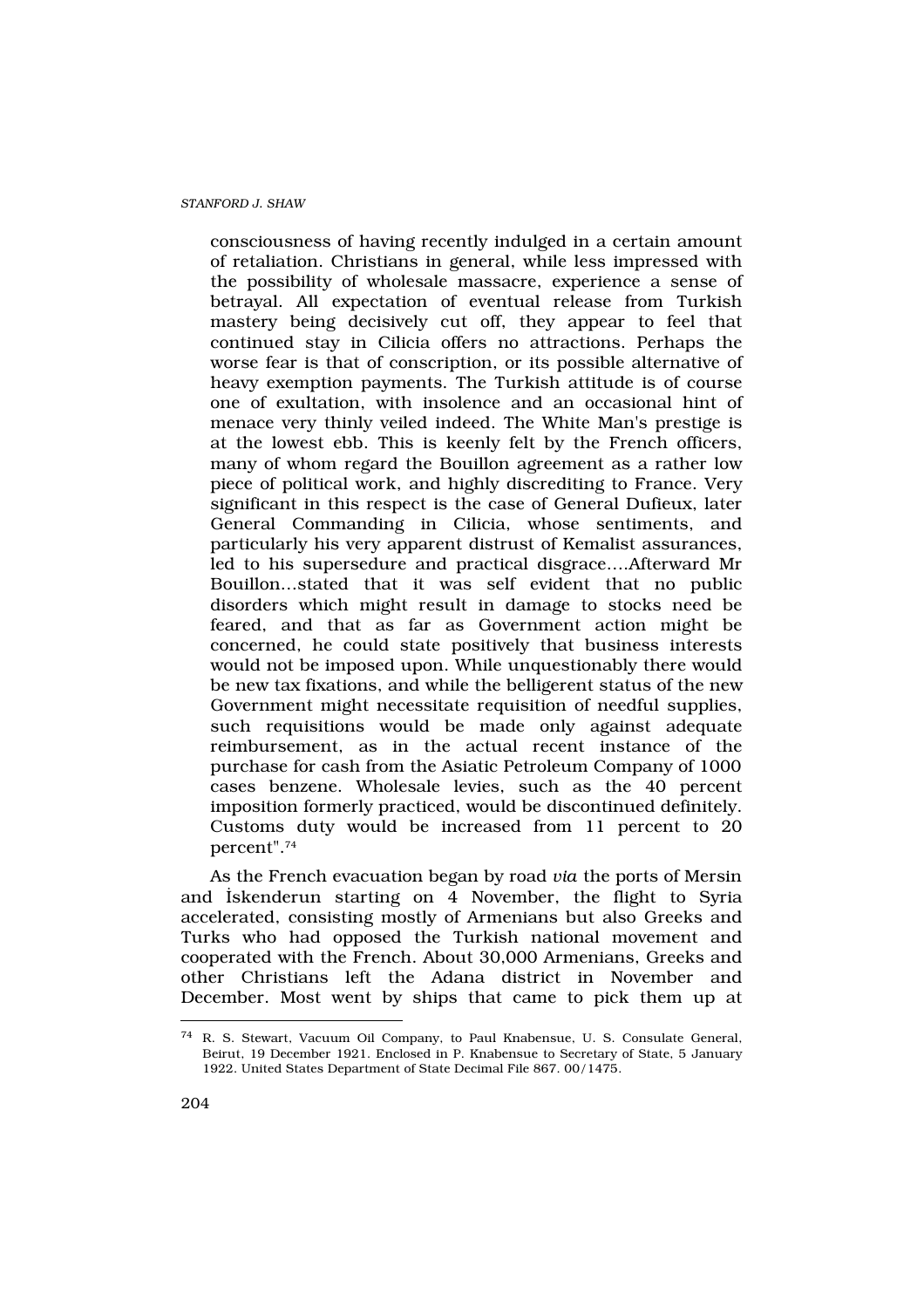consciousness of having recently indulged in a certain amount of retaliation. Christians in general, while less impressed with the possibility of wholesale massacre, experience a sense of betrayal. All expectation of eventual release from Turkish mastery being decisively cut off, they appear to feel that continued stay in Cilicia offers no attractions. Perhaps the worse fear is that of conscription, or its possible alternative of heavy exemption payments. The Turkish attitude is of course one of exultation, with insolence and an occasional hint of menace very thinly veiled indeed. The White Man's prestige is at the lowest ebb. This is keenly felt by the French officers, many of whom regard the Bouillon agreement as a rather low piece of political work, and highly discrediting to France. Very significant in this respect is the case of General Dufieux, later General Commanding in Cilicia, whose sentiments, and particularly his very apparent distrust of Kemalist assurances, led to his supersedure and practical disgrace….Afterward Mr Bouillon…stated that it was self evident that no public disorders which might result in damage to stocks need be feared, and that as far as Government action might be concerned, he could state positively that business interests would not be imposed upon. While unquestionably there would be new tax fixations, and while the belligerent status of the new Government might necessitate requisition of needful supplies, such requisitions would be made only against adequate reimbursement, as in the actual recent instance of the purchase for cash from the Asiatic Petroleum Company of 1000 cases benzene. Wholesale levies, such as the 40 percent imposition formerly practiced, would be discontinued definitely. Customs duty would be increased from 11 percent to 20 percent".<sup>74</sup>

As the French evacuation began by road via the ports of Mersin and ‹skenderun starting on 4 November, the flight to Syria accelerated, consisting mostly of Armenians but also Greeks and Turks who had opposed the Turkish national movement and cooperated with the French. About 30,000 Armenians, Greeks and other Christians left the Adana district in November and December. Most went by ships that came to pick them up at

<sup>74</sup> R. S. Stewart, Vacuum Oil Company, to Paul Knabensue, U. S. Consulate General, Beirut, 19 December 1921. Enclosed in P. Knabensue to Secretary of State, 5 January 1922. United States Department of State Decimal File 867. 00/1475.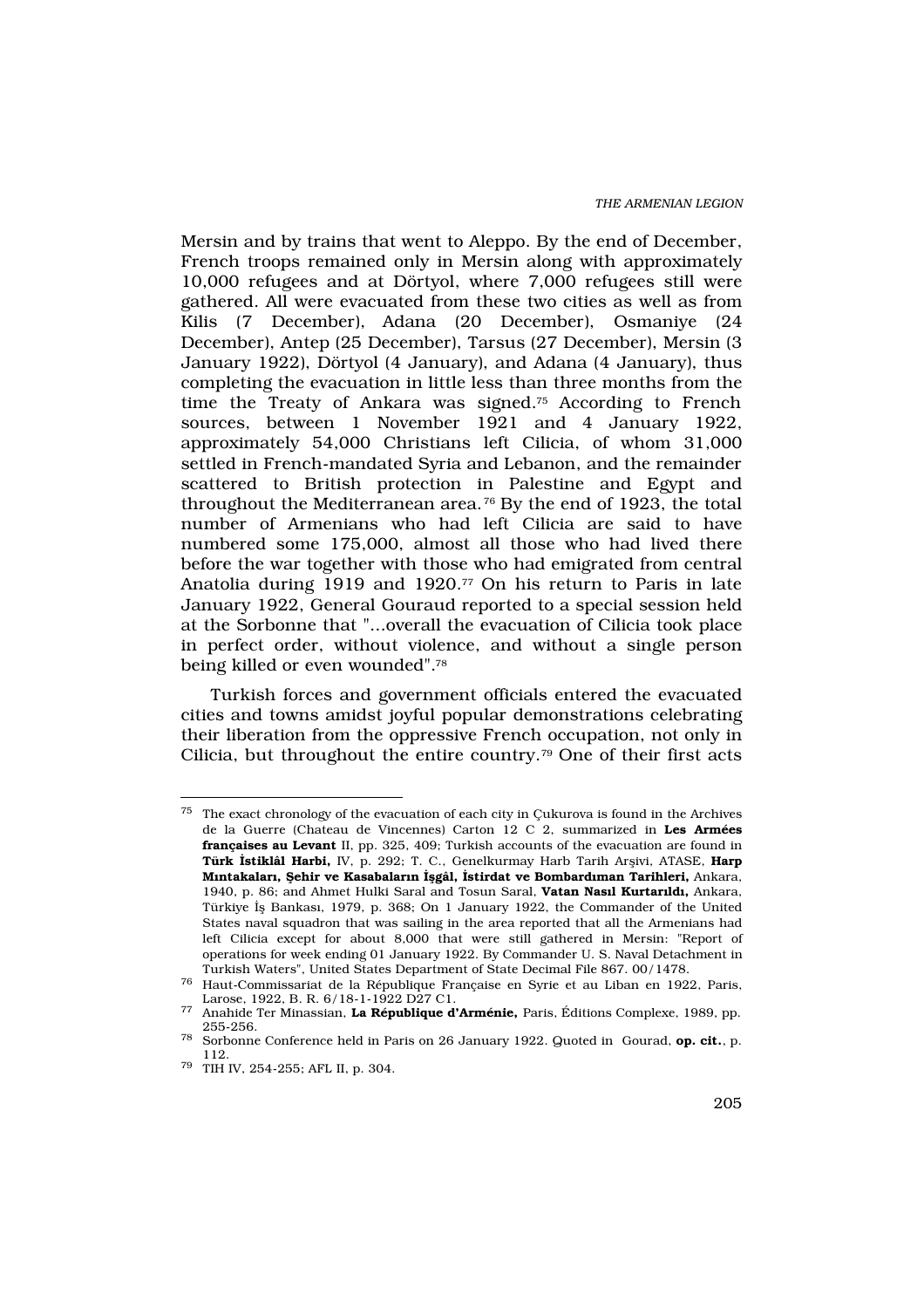Mersin and by trains that went to Aleppo. By the end of December, French troops remained only in Mersin along with approximately 10,000 refugees and at Dörtyol, where 7,000 refugees still were gathered. All were evacuated from these two cities as well as from Kilis (7 December), Adana (20 December), Osmaniye (24 December), Antep (25 December), Tarsus (27 December), Mersin (3 January 1922), Dörtyol (4 January), and Adana (4 January), thus completing the evacuation in little less than three months from the time the Treaty of Ankara was signed.75 According to French sources, between 1 November 1921 and 4 January 1922, approximately 54,000 Christians left Cilicia, of whom 31,000 settled in French-mandated Syria and Lebanon, and the remainder scattered to British protection in Palestine and Egypt and throughout the Mediterranean area. <sup>76</sup> By the end of 1923, the total number of Armenians who had left Cilicia are said to have numbered some 175,000, almost all those who had lived there before the war together with those who had emigrated from central Anatolia during 1919 and 1920.<sup>77</sup> On his return to Paris in late January 1922, General Gouraud reported to a special session held at the Sorbonne that "...overall the evacuation of Cilicia took place in perfect order, without violence, and without a single person being killed or even wounded".<sup>78</sup>

Turkish forces and government officials entered the evacuated cities and towns amidst joyful popular demonstrations celebrating their liberation from the oppressive French occupation, not only in Cilicia, but throughout the entire country.79 One of their first acts

 $^{75}\,$  The exact chronology of the evacuation of each city in Çukurova is found in the Archives de la Guerre (Chateau de Vincennes) Carton 12 C 2, summarized in Les Armées françaises au Levant II, pp. 325, 409; Turkish accounts of the evacuation are found in Türk stiklâl Harbi, IV, p. 292; T. C., Genelkurmay Harb Tarih Arflivi, ATASE. Harp M ntakalar, ehir ve Kasabalar n gâl, stirdat ve Bombard man Tarihleri, Ankara, 1940, p. 86; and Ahmet Hulki Saral and Tosun Saral, Vatan Nas I Kurtar Id, Ankara, Türkiye ‹fl Bankas›, 1979, p. 368; On 1 January 1922, the Commander of the United States naval squadron that was sailing in the area reported that all the Armenians had left Cilicia except for about 8,000 that were still gathered in Mersin: "Report of operations for week ending 01 January 1922. By Commander U. S. Naval Detachment in Turkish Waters", United States Department of State Decimal File 867. 00/1478.

<sup>76</sup> Haut-Commissariat de la République Française en Syrie et au Liban en 1922, Paris, Larose, 1922, B. R. 6/18-1-1922 D27 C1.

<sup>77</sup> Anahide Ter Minassian, La République d'Arménie, Paris, Éditions Complexe, 1989, pp. 255-256.

<sup>78</sup> Sorbonne Conference held in Paris on 26 January 1922. Quoted in Gourad, op. cit., p. 112.

<sup>79</sup> TIH IV, 254-255; AFL II, p. 304.